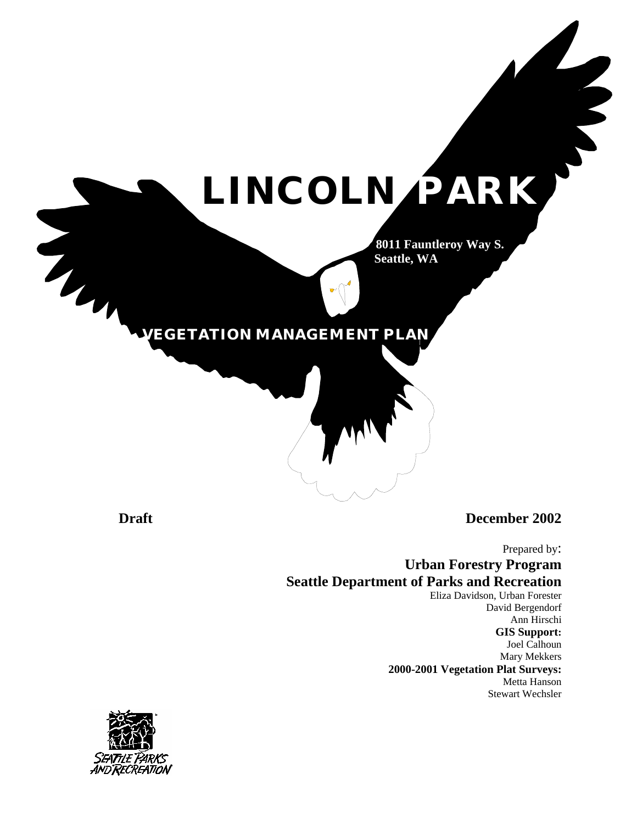# **LINCOLN PARK**

**8011 Fauntleroy Way S. Seattle, WA** 

# **VEGETATION MANAGEMENT PLAN**

**Draft December 2002** 

Prepared by:

**Urban Forestry Program Seattle Department of Parks and Recreation**

Eliza Davidson, Urban Forester David Bergendorf Ann Hirschi **GIS Support:**  Joel Calhoun Mary Mekkers **2000-2001 Vegetation Plat Surveys:**  Metta Hanson Stewart Wechsler

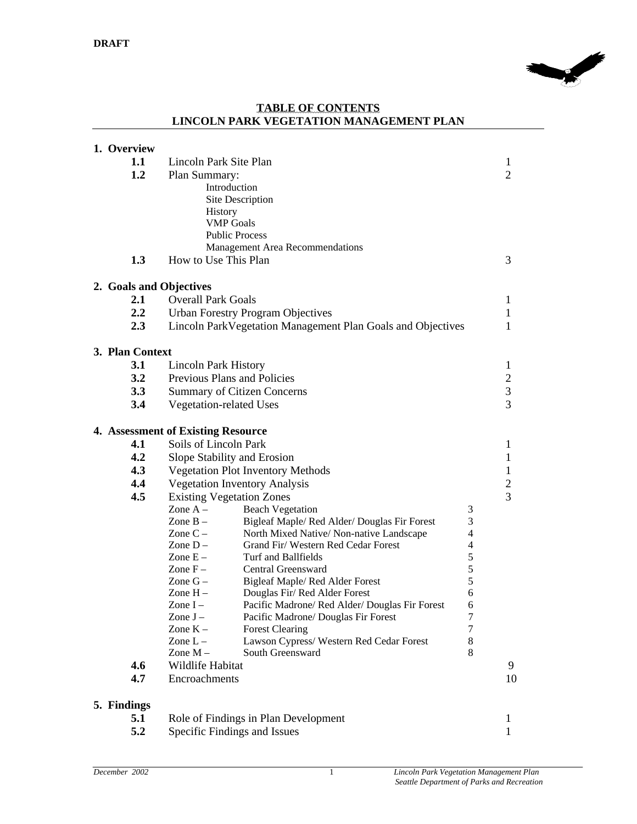

#### **TABLE OF CONTENTS LINCOLN PARK VEGETATION MANAGEMENT PLAN**

| 1. Overview                         |                                    |                                                             |                  |                |
|-------------------------------------|------------------------------------|-------------------------------------------------------------|------------------|----------------|
| 1.1                                 | Lincoln Park Site Plan             |                                                             |                  | 1              |
| 1.2                                 | Plan Summary:                      |                                                             |                  | $\overline{2}$ |
|                                     | Introduction                       |                                                             |                  |                |
|                                     |                                    | Site Description                                            |                  |                |
|                                     | History                            |                                                             |                  |                |
|                                     | <b>VMP</b> Goals                   |                                                             |                  |                |
|                                     | <b>Public Process</b>              |                                                             |                  |                |
|                                     |                                    | Management Area Recommendations                             |                  |                |
| 1.3                                 | How to Use This Plan               |                                                             |                  | 3              |
| 2. Goals and Objectives             |                                    |                                                             |                  |                |
| 2.1                                 | <b>Overall Park Goals</b>          |                                                             |                  | 1              |
| 2.2                                 |                                    | <b>Urban Forestry Program Objectives</b>                    |                  | 1              |
| 2.3                                 |                                    | Lincoln ParkVegetation Management Plan Goals and Objectives |                  | 1              |
|                                     |                                    |                                                             |                  |                |
| 3. Plan Context                     |                                    |                                                             |                  |                |
| 3.1                                 | <b>Lincoln Park History</b>        |                                                             |                  | 1              |
| 3.2                                 | Previous Plans and Policies        |                                                             |                  | $\overline{c}$ |
| 3.3                                 | <b>Summary of Citizen Concerns</b> |                                                             |                  | 3              |
| 3.4                                 | Vegetation-related Uses            |                                                             |                  | 3              |
|                                     | 4. Assessment of Existing Resource |                                                             |                  |                |
| 4.1                                 | Soils of Lincoln Park              |                                                             |                  | 1              |
| 4.2                                 | Slope Stability and Erosion        |                                                             |                  | 1              |
| 4.3                                 |                                    | <b>Vegetation Plot Inventory Methods</b>                    |                  | 1              |
| 4.4                                 |                                    | <b>Vegetation Inventory Analysis</b>                        |                  | $\overline{c}$ |
| 4.5                                 | <b>Existing Vegetation Zones</b>   |                                                             |                  | 3              |
|                                     | Zone $A -$                         | <b>Beach Vegetation</b>                                     | 3                |                |
|                                     | Zone $B -$                         | Bigleaf Maple/ Red Alder/ Douglas Fir Forest                | 3                |                |
|                                     | Zone $C -$                         | North Mixed Native/ Non-native Landscape                    | $\overline{4}$   |                |
|                                     | Zone $D -$                         | Grand Fir/Western Red Cedar Forest                          | 4                |                |
|                                     | Zone $E -$                         | Turf and Ballfields                                         | 5                |                |
|                                     | Zone $F -$                         | Central Greensward                                          | 5                |                |
|                                     | Zone $G -$                         | Bigleaf Maple/ Red Alder Forest                             | 5                |                |
|                                     | Zone $H -$                         | Douglas Fir/Red Alder Forest                                | 6                |                |
|                                     | Zone $I -$                         | Pacific Madrone/ Red Alder/ Douglas Fir Forest              | 6                |                |
|                                     | Zone J-                            | Pacific Madrone/ Douglas Fir Forest                         | 7                |                |
|                                     | Zone $K -$                         | <b>Forest Clearing</b>                                      | $\boldsymbol{7}$ |                |
|                                     | Zone $L -$                         | Lawson Cypress/ Western Red Cedar Forest                    | 8                |                |
|                                     | Zone M-                            | South Greensward                                            | 8                |                |
| 4.6                                 | Wildlife Habitat                   |                                                             |                  | 9              |
| 4.7                                 | Encroachments                      |                                                             |                  | 10             |
| 5. Findings                         |                                    |                                                             |                  |                |
| 5.1                                 |                                    | Role of Findings in Plan Development                        |                  | 1              |
| 5.2<br>Specific Findings and Issues |                                    |                                                             | 1                |                |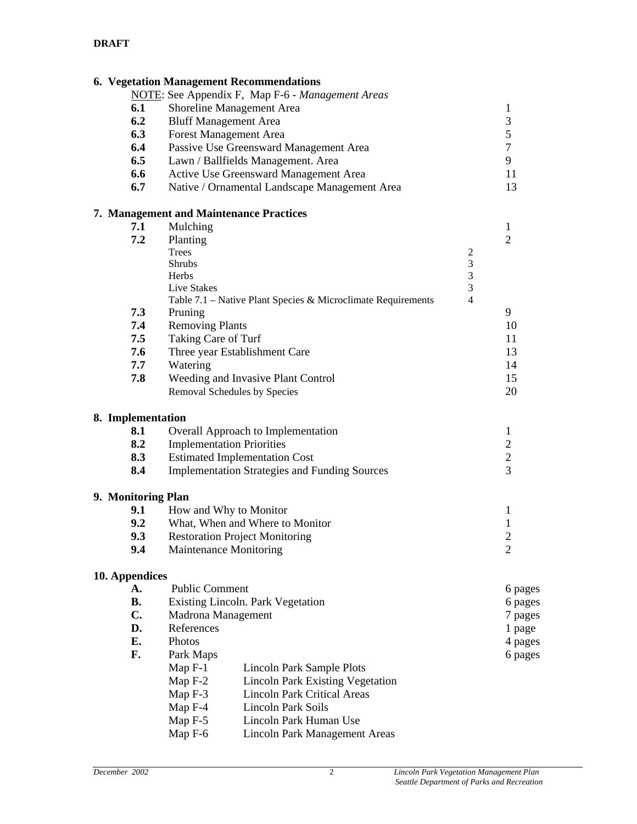|                    |                                         | 6. Vegetation Management Recommendations                     |                |                |
|--------------------|-----------------------------------------|--------------------------------------------------------------|----------------|----------------|
|                    |                                         | NOTE: See Appendix F, Map F-6 - Management Areas             |                |                |
| 6.1                | Shoreline Management Area               |                                                              |                | $\mathbf{1}$   |
| 6.2                | <b>Bluff Management Area</b>            |                                                              |                | 3              |
| 6.3                | Forest Management Area                  |                                                              |                | 5              |
| 6.4                |                                         | Passive Use Greensward Management Area                       |                | $\tau$         |
| 6.5                |                                         | Lawn / Ballfields Management. Area                           |                | 9              |
| 6.6                |                                         | Active Use Greensward Management Area                        |                | 11             |
| 6.7                |                                         | Native / Ornamental Landscape Management Area                |                | 13             |
|                    | 7. Management and Maintenance Practices |                                                              |                |                |
| 7.1                | Mulching                                |                                                              |                | $\mathbf{1}$   |
| 7.2                | Planting                                |                                                              |                | $\overline{2}$ |
|                    | <b>Trees</b>                            |                                                              | $\overline{c}$ |                |
|                    | Shrubs                                  |                                                              | 3              |                |
|                    | <b>Herbs</b>                            |                                                              | $\mathfrak{Z}$ |                |
|                    | Live Stakes                             |                                                              | 3              |                |
|                    |                                         | Table 7.1 – Native Plant Species & Microclimate Requirements | $\overline{4}$ |                |
| 7.3                | Pruning                                 |                                                              |                | 9              |
| 7.4                | <b>Removing Plants</b>                  |                                                              |                | 10             |
| 7.5                | Taking Care of Turf                     |                                                              |                | 11             |
| 7.6                |                                         | Three year Establishment Care                                |                | 13             |
| 7.7                | Watering                                |                                                              |                | 14             |
| 7.8                |                                         | Weeding and Invasive Plant Control                           |                | 15             |
|                    | Removal Schedules by Species            |                                                              |                | 20             |
| 8. Implementation  |                                         |                                                              |                |                |
| 8.1                |                                         | Overall Approach to Implementation                           |                | 1              |
| 8.2                | <b>Implementation Priorities</b>        |                                                              |                | $\mathbf{2}$   |
| 8.3                |                                         | <b>Estimated Implementation Cost</b>                         |                | $\mathfrak{2}$ |
| 8.4                |                                         | <b>Implementation Strategies and Funding Sources</b>         |                | 3              |
| 9. Monitoring Plan |                                         |                                                              |                |                |
| 9.1                | How and Why to Monitor                  |                                                              |                | 1              |
| 9.2                |                                         | What, When and Where to Monitor                              |                | $\mathbf{1}$   |
| 9.3                |                                         | <b>Restoration Project Monitoring</b>                        |                | $\overline{2}$ |
| 9.4                | <b>Maintenance Monitoring</b>           |                                                              |                | $\overline{2}$ |
| 10. Appendices     |                                         |                                                              |                |                |
| A.                 | <b>Public Comment</b>                   |                                                              |                | 6 pages        |
| <b>B.</b>          |                                         | Existing Lincoln. Park Vegetation                            |                | 6 pages        |
| C.                 | Madrona Management                      |                                                              |                |                |
| D.                 | References                              |                                                              |                | 7 pages        |
|                    |                                         |                                                              |                | 1 page         |
| Е.                 | Photos                                  |                                                              |                | 4 pages        |
| F.                 | Park Maps                               |                                                              |                | 6 pages        |
|                    | Map F-1                                 | Lincoln Park Sample Plots                                    |                |                |
|                    | Map $F-2$                               | <b>Lincoln Park Existing Vegetation</b>                      |                |                |
|                    | Map F-3                                 | <b>Lincoln Park Critical Areas</b>                           |                |                |
|                    | Map F-4                                 | <b>Lincoln Park Soils</b>                                    |                |                |
|                    | Map F-5                                 | Lincoln Park Human Use                                       |                |                |
|                    | Map F-6                                 | Lincoln Park Management Areas                                |                |                |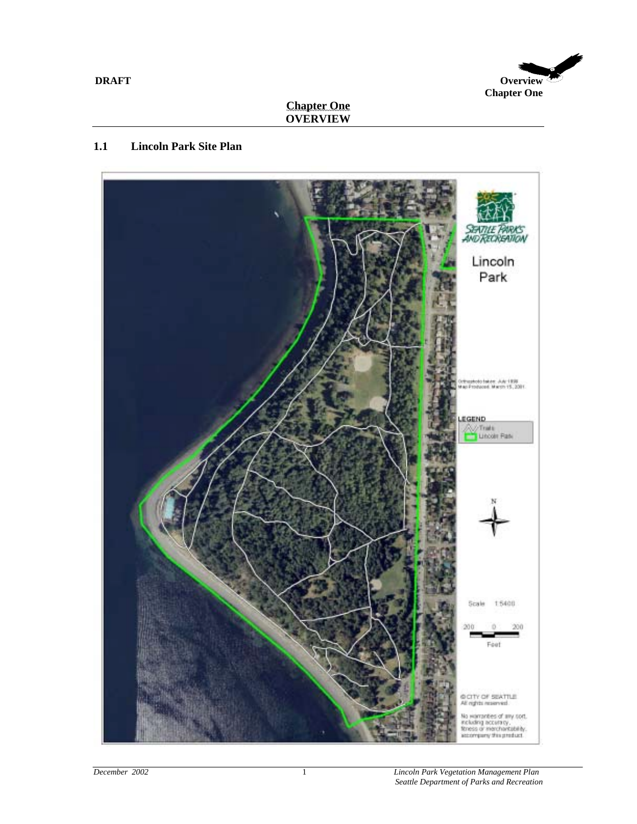

# **1.1 Lincoln Park Site Plan**

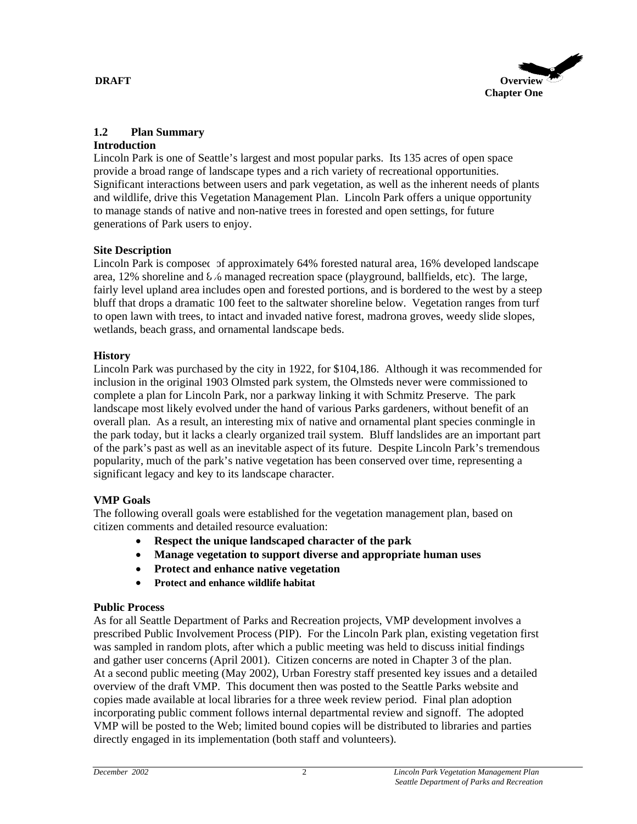

#### **1.2 Plan Summary Introduction**

Lincoln Park is one of Seattle's largest and most popular parks. Its 135 acres of open space provide a broad range of landscape types and a rich variety of recreational opportunities. Significant interactions between users and park vegetation, as well as the inherent needs of plants and wildlife, drive this Vegetation Management Plan. Lincoln Park offers a unique opportunity to manage stands of native and non-native trees in forested and open settings, for future generations of Park users to enjoy.

# **Site Description**

Lincoln Park is composed of approximately 64% forested natural area, 16% developed landscape area, 12% shoreline and  $\delta_{\nu}$  managed recreation space (playground, ballfields, etc). The large, fairly level upland area includes open and forested portions, and is bordered to the west by a steep bluff that drops a dramatic 100 feet to the saltwater shoreline below. Vegetation ranges from turf to open lawn with trees, to intact and invaded native forest, madrona groves, weedy slide slopes, wetlands, beach grass, and ornamental landscape beds.

#### **History**

Lincoln Park was purchased by the city in 1922, for \$104,186. Although it was recommended for inclusion in the original 1903 Olmsted park system, the Olmsteds never were commissioned to complete a plan for Lincoln Park, nor a parkway linking it with Schmitz Preserve. The park landscape most likely evolved under the hand of various Parks gardeners, without benefit of an overall plan. As a result, an interesting mix of native and ornamental plant species conmingle in the park today, but it lacks a clearly organized trail system. Bluff landslides are an important part of the park's past as well as an inevitable aspect of its future. Despite Lincoln Park's tremendous popularity, much of the park's native vegetation has been conserved over time, representing a significant legacy and key to its landscape character.

# **VMP Goals**

The following overall goals were established for the vegetation management plan, based on citizen comments and detailed resource evaluation:

- **Respect the unique landscaped character of the park**
- **Manage vegetation to support diverse and appropriate human uses**
- **Protect and enhance native vegetation**
- **Protect and enhance wildlife habitat**

# **Public Process**

As for all Seattle Department of Parks and Recreation projects, VMP development involves a prescribed Public Involvement Process (PIP). For the Lincoln Park plan, existing vegetation first was sampled in random plots, after which a public meeting was held to discuss initial findings and gather user concerns (April 2001). Citizen concerns are noted in Chapter 3 of the plan. At a second public meeting (May 2002), Urban Forestry staff presented key issues and a detailed overview of the draft VMP. This document then was posted to the Seattle Parks website and copies made available at local libraries for a three week review period. Final plan adoption incorporating public comment follows internal departmental review and signoff. The adopted VMP will be posted to the Web; limited bound copies will be distributed to libraries and parties directly engaged in its implementation (both staff and volunteers).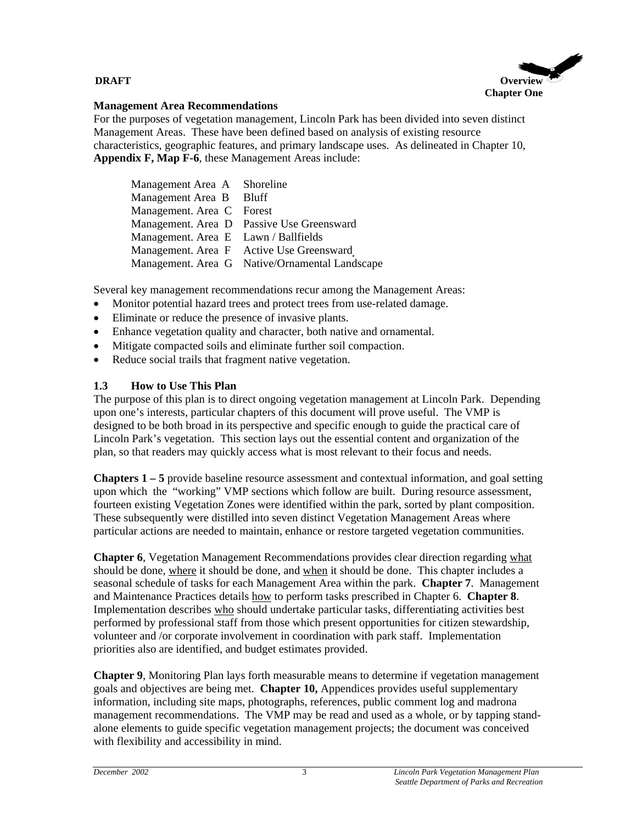

#### **Management Area Recommendations**

For the purposes of vegetation management, Lincoln Park has been divided into seven distinct Management Areas. These have been defined based on analysis of existing resource characteristics, geographic features, and primary landscape uses. As delineated in Chapter 10, **Appendix F, Map F-6**, these Management Areas include:

| Management Area A Shoreline          |                                                |
|--------------------------------------|------------------------------------------------|
| Management Area B Bluff              |                                                |
| Management. Area C Forest            |                                                |
|                                      | Management. Area D Passive Use Greensward      |
| Management. Area E Lawn / Ballfields |                                                |
|                                      | Management. Area F Active Use Greensward       |
|                                      | Management. Area G Native/Ornamental Landscape |

Several key management recommendations recur among the Management Areas:

- Monitor potential hazard trees and protect trees from use-related damage.
- Eliminate or reduce the presence of invasive plants.
- Enhance vegetation quality and character, both native and ornamental.
- Mitigate compacted soils and eliminate further soil compaction.
- Reduce social trails that fragment native vegetation.

# **1.3 How to Use This Plan**

The purpose of this plan is to direct ongoing vegetation management at Lincoln Park. Depending upon one's interests, particular chapters of this document will prove useful. The VMP is designed to be both broad in its perspective and specific enough to guide the practical care of Lincoln Park's vegetation. This section lays out the essential content and organization of the plan, so that readers may quickly access what is most relevant to their focus and needs.

**Chapters 1 – 5** provide baseline resource assessment and contextual information, and goal setting upon which the "working" VMP sections which follow are built. During resource assessment, fourteen existing Vegetation Zones were identified within the park, sorted by plant composition. These subsequently were distilled into seven distinct Vegetation Management Areas where particular actions are needed to maintain, enhance or restore targeted vegetation communities.

**Chapter 6**, Vegetation Management Recommendations provides clear direction regarding what should be done, where it should be done, and when it should be done. This chapter includes a seasonal schedule of tasks for each Management Area within the park. **Chapter 7**. Management and Maintenance Practices details how to perform tasks prescribed in Chapter 6. **Chapter 8**. Implementation describes who should undertake particular tasks, differentiating activities best performed by professional staff from those which present opportunities for citizen stewardship, volunteer and /or corporate involvement in coordination with park staff. Implementation priorities also are identified, and budget estimates provided.

**Chapter 9**, Monitoring Plan lays forth measurable means to determine if vegetation management goals and objectives are being met. **Chapter 10,** Appendices provides useful supplementary information, including site maps, photographs, references, public comment log and madrona management recommendations. The VMP may be read and used as a whole, or by tapping standalone elements to guide specific vegetation management projects; the document was conceived with flexibility and accessibility in mind.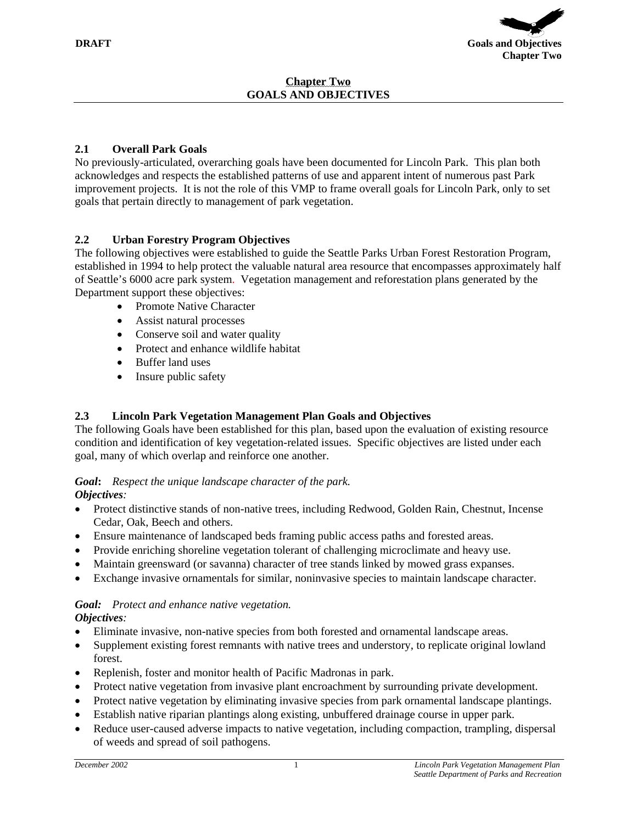

#### **Chapter Two GOALS AND OBJECTIVES**

# **2.1 Overall Park Goals**

No previously-articulated, overarching goals have been documented for Lincoln Park. This plan both acknowledges and respects the established patterns of use and apparent intent of numerous past Park improvement projects. It is not the role of this VMP to frame overall goals for Lincoln Park, only to set goals that pertain directly to management of park vegetation.

# **2.2 Urban Forestry Program Objectives**

The following objectives were established to guide the Seattle Parks Urban Forest Restoration Program, established in 1994 to help protect the valuable natural area resource that encompasses approximately half of Seattle's 6000 acre park system. Vegetation management and reforestation plans generated by the Department support these objectives:

- Promote Native Character
- Assist natural processes
- Conserve soil and water quality
- Protect and enhance wildlife habitat
- Buffer land uses
- Insure public safety

# **2.3 Lincoln Park Vegetation Management Plan Goals and Objectives**

The following Goals have been established for this plan, based upon the evaluation of existing resource condition and identification of key vegetation-related issues. Specific objectives are listed under each goal, many of which overlap and reinforce one another.

#### *Goal***:** *Respect the unique landscape character of the park. Objectives:*

- Protect distinctive stands of non-native trees, including Redwood, Golden Rain, Chestnut, Incense Cedar, Oak, Beech and others.
- Ensure maintenance of landscaped beds framing public access paths and forested areas.
- Provide enriching shoreline vegetation tolerant of challenging microclimate and heavy use.
- Maintain greensward (or savanna) character of tree stands linked by mowed grass expanses.
- Exchange invasive ornamentals for similar, noninvasive species to maintain landscape character.

#### *Goal: Protect and enhance native vegetation. Objectives:*

- Eliminate invasive, non-native species from both forested and ornamental landscape areas.
- Supplement existing forest remnants with native trees and understory, to replicate original lowland forest.
- Replenish, foster and monitor health of Pacific Madronas in park.
- Protect native vegetation from invasive plant encroachment by surrounding private development.
- Protect native vegetation by eliminating invasive species from park ornamental landscape plantings.
- Establish native riparian plantings along existing, unbuffered drainage course in upper park.
- Reduce user-caused adverse impacts to native vegetation, including compaction, trampling, dispersal of weeds and spread of soil pathogens.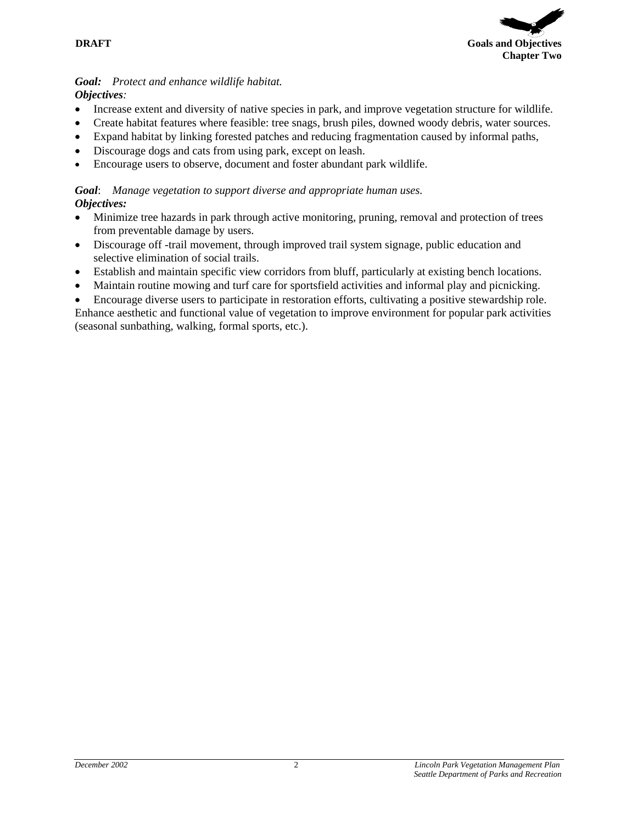

#### *Goal: Protect and enhance wildlife habitat. Objectives:*

- Increase extent and diversity of native species in park, and improve vegetation structure for wildlife.
- Create habitat features where feasible: tree snags, brush piles, downed woody debris, water sources.
- Expand habitat by linking forested patches and reducing fragmentation caused by informal paths,
- Discourage dogs and cats from using park, except on leash.
- Encourage users to observe, document and foster abundant park wildlife.

#### *Goal*: *Manage vegetation to support diverse and appropriate human uses. Objectives:*

- Minimize tree hazards in park through active monitoring, pruning, removal and protection of trees from preventable damage by users.
- Discourage off -trail movement, through improved trail system signage, public education and selective elimination of social trails.
- Establish and maintain specific view corridors from bluff, particularly at existing bench locations.
- Maintain routine mowing and turf care for sportsfield activities and informal play and picnicking.

• Encourage diverse users to participate in restoration efforts, cultivating a positive stewardship role. Enhance aesthetic and functional value of vegetation to improve environment for popular park activities (seasonal sunbathing, walking, formal sports, etc.).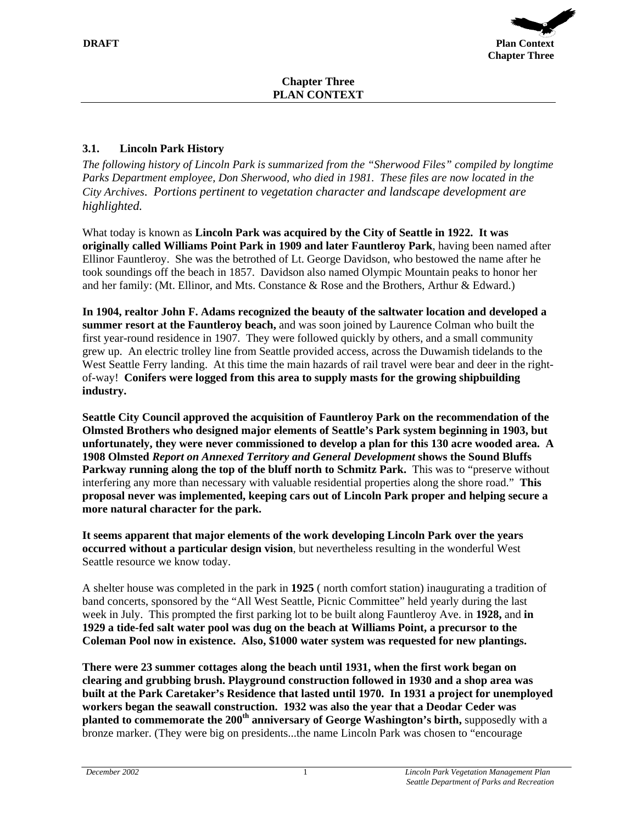

# **3.1. Lincoln Park History**

*The following history of Lincoln Park is summarized from the "Sherwood Files" compiled by longtime Parks Department employee, Don Sherwood, who died in 1981. These files are now located in the City Archives*. *Portions pertinent to vegetation character and landscape development are highlighted.*

What today is known as **Lincoln Park was acquired by the City of Seattle in 1922. It was originally called Williams Point Park in 1909 and later Fauntleroy Park**, having been named after Ellinor Fauntleroy. She was the betrothed of Lt. George Davidson, who bestowed the name after he took soundings off the beach in 1857. Davidson also named Olympic Mountain peaks to honor her and her family: (Mt. Ellinor, and Mts. Constance & Rose and the Brothers, Arthur & Edward.)

**In 1904, realtor John F. Adams recognized the beauty of the saltwater location and developed a summer resort at the Fauntleroy beach,** and was soon joined by Laurence Colman who built the first year-round residence in 1907. They were followed quickly by others, and a small community grew up. An electric trolley line from Seattle provided access, across the Duwamish tidelands to the West Seattle Ferry landing. At this time the main hazards of rail travel were bear and deer in the rightof-way! **Conifers were logged from this area to supply masts for the growing shipbuilding industry.**

**Seattle City Council approved the acquisition of Fauntleroy Park on the recommendation of the Olmsted Brothers who designed major elements of Seattle's Park system beginning in 1903, but unfortunately, they were never commissioned to develop a plan for this 130 acre wooded area. A 1908 Olmsted** *Report on Annexed Territory and General Development* **shows the Sound Bluffs Parkway running along the top of the bluff north to Schmitz Park.** This was to "preserve without interfering any more than necessary with valuable residential properties along the shore road." **This proposal never was implemented, keeping cars out of Lincoln Park proper and helping secure a more natural character for the park.**

**It seems apparent that major elements of the work developing Lincoln Park over the years occurred without a particular design vision**, but nevertheless resulting in the wonderful West Seattle resource we know today.

A shelter house was completed in the park in **1925** ( north comfort station) inaugurating a tradition of band concerts, sponsored by the "All West Seattle, Picnic Committee" held yearly during the last week in July. This prompted the first parking lot to be built along Fauntleroy Ave. in **1928,** and **in 1929 a tide-fed salt water pool was dug on the beach at Williams Point, a precursor to the Coleman Pool now in existence. Also, \$1000 water system was requested for new plantings.**

**There were 23 summer cottages along the beach until 1931, when the first work began on clearing and grubbing brush. Playground construction followed in 1930 and a shop area was built at the Park Caretaker's Residence that lasted until 1970. In 1931 a project for unemployed workers began the seawall construction. 1932 was also the year that a Deodar Ceder was planted to commemorate the 200th anniversary of George Washington's birth,** supposedly with a bronze marker. (They were big on presidents...the name Lincoln Park was chosen to "encourage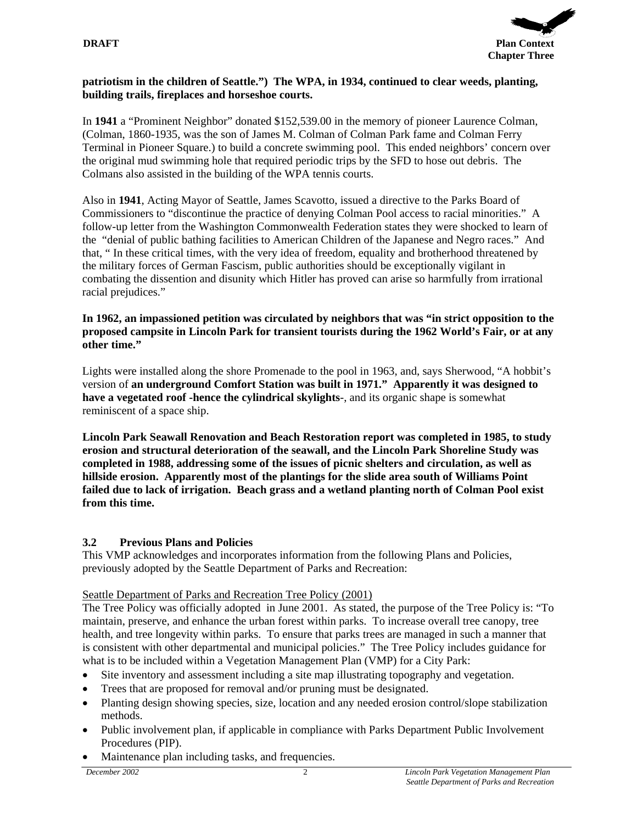

#### **patriotism in the children of Seattle.") The WPA, in 1934, continued to clear weeds, planting, building trails, fireplaces and horseshoe courts.**

In **1941** a "Prominent Neighbor" donated \$152,539.00 in the memory of pioneer Laurence Colman, (Colman, 1860-1935, was the son of James M. Colman of Colman Park fame and Colman Ferry Terminal in Pioneer Square.) to build a concrete swimming pool. This ended neighbors' concern over the original mud swimming hole that required periodic trips by the SFD to hose out debris. The Colmans also assisted in the building of the WPA tennis courts.

Also in **1941**, Acting Mayor of Seattle, James Scavotto, issued a directive to the Parks Board of Commissioners to "discontinue the practice of denying Colman Pool access to racial minorities." A follow-up letter from the Washington Commonwealth Federation states they were shocked to learn of the "denial of public bathing facilities to American Children of the Japanese and Negro races." And that, " In these critical times, with the very idea of freedom, equality and brotherhood threatened by the military forces of German Fascism, public authorities should be exceptionally vigilant in combating the dissention and disunity which Hitler has proved can arise so harmfully from irrational racial prejudices."

#### **In 1962, an impassioned petition was circulated by neighbors that was "in strict opposition to the proposed campsite in Lincoln Park for transient tourists during the 1962 World's Fair, or at any other time."**

Lights were installed along the shore Promenade to the pool in 1963, and, says Sherwood, "A hobbit's version of **an underground Comfort Station was built in 1971." Apparently it was designed to have a vegetated roof -hence the cylindrical skylights**-, and its organic shape is somewhat reminiscent of a space ship.

**Lincoln Park Seawall Renovation and Beach Restoration report was completed in 1985, to study erosion and structural deterioration of the seawall, and the Lincoln Park Shoreline Study was completed in 1988, addressing some of the issues of picnic shelters and circulation, as well as hillside erosion. Apparently most of the plantings for the slide area south of Williams Point failed due to lack of irrigation. Beach grass and a wetland planting north of Colman Pool exist from this time.** 

# **3.2 Previous Plans and Policies**

This VMP acknowledges and incorporates information from the following Plans and Policies, previously adopted by the Seattle Department of Parks and Recreation:

#### Seattle Department of Parks and Recreation Tree Policy (2001)

The Tree Policy was officially adopted in June 2001. As stated, the purpose of the Tree Policy is: "To maintain, preserve, and enhance the urban forest within parks. To increase overall tree canopy, tree health, and tree longevity within parks. To ensure that parks trees are managed in such a manner that is consistent with other departmental and municipal policies." The Tree Policy includes guidance for what is to be included within a Vegetation Management Plan (VMP) for a City Park:

- Site inventory and assessment including a site map illustrating topography and vegetation.
- Trees that are proposed for removal and/or pruning must be designated.
- Planting design showing species, size, location and any needed erosion control/slope stabilization methods.
- Public involvement plan, if applicable in compliance with Parks Department Public Involvement Procedures (PIP).
- Maintenance plan including tasks, and frequencies.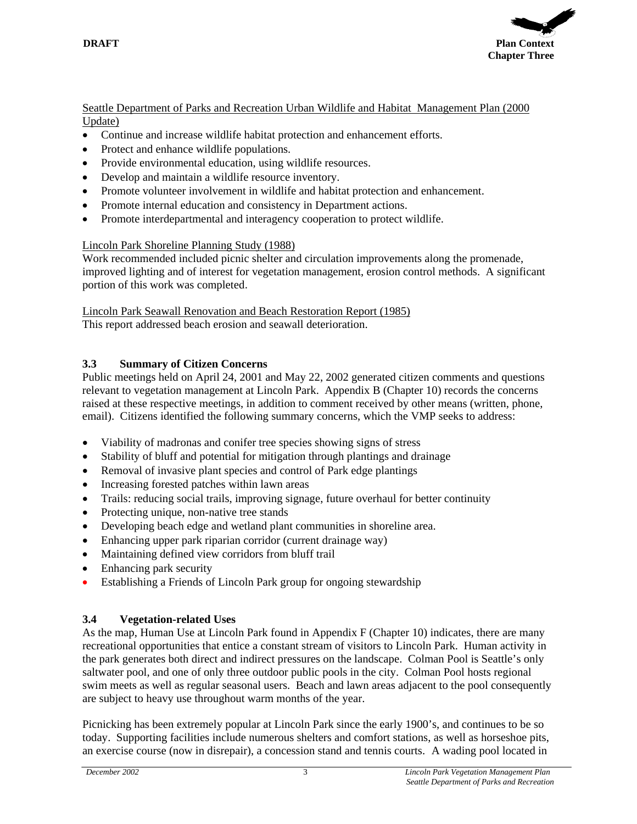

#### Seattle Department of Parks and Recreation Urban Wildlife and Habitat Management Plan (2000 Update)

- Continue and increase wildlife habitat protection and enhancement efforts.
- Protect and enhance wildlife populations.
- Provide environmental education, using wildlife resources.
- Develop and maintain a wildlife resource inventory.
- Promote volunteer involvement in wildlife and habitat protection and enhancement.
- Promote internal education and consistency in Department actions.
- Promote interdepartmental and interagency cooperation to protect wildlife.

# Lincoln Park Shoreline Planning Study (1988)

Work recommended included picnic shelter and circulation improvements along the promenade, improved lighting and of interest for vegetation management, erosion control methods. A significant portion of this work was completed.

Lincoln Park Seawall Renovation and Beach Restoration Report (1985) This report addressed beach erosion and seawall deterioration.

# **3.3 Summary of Citizen Concerns**

Public meetings held on April 24, 2001 and May 22, 2002 generated citizen comments and questions relevant to vegetation management at Lincoln Park. Appendix B (Chapter 10) records the concerns raised at these respective meetings, in addition to comment received by other means (written, phone, email). Citizens identified the following summary concerns, which the VMP seeks to address:

- Viability of madronas and conifer tree species showing signs of stress
- Stability of bluff and potential for mitigation through plantings and drainage
- Removal of invasive plant species and control of Park edge plantings
- Increasing forested patches within lawn areas
- Trails: reducing social trails, improving signage, future overhaul for better continuity
- Protecting unique, non-native tree stands
- Developing beach edge and wetland plant communities in shoreline area.
- Enhancing upper park riparian corridor (current drainage way)
- Maintaining defined view corridors from bluff trail
- Enhancing park security
- Establishing a Friends of Lincoln Park group for ongoing stewardship

# **3.4 Vegetation-related Uses**

As the map, Human Use at Lincoln Park found in Appendix F (Chapter 10) indicates, there are many recreational opportunities that entice a constant stream of visitors to Lincoln Park. Human activity in the park generates both direct and indirect pressures on the landscape. Colman Pool is Seattle's only saltwater pool, and one of only three outdoor public pools in the city. Colman Pool hosts regional swim meets as well as regular seasonal users. Beach and lawn areas adjacent to the pool consequently are subject to heavy use throughout warm months of the year.

Picnicking has been extremely popular at Lincoln Park since the early 1900's, and continues to be so today. Supporting facilities include numerous shelters and comfort stations, as well as horseshoe pits, an exercise course (now in disrepair), a concession stand and tennis courts. A wading pool located in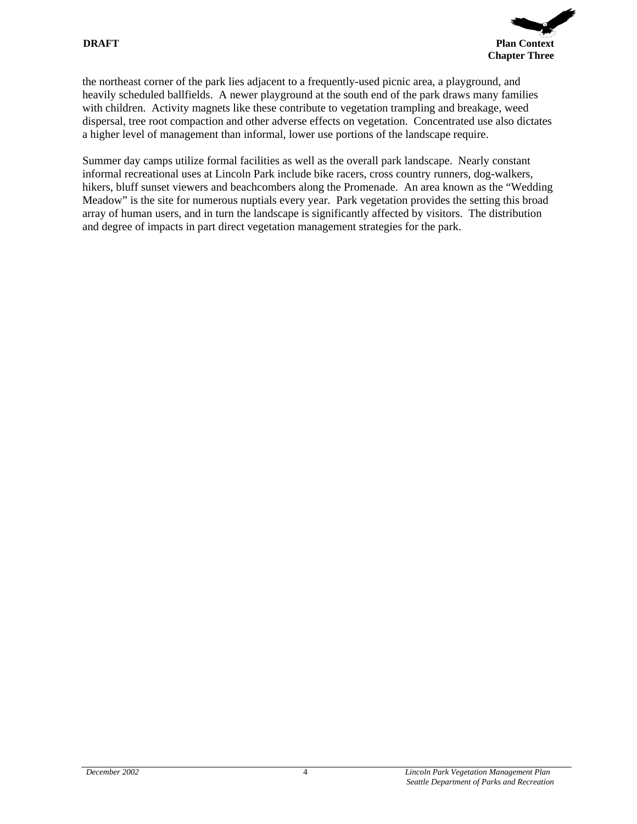

the northeast corner of the park lies adjacent to a frequently-used picnic area, a playground, and heavily scheduled ballfields. A newer playground at the south end of the park draws many families with children. Activity magnets like these contribute to vegetation trampling and breakage, weed dispersal, tree root compaction and other adverse effects on vegetation. Concentrated use also dictates a higher level of management than informal, lower use portions of the landscape require.

Summer day camps utilize formal facilities as well as the overall park landscape. Nearly constant informal recreational uses at Lincoln Park include bike racers, cross country runners, dog-walkers, hikers, bluff sunset viewers and beachcombers along the Promenade. An area known as the "Wedding Meadow" is the site for numerous nuptials every year. Park vegetation provides the setting this broad array of human users, and in turn the landscape is significantly affected by visitors. The distribution and degree of impacts in part direct vegetation management strategies for the park.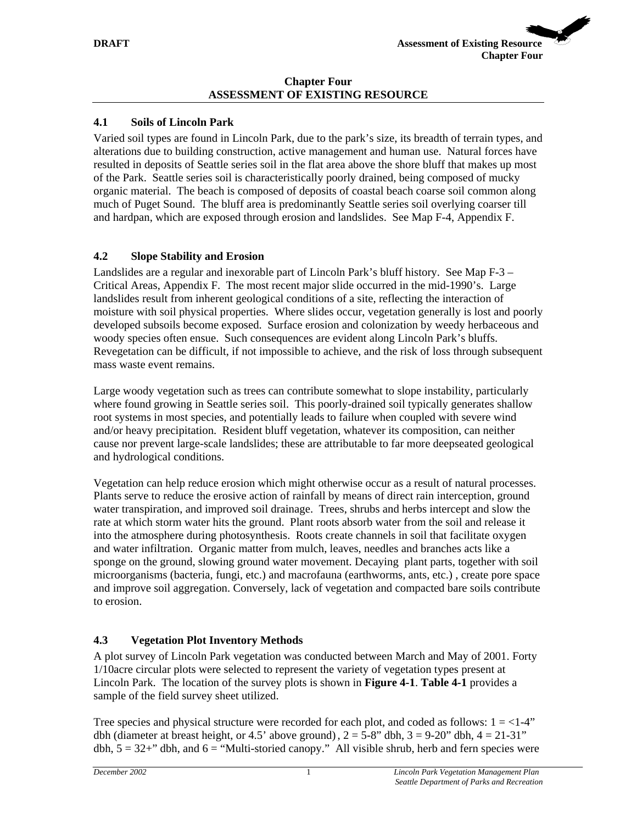#### **Chapter Four ASSESSMENT OF EXISTING RESOURCE**

# **4.1 Soils of Lincoln Park**

Varied soil types are found in Lincoln Park, due to the park's size, its breadth of terrain types, and alterations due to building construction, active management and human use. Natural forces have resulted in deposits of Seattle series soil in the flat area above the shore bluff that makes up most of the Park. Seattle series soil is characteristically poorly drained, being composed of mucky organic material. The beach is composed of deposits of coastal beach coarse soil common along much of Puget Sound. The bluff area is predominantly Seattle series soil overlying coarser till and hardpan, which are exposed through erosion and landslides. See Map F-4, Appendix F.

# **4.2 Slope Stability and Erosion**

Landslides are a regular and inexorable part of Lincoln Park's bluff history. See Map F-3 – Critical Areas, Appendix F. The most recent major slide occurred in the mid-1990's. Large landslides result from inherent geological conditions of a site, reflecting the interaction of moisture with soil physical properties. Where slides occur, vegetation generally is lost and poorly developed subsoils become exposed. Surface erosion and colonization by weedy herbaceous and woody species often ensue. Such consequences are evident along Lincoln Park's bluffs. Revegetation can be difficult, if not impossible to achieve, and the risk of loss through subsequent mass waste event remains.

Large woody vegetation such as trees can contribute somewhat to slope instability, particularly where found growing in Seattle series soil. This poorly-drained soil typically generates shallow root systems in most species, and potentially leads to failure when coupled with severe wind and/or heavy precipitation. Resident bluff vegetation, whatever its composition, can neither cause nor prevent large-scale landslides; these are attributable to far more deepseated geological and hydrological conditions.

Vegetation can help reduce erosion which might otherwise occur as a result of natural processes. Plants serve to reduce the erosive action of rainfall by means of direct rain interception, ground water transpiration, and improved soil drainage. Trees, shrubs and herbs intercept and slow the rate at which storm water hits the ground. Plant roots absorb water from the soil and release it into the atmosphere during photosynthesis. Roots create channels in soil that facilitate oxygen and water infiltration. Organic matter from mulch, leaves, needles and branches acts like a sponge on the ground, slowing ground water movement. Decaying plant parts, together with soil microorganisms (bacteria, fungi, etc.) and macrofauna (earthworms, ants, etc.) , create pore space and improve soil aggregation. Conversely, lack of vegetation and compacted bare soils contribute to erosion.

# **4.3 Vegetation Plot Inventory Methods**

A plot survey of Lincoln Park vegetation was conducted between March and May of 2001. Forty 1/10acre circular plots were selected to represent the variety of vegetation types present at Lincoln Park. The location of the survey plots is shown in **Figure 4-1**. **Table 4-1** provides a sample of the field survey sheet utilized.

Tree species and physical structure were recorded for each plot, and coded as follows:  $1 = \langle 1-4 \rangle$ " dbh (diameter at breast height, or 4.5' above ground),  $2 = 5-8$ " dbh,  $3 = 9-20$ " dbh,  $4 = 21-31$ " dbh,  $5 = 32+$ " dbh, and  $6 =$  "Multi-storied canopy." All visible shrub, herb and fern species were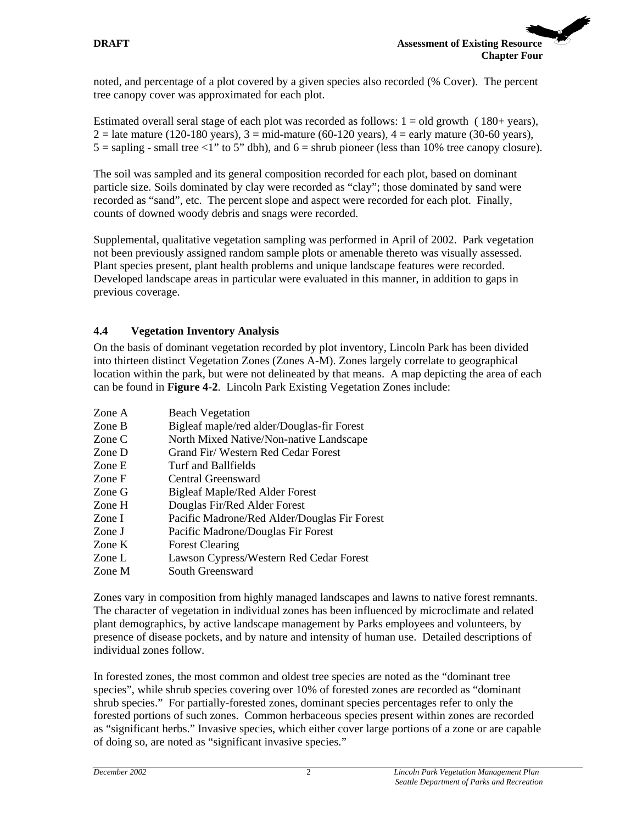noted, and percentage of a plot covered by a given species also recorded (% Cover). The percent tree canopy cover was approximated for each plot.

Estimated overall seral stage of each plot was recorded as follows:  $1 = old$ growth (180+ years),  $2 =$  late mature (120-180 years), 3 = mid-mature (60-120 years), 4 = early mature (30-60 years),  $5 =$  sapling - small tree <1" to 5" dbh), and  $6 =$  shrub pioneer (less than 10% tree canopy closure).

The soil was sampled and its general composition recorded for each plot, based on dominant particle size. Soils dominated by clay were recorded as "clay"; those dominated by sand were recorded as "sand", etc. The percent slope and aspect were recorded for each plot. Finally, counts of downed woody debris and snags were recorded.

Supplemental, qualitative vegetation sampling was performed in April of 2002. Park vegetation not been previously assigned random sample plots or amenable thereto was visually assessed. Plant species present, plant health problems and unique landscape features were recorded. Developed landscape areas in particular were evaluated in this manner, in addition to gaps in previous coverage.

# **4.4 Vegetation Inventory Analysis**

On the basis of dominant vegetation recorded by plot inventory, Lincoln Park has been divided into thirteen distinct Vegetation Zones (Zones A-M). Zones largely correlate to geographical location within the park, but were not delineated by that means. A map depicting the area of each can be found in **Figure 4-2**. Lincoln Park Existing Vegetation Zones include:

| Zone A | <b>Beach Vegetation</b>                      |
|--------|----------------------------------------------|
| Zone B | Bigleaf maple/red alder/Douglas-fir Forest   |
| Zone C | North Mixed Native/Non-native Landscape      |
| Zone D | Grand Fir/Western Red Cedar Forest           |
| Zone E | Turf and Ballfields                          |
| Zone F | Central Greensward                           |
| Zone G | <b>Bigleaf Maple/Red Alder Forest</b>        |
| Zone H | Douglas Fir/Red Alder Forest                 |
| Zone I | Pacific Madrone/Red Alder/Douglas Fir Forest |
| Zone J | Pacific Madrone/Douglas Fir Forest           |
| Zone K | <b>Forest Clearing</b>                       |

- Zone L Lawson Cypress/Western Red Cedar Forest
- Zone M South Greensward

Zones vary in composition from highly managed landscapes and lawns to native forest remnants. The character of vegetation in individual zones has been influenced by microclimate and related plant demographics, by active landscape management by Parks employees and volunteers, by presence of disease pockets, and by nature and intensity of human use. Detailed descriptions of individual zones follow.

In forested zones, the most common and oldest tree species are noted as the "dominant tree species", while shrub species covering over 10% of forested zones are recorded as "dominant shrub species." For partially-forested zones, dominant species percentages refer to only the forested portions of such zones. Common herbaceous species present within zones are recorded as "significant herbs." Invasive species, which either cover large portions of a zone or are capable of doing so, are noted as "significant invasive species."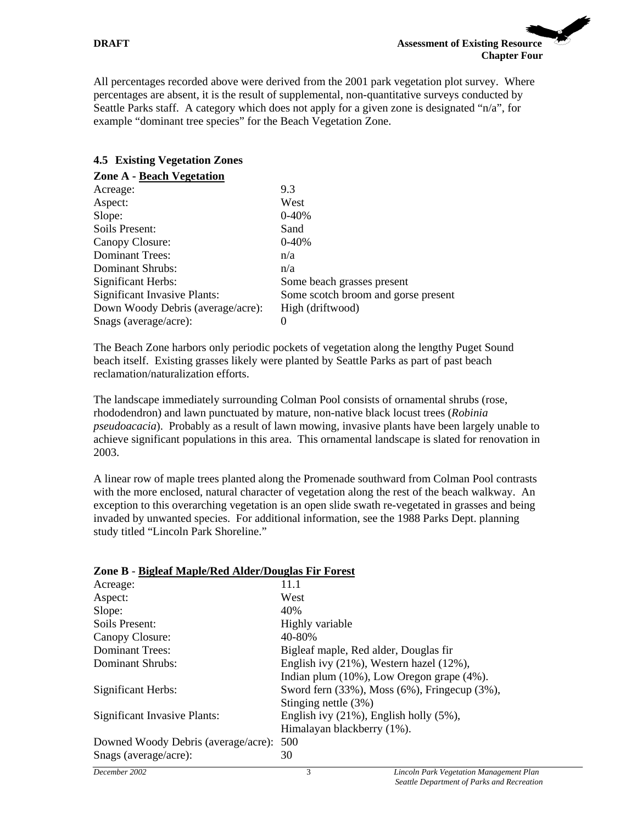All percentages recorded above were derived from the 2001 park vegetation plot survey. Where percentages are absent, it is the result of supplemental, non-quantitative surveys conducted by Seattle Parks staff. A category which does not apply for a given zone is designated "n/a", for example "dominant tree species" for the Beach Vegetation Zone.

#### **4.5 Existing Vegetation Zones**

| <b>Zone A - Beach Vegetation</b>    |                                     |
|-------------------------------------|-------------------------------------|
| Acreage:                            | 9.3                                 |
| Aspect:                             | West                                |
| Slope:                              | $0 - 40%$                           |
| Soils Present:                      | Sand                                |
| Canopy Closure:                     | $0 - 40%$                           |
| <b>Dominant Trees:</b>              | n/a                                 |
| Dominant Shrubs:                    | n/a                                 |
| Significant Herbs:                  | Some beach grasses present          |
| <b>Significant Invasive Plants:</b> | Some scotch broom and gorse present |
| Down Woody Debris (average/acre):   | High (driftwood)                    |
| Snags (average/acre):               | $\theta$                            |

The Beach Zone harbors only periodic pockets of vegetation along the lengthy Puget Sound beach itself. Existing grasses likely were planted by Seattle Parks as part of past beach reclamation/naturalization efforts.

The landscape immediately surrounding Colman Pool consists of ornamental shrubs (rose, rhododendron) and lawn punctuated by mature, non-native black locust trees (*Robinia pseudoacacia*). Probably as a result of lawn mowing, invasive plants have been largely unable to achieve significant populations in this area. This ornamental landscape is slated for renovation in 2003.

A linear row of maple trees planted along the Promenade southward from Colman Pool contrasts with the more enclosed, natural character of vegetation along the rest of the beach walkway. An exception to this overarching vegetation is an open slide swath re-vegetated in grasses and being invaded by unwanted species. For additional information, see the 1988 Parks Dept. planning study titled "Lincoln Park Shoreline."

| Zone D - Digital Mapic/Red Angel/Douglas Fil Forest |                                                 |
|-----------------------------------------------------|-------------------------------------------------|
| Acreage:                                            | 11.1                                            |
| Aspect:                                             | West                                            |
| Slope:                                              | 40%                                             |
| Soils Present:                                      | Highly variable                                 |
| Canopy Closure:                                     | 40-80%                                          |
| <b>Dominant Trees:</b>                              | Bigleaf maple, Red alder, Douglas fir           |
| Dominant Shrubs:                                    | English ivy $(21\%)$ , Western hazel $(12\%)$ , |
|                                                     | Indian plum (10%), Low Oregon grape (4%).       |
| Significant Herbs:                                  | Sword fern (33%), Moss (6%), Fringecup (3%),    |
|                                                     | Stinging nettle (3%)                            |
| <b>Significant Invasive Plants:</b>                 | English ivy $(21\%)$ , English holly $(5\%)$ ,  |
|                                                     | Himalayan blackberry (1%).                      |
| Downed Woody Debris (average/acre): 500             |                                                 |
| Snags (average/acre):                               | 30                                              |

# **Zone B** - **Bigleaf Maple/Red Alder/Douglas Fir Forest**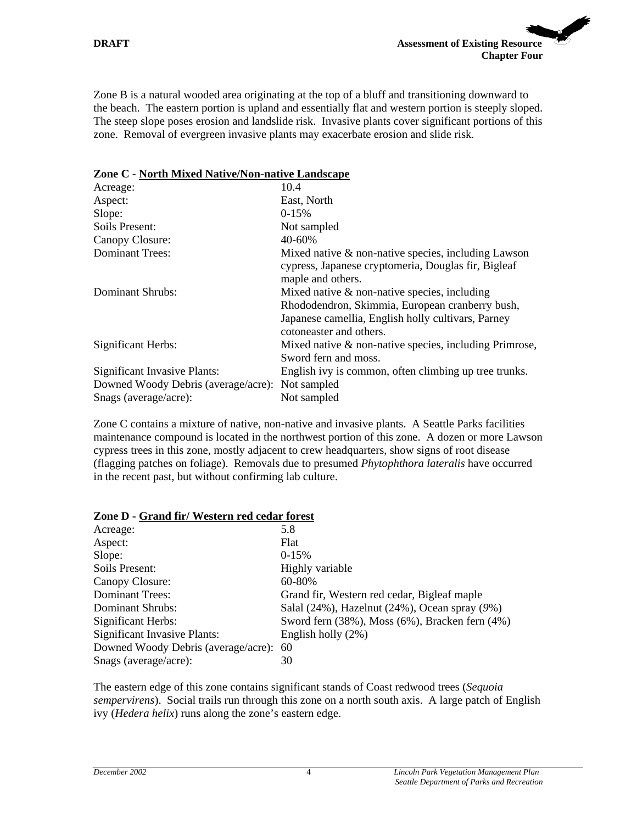Zone B is a natural wooded area originating at the top of a bluff and transitioning downward to the beach. The eastern portion is upland and essentially flat and western portion is steeply sloped. The steep slope poses erosion and landslide risk. Invasive plants cover significant portions of this zone. Removal of evergreen invasive plants may exacerbate erosion and slide risk.

| 10.4                                                                                                                                                                                |
|-------------------------------------------------------------------------------------------------------------------------------------------------------------------------------------|
| East, North                                                                                                                                                                         |
| $0-15%$                                                                                                                                                                             |
| Not sampled                                                                                                                                                                         |
| 40-60%                                                                                                                                                                              |
| Mixed native & non-native species, including Lawson<br>cypress, Japanese cryptomeria, Douglas fir, Bigleaf<br>maple and others.                                                     |
| Mixed native $\&$ non-native species, including<br>Rhododendron, Skimmia, European cranberry bush,<br>Japanese camellia, English holly cultivars, Parney<br>cotoneaster and others. |
| Mixed native & non-native species, including Primrose,<br>Sword fern and moss.                                                                                                      |
| English ivy is common, often climbing up tree trunks.                                                                                                                               |
| Downed Woody Debris (average/acre): Not sampled                                                                                                                                     |
| Not sampled                                                                                                                                                                         |
|                                                                                                                                                                                     |

**Zone C - North Mixed Native/Non-native Landscape**

Zone C contains a mixture of native, non-native and invasive plants. A Seattle Parks facilities maintenance compound is located in the northwest portion of this zone. A dozen or more Lawson cypress trees in this zone, mostly adjacent to crew headquarters, show signs of root disease (flagging patches on foliage). Removals due to presumed *Phytophthora lateralis* have occurred in the recent past, but without confirming lab culture.

| Zone D - Grand fir/ Western red cedar forest |                                                          |  |
|----------------------------------------------|----------------------------------------------------------|--|
| Acreage:                                     | 5.8                                                      |  |
| Aspect:                                      | Flat                                                     |  |
| Slope:                                       | $0-15%$                                                  |  |
| Soils Present:                               | Highly variable                                          |  |
| Canopy Closure:                              | 60-80%                                                   |  |
| <b>Dominant Trees:</b>                       | Grand fir, Western red cedar, Bigleaf maple              |  |
| Dominant Shrubs:                             | Salal $(24\%)$ , Hazelnut $(24\%)$ , Ocean spray $(9\%)$ |  |
| Significant Herbs:                           | Sword fern (38%), Moss (6%), Bracken fern (4%)           |  |
| <b>Significant Invasive Plants:</b>          | English holly (2%)                                       |  |
| Downed Woody Debris (average/acre):          | 60                                                       |  |
| Snags (average/acre):                        | 30                                                       |  |

#### The eastern edge of this zone contains significant stands of Coast redwood trees (*Sequoia sempervirens*). Social trails run through this zone on a north south axis. A large patch of English ivy (*Hedera helix*) runs along the zone's eastern edge.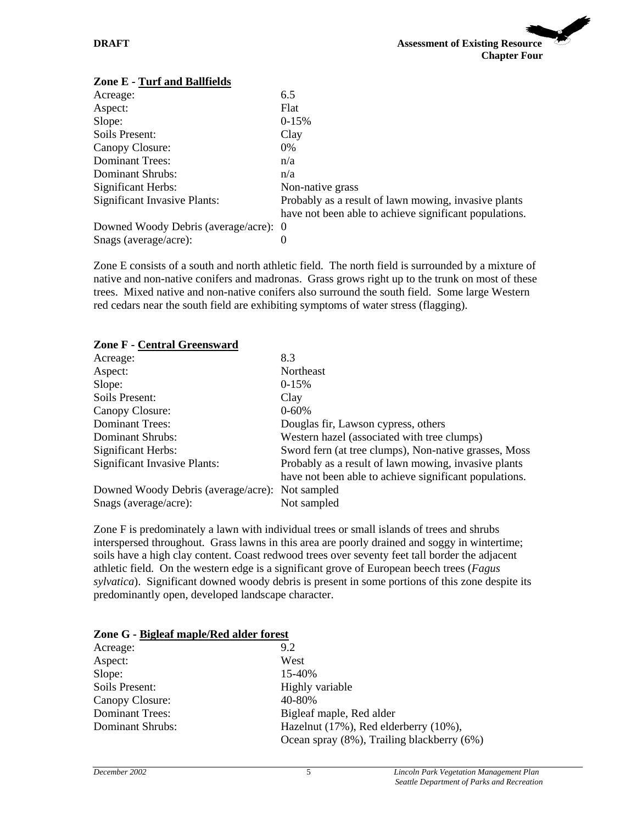

# **Zone E - Turf and Ballfields**

| Acreage:                              | 6.5                                                    |
|---------------------------------------|--------------------------------------------------------|
| Aspect:                               | Flat                                                   |
| Slope:                                | $0-15%$                                                |
| Soils Present:                        | Clay                                                   |
| Canopy Closure:                       | $0\%$                                                  |
| <b>Dominant Trees:</b>                | n/a                                                    |
| Dominant Shrubs:                      | n/a                                                    |
| Significant Herbs:                    | Non-native grass                                       |
| <b>Significant Invasive Plants:</b>   | Probably as a result of lawn mowing, invasive plants   |
|                                       | have not been able to achieve significant populations. |
| Downed Woody Debris (average/acre): 0 |                                                        |
| Snags (average/acre):                 | 0                                                      |

Zone E consists of a south and north athletic field. The north field is surrounded by a mixture of native and non-native conifers and madronas. Grass grows right up to the trunk on most of these trees. Mixed native and non-native conifers also surround the south field. Some large Western red cedars near the south field are exhibiting symptoms of water stress (flagging).

#### **Zone F - Central Greensward**

| Acreage:                                        | 8.3                                                    |
|-------------------------------------------------|--------------------------------------------------------|
| Aspect:                                         | Northeast                                              |
| Slope:                                          | $0-15%$                                                |
| Soils Present:                                  | Clay                                                   |
| Canopy Closure:                                 | $0 - 60\%$                                             |
| <b>Dominant Trees:</b>                          | Douglas fir, Lawson cypress, others                    |
| Dominant Shrubs:                                | Western hazel (associated with tree clumps)            |
| <b>Significant Herbs:</b>                       | Sword fern (at tree clumps), Non-native grasses, Moss  |
| <b>Significant Invasive Plants:</b>             | Probably as a result of lawn mowing, invasive plants   |
|                                                 | have not been able to achieve significant populations. |
| Downed Woody Debris (average/acre): Not sampled |                                                        |
| Snags (average/acre):                           | Not sampled                                            |

Zone F is predominately a lawn with individual trees or small islands of trees and shrubs interspersed throughout. Grass lawns in this area are poorly drained and soggy in wintertime; soils have a high clay content. Coast redwood trees over seventy feet tall border the adjacent athletic field. On the western edge is a significant grove of European beech trees (*Fagus sylvatica*). Significant downed woody debris is present in some portions of this zone despite its predominantly open, developed landscape character.

| Zone G - Bigieal mapie/Red alder forest |                                            |
|-----------------------------------------|--------------------------------------------|
| Acreage:                                | 9.2                                        |
| Aspect:                                 | West                                       |
| Slope:                                  | 15-40%                                     |
| Soils Present:                          | Highly variable                            |
| Canopy Closure:                         | 40-80%                                     |
| <b>Dominant Trees:</b>                  | Bigleaf maple, Red alder                   |
| <b>Dominant Shrubs:</b>                 | Hazelnut (17%), Red elderberry (10%),      |
|                                         | Ocean spray (8%), Trailing blackberry (6%) |

#### **Zone G - Bigleaf maple/Red alder forest**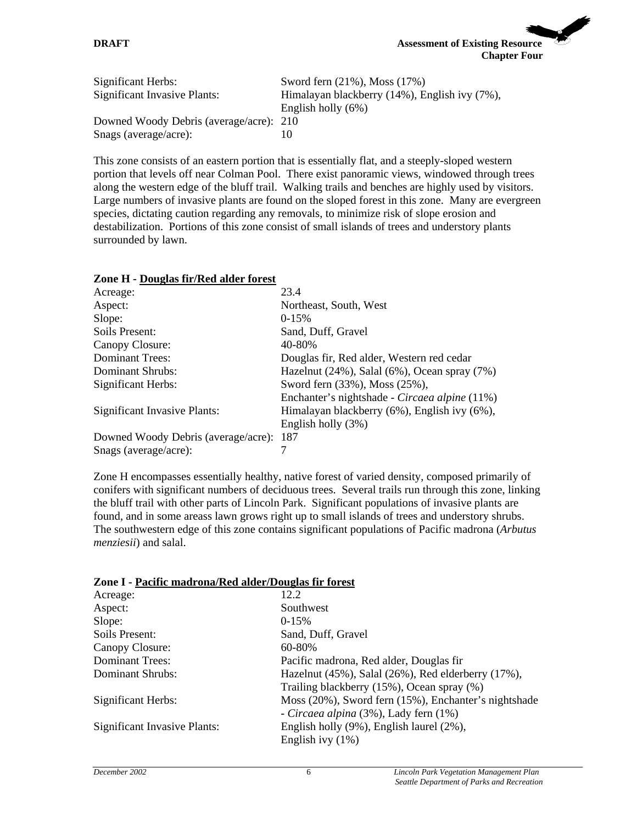| Significant Herbs:                      | Sword fern $(21\%)$ , Moss $(17\%)$           |
|-----------------------------------------|-----------------------------------------------|
| <b>Significant Invasive Plants:</b>     | Himalayan blackberry (14%), English ivy (7%), |
|                                         | English holly $(6\%)$                         |
| Downed Woody Debris (average/acre): 210 |                                               |
| Snags (average/acre):                   |                                               |

This zone consists of an eastern portion that is essentially flat, and a steeply-sloped western portion that levels off near Colman Pool. There exist panoramic views, windowed through trees along the western edge of the bluff trail. Walking trails and benches are highly used by visitors. Large numbers of invasive plants are found on the sloped forest in this zone. Many are evergreen species, dictating caution regarding any removals, to minimize risk of slope erosion and destabilization. Portions of this zone consist of small islands of trees and understory plants surrounded by lawn.

| 23.4                                                    |
|---------------------------------------------------------|
| Northeast, South, West                                  |
| $0-15%$                                                 |
| Sand, Duff, Gravel                                      |
| 40-80%                                                  |
| Douglas fir, Red alder, Western red cedar               |
| Hazelnut $(24\%)$ , Salal $(6\%)$ , Ocean spray $(7\%)$ |
| Sword fern (33%), Moss (25%),                           |
| Enchanter's nightshade - Circaea alpine (11%)           |
| Himalayan blackberry (6%), English ivy (6%),            |
| English holly (3%)                                      |
| Downed Woody Debris (average/acre): 187                 |
|                                                         |
|                                                         |

# **Zone H - Douglas fir/Red alder forest**

Zone H encompasses essentially healthy, native forest of varied density, composed primarily of conifers with significant numbers of deciduous trees. Several trails run through this zone, linking the bluff trail with other parts of Lincoln Park. Significant populations of invasive plants are found, and in some areass lawn grows right up to small islands of trees and understory shrubs. The southwestern edge of this zone contains significant populations of Pacific madrona (*Arbutus menziesii*) and salal.

# **Zone I - Pacific madrona/Red alder/Douglas fir forest**

| 12.2                                                 |
|------------------------------------------------------|
| Southwest                                            |
| $0-15%$                                              |
| Sand, Duff, Gravel                                   |
| 60-80%                                               |
| Pacific madrona, Red alder, Douglas fir              |
| Hazelnut (45%), Salal (26%), Red elderberry (17%),   |
| Trailing blackberry (15%), Ocean spray (%)           |
| Moss (20%), Sword fern (15%), Enchanter's nightshade |
| - Circaea alpina (3%), Lady fern (1%)                |
| English holly (9%), English laurel (2%),             |
| English ivy $(1%)$                                   |
|                                                      |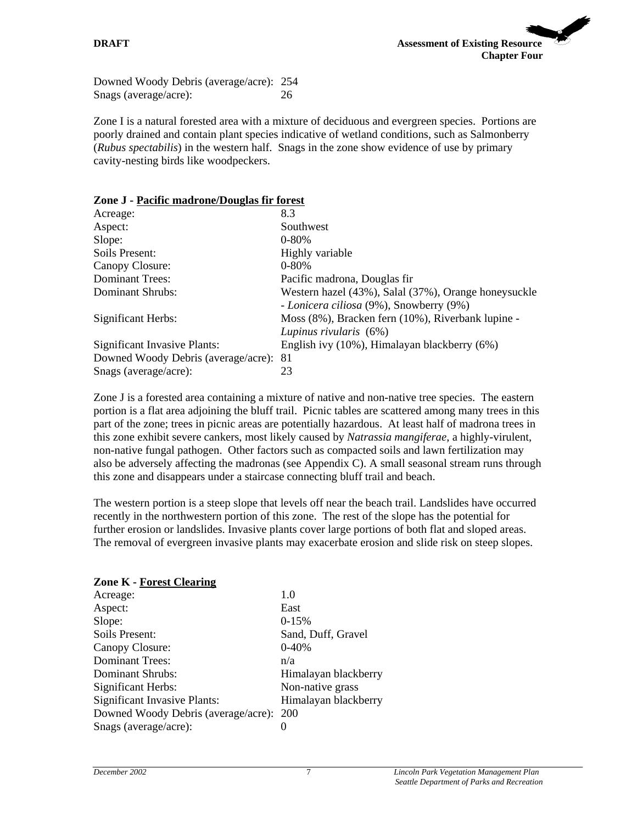**DRAFT** Assessment of Existing Resource **Chapter Four**

Downed Woody Debris (average/acre): 254 Snags (average/acre): 26

Zone I is a natural forested area with a mixture of deciduous and evergreen species. Portions are poorly drained and contain plant species indicative of wetland conditions, such as Salmonberry (*Rubus spectabilis*) in the western half. Snags in the zone show evidence of use by primary cavity-nesting birds like woodpeckers.

| Zone J - Facilic maurone/Douglas III forest |                                                                                                 |
|---------------------------------------------|-------------------------------------------------------------------------------------------------|
| Acreage:                                    | 8.3                                                                                             |
| Aspect:                                     | Southwest                                                                                       |
| Slope:                                      | $0 - 80\%$                                                                                      |
| Soils Present:                              | Highly variable                                                                                 |
| Canopy Closure:                             | $0 - 80\%$                                                                                      |
| <b>Dominant Trees:</b>                      | Pacific madrona, Douglas fir                                                                    |
| Dominant Shrubs:                            | Western hazel (43%), Salal (37%), Orange honeysuckle<br>- Lonicera ciliosa (9%), Snowberry (9%) |
| Significant Herbs:                          | Moss (8%), Bracken fern (10%), Riverbank lupine -                                               |
|                                             | Lupinus rivularis (6%)                                                                          |
| <b>Significant Invasive Plants:</b>         | English ivy (10%), Himalayan blackberry (6%)                                                    |
| Downed Woody Debris (average/acre): 81      |                                                                                                 |
| Snags (average/acre):                       | 23                                                                                              |
|                                             |                                                                                                 |

#### **Zone J - Pacific madrone/Douglas fir forest**

Zone J is a forested area containing a mixture of native and non-native tree species. The eastern portion is a flat area adjoining the bluff trail. Picnic tables are scattered among many trees in this part of the zone; trees in picnic areas are potentially hazardous. At least half of madrona trees in this zone exhibit severe cankers, most likely caused by *Natrassia mangiferae*, a highly-virulent, non-native fungal pathogen. Other factors such as compacted soils and lawn fertilization may also be adversely affecting the madronas (see Appendix C). A small seasonal stream runs through this zone and disappears under a staircase connecting bluff trail and beach.

The western portion is a steep slope that levels off near the beach trail. Landslides have occurred recently in the northwestern portion of this zone. The rest of the slope has the potential for further erosion or landslides. Invasive plants cover large portions of both flat and sloped areas. The removal of evergreen invasive plants may exacerbate erosion and slide risk on steep slopes.

#### **Zone K - Forest Clearing**

| Acreage:                                | 1.0                  |
|-----------------------------------------|----------------------|
| Aspect:                                 | East                 |
| Slope:                                  | $0-15%$              |
| Soils Present:                          | Sand, Duff, Gravel   |
| Canopy Closure:                         | $0 - 40%$            |
| <b>Dominant Trees:</b>                  | n/a                  |
| <b>Dominant Shrubs:</b>                 | Himalayan blackberry |
| Significant Herbs:                      | Non-native grass     |
| <b>Significant Invasive Plants:</b>     | Himalayan blackberry |
| Downed Woody Debris (average/acre): 200 |                      |
| Snags (average/acre):                   |                      |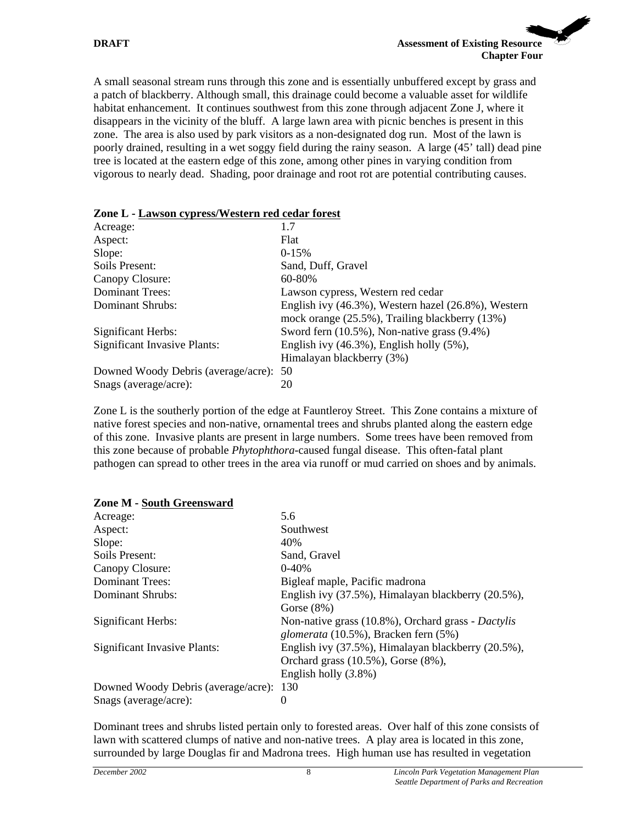A small seasonal stream runs through this zone and is essentially unbuffered except by grass and a patch of blackberry. Although small, this drainage could become a valuable asset for wildlife habitat enhancement. It continues southwest from this zone through adjacent Zone J, where it disappears in the vicinity of the bluff. A large lawn area with picnic benches is present in this zone. The area is also used by park visitors as a non-designated dog run. Most of the lawn is poorly drained, resulting in a wet soggy field during the rainy season. A large (45' tall) dead pine tree is located at the eastern edge of this zone, among other pines in varying condition from vigorous to nearly dead. Shading, poor drainage and root rot are potential contributing causes.

| Zone L' - Lawson cypress/ Western rea ceuar forest              |                                                                                                       |
|-----------------------------------------------------------------|-------------------------------------------------------------------------------------------------------|
| Acreage:                                                        | 1.7                                                                                                   |
| Aspect:                                                         | Flat                                                                                                  |
| Slope:                                                          | $0-15%$                                                                                               |
| Soils Present:                                                  | Sand, Duff, Gravel                                                                                    |
| Canopy Closure:                                                 | 60-80%                                                                                                |
| <b>Dominant Trees:</b>                                          | Lawson cypress, Western red cedar                                                                     |
| Dominant Shrubs:                                                | English ivy (46.3%), Western hazel (26.8%), Western<br>mock orange (25.5%), Trailing blackberry (13%) |
| Significant Herbs:                                              | Sword fern (10.5%), Non-native grass (9.4%)                                                           |
| <b>Significant Invasive Plants:</b>                             | English ivy $(46.3\%)$ , English holly $(5\%)$ ,<br>Himalayan blackberry (3%)                         |
| Downed Woody Debris (average/acre): 50<br>Snags (average/acre): | 20                                                                                                    |

# **Zone L - Lawson cypress/Western red cedar forest**

Zone L is the southerly portion of the edge at Fauntleroy Street. This Zone contains a mixture of native forest species and non-native, ornamental trees and shrubs planted along the eastern edge of this zone. Invasive plants are present in large numbers. Some trees have been removed from this zone because of probable *Phytophthora-*caused fungal disease. This often-fatal plant pathogen can spread to other trees in the area via runoff or mud carried on shoes and by animals.

| 5.6                                                |
|----------------------------------------------------|
| Southwest                                          |
| 40%                                                |
| Sand, Gravel                                       |
| $0-40%$                                            |
| Bigleaf maple, Pacific madrona                     |
| English ivy (37.5%), Himalayan blackberry (20.5%), |
| Gorse $(8\%)$                                      |
| Non-native grass (10.8%), Orchard grass - Dactylis |
| glomerata (10.5%), Bracken fern (5%)               |
| English ivy (37.5%), Himalayan blackberry (20.5%), |
| Orchard grass $(10.5\%)$ , Gorse $(8\%)$ ,         |
| English holly $(3.8\%)$                            |
| Downed Woody Debris (average/acre): 130            |
| $\Omega$                                           |
|                                                    |

#### **Zone M - South Greensward**

Dominant trees and shrubs listed pertain only to forested areas. Over half of this zone consists of lawn with scattered clumps of native and non-native trees. A play area is located in this zone, surrounded by large Douglas fir and Madrona trees. High human use has resulted in vegetation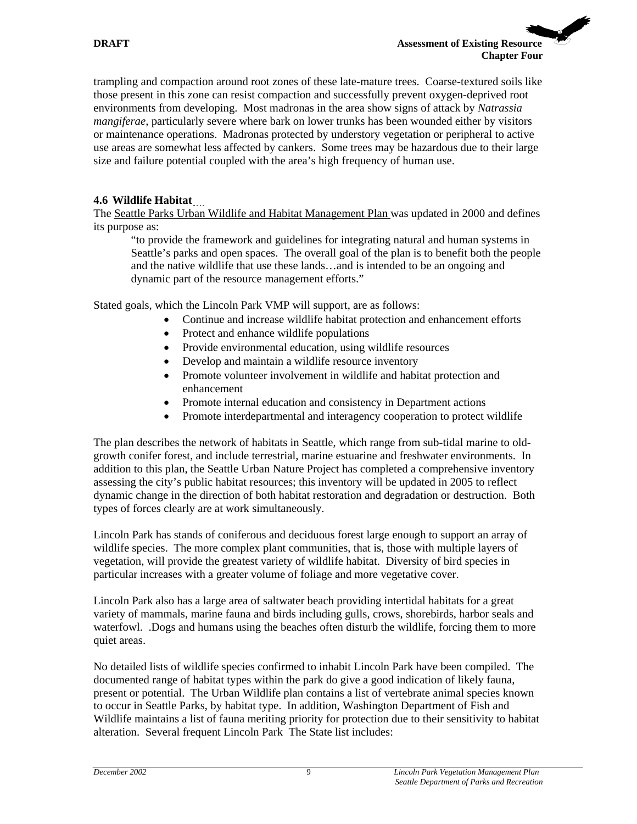trampling and compaction around root zones of these late-mature trees. Coarse-textured soils like those present in this zone can resist compaction and successfully prevent oxygen-deprived root environments from developing. Most madronas in the area show signs of attack by *Natrassia mangiferae*, particularly severe where bark on lower trunks has been wounded either by visitors or maintenance operations. Madronas protected by understory vegetation or peripheral to active use areas are somewhat less affected by cankers. Some trees may be hazardous due to their large size and failure potential coupled with the area's high frequency of human use.

# **4.6 Wildlife Habitat**

The Seattle Parks Urban Wildlife and Habitat Management Plan was updated in 2000 and defines its purpose as:

"to provide the framework and guidelines for integrating natural and human systems in Seattle's parks and open spaces. The overall goal of the plan is to benefit both the people and the native wildlife that use these lands…and is intended to be an ongoing and dynamic part of the resource management efforts."

Stated goals, which the Lincoln Park VMP will support, are as follows:

- Continue and increase wildlife habitat protection and enhancement efforts
- Protect and enhance wildlife populations
- Provide environmental education, using wildlife resources
- Develop and maintain a wildlife resource inventory
- Promote volunteer involvement in wildlife and habitat protection and enhancement
- Promote internal education and consistency in Department actions
- Promote interdepartmental and interagency cooperation to protect wildlife

The plan describes the network of habitats in Seattle, which range from sub-tidal marine to oldgrowth conifer forest, and include terrestrial, marine estuarine and freshwater environments. In addition to this plan, the Seattle Urban Nature Project has completed a comprehensive inventory assessing the city's public habitat resources; this inventory will be updated in 2005 to reflect dynamic change in the direction of both habitat restoration and degradation or destruction. Both types of forces clearly are at work simultaneously.

Lincoln Park has stands of coniferous and deciduous forest large enough to support an array of wildlife species. The more complex plant communities, that is, those with multiple layers of vegetation, will provide the greatest variety of wildlife habitat. Diversity of bird species in particular increases with a greater volume of foliage and more vegetative cover.

Lincoln Park also has a large area of saltwater beach providing intertidal habitats for a great variety of mammals, marine fauna and birds including gulls, crows, shorebirds, harbor seals and waterfowl. .Dogs and humans using the beaches often disturb the wildlife, forcing them to more quiet areas.

No detailed lists of wildlife species confirmed to inhabit Lincoln Park have been compiled. The documented range of habitat types within the park do give a good indication of likely fauna, present or potential. The Urban Wildlife plan contains a list of vertebrate animal species known to occur in Seattle Parks, by habitat type. In addition, Washington Department of Fish and Wildlife maintains a list of fauna meriting priority for protection due to their sensitivity to habitat alteration. Several frequent Lincoln Park The State list includes: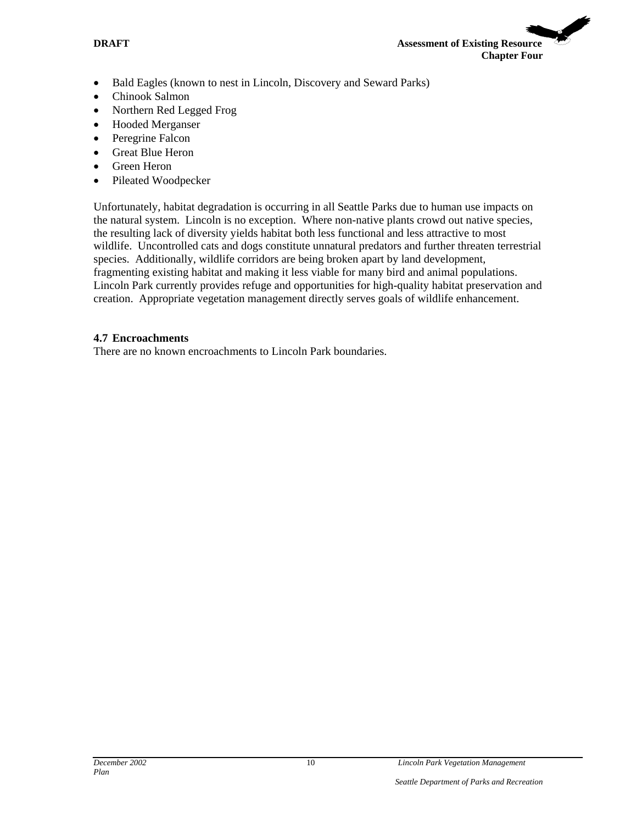

- Bald Eagles (known to nest in Lincoln, Discovery and Seward Parks)
- Chinook Salmon
- Northern Red Legged Frog
- Hooded Merganser
- Peregrine Falcon
- Great Blue Heron
- Green Heron
- Pileated Woodpecker

Unfortunately, habitat degradation is occurring in all Seattle Parks due to human use impacts on the natural system. Lincoln is no exception. Where non-native plants crowd out native species, the resulting lack of diversity yields habitat both less functional and less attractive to most wildlife. Uncontrolled cats and dogs constitute unnatural predators and further threaten terrestrial species. Additionally, wildlife corridors are being broken apart by land development, fragmenting existing habitat and making it less viable for many bird and animal populations. Lincoln Park currently provides refuge and opportunities for high-quality habitat preservation and creation. Appropriate vegetation management directly serves goals of wildlife enhancement.

#### **4.7 Encroachments**

There are no known encroachments to Lincoln Park boundaries.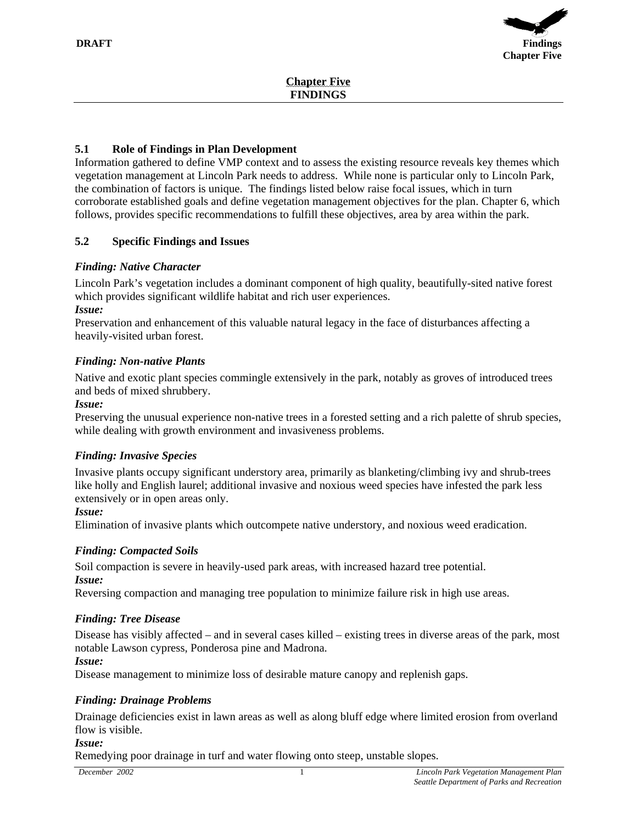

# **5.1 Role of Findings in Plan Development**

Information gathered to define VMP context and to assess the existing resource reveals key themes which vegetation management at Lincoln Park needs to address. While none is particular only to Lincoln Park, the combination of factors is unique. The findings listed below raise focal issues, which in turn corroborate established goals and define vegetation management objectives for the plan. Chapter 6, which follows, provides specific recommendations to fulfill these objectives, area by area within the park.

# **5.2 Specific Findings and Issues**

# *Finding: Native Character*

Lincoln Park's vegetation includes a dominant component of high quality, beautifully-sited native forest which provides significant wildlife habitat and rich user experiences. *Issue:* 

Preservation and enhancement of this valuable natural legacy in the face of disturbances affecting a heavily-visited urban forest.

# *Finding: Non-native Plants*

Native and exotic plant species commingle extensively in the park, notably as groves of introduced trees and beds of mixed shrubbery.

#### *Issue:*

Preserving the unusual experience non-native trees in a forested setting and a rich palette of shrub species, while dealing with growth environment and invasiveness problems.

# *Finding: Invasive Species*

Invasive plants occupy significant understory area, primarily as blanketing/climbing ivy and shrub-trees like holly and English laurel; additional invasive and noxious weed species have infested the park less extensively or in open areas only.

#### *Issue:*

Elimination of invasive plants which outcompete native understory, and noxious weed eradication.

# *Finding: Compacted Soils*

Soil compaction is severe in heavily-used park areas, with increased hazard tree potential. *Issue:* 

Reversing compaction and managing tree population to minimize failure risk in high use areas.

# *Finding: Tree Disease*

Disease has visibly affected – and in several cases killed – existing trees in diverse areas of the park, most notable Lawson cypress, Ponderosa pine and Madrona.

*Issue:* 

Disease management to minimize loss of desirable mature canopy and replenish gaps.

# *Finding: Drainage Problems*

Drainage deficiencies exist in lawn areas as well as along bluff edge where limited erosion from overland flow is visible.

#### *Issue:*

Remedying poor drainage in turf and water flowing onto steep, unstable slopes.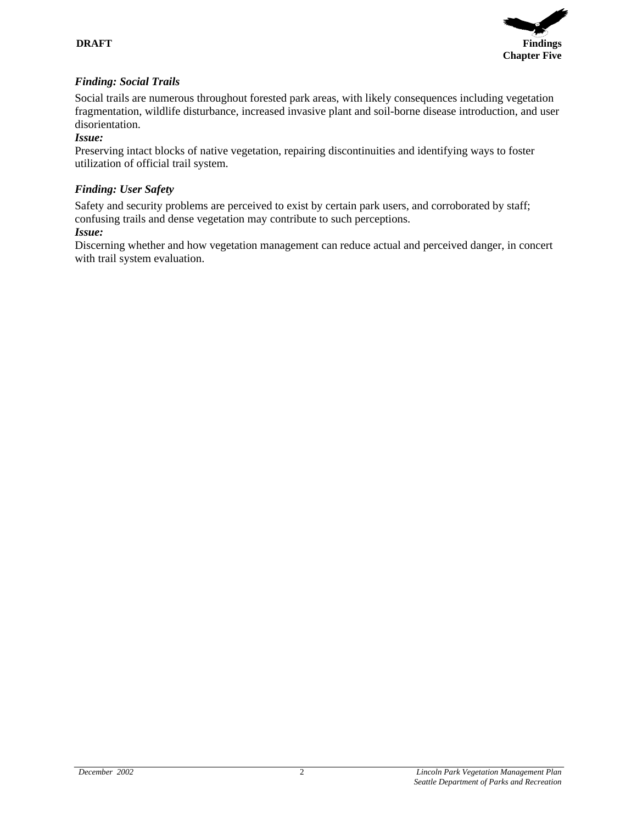

# *Finding: Social Trails*

Social trails are numerous throughout forested park areas, with likely consequences including vegetation fragmentation, wildlife disturbance, increased invasive plant and soil-borne disease introduction, and user disorientation.

#### *Issue:*

Preserving intact blocks of native vegetation, repairing discontinuities and identifying ways to foster utilization of official trail system.

# *Finding: User Safety*

Safety and security problems are perceived to exist by certain park users, and corroborated by staff; confusing trails and dense vegetation may contribute to such perceptions.

# *Issue:*

Discerning whether and how vegetation management can reduce actual and perceived danger, in concert with trail system evaluation.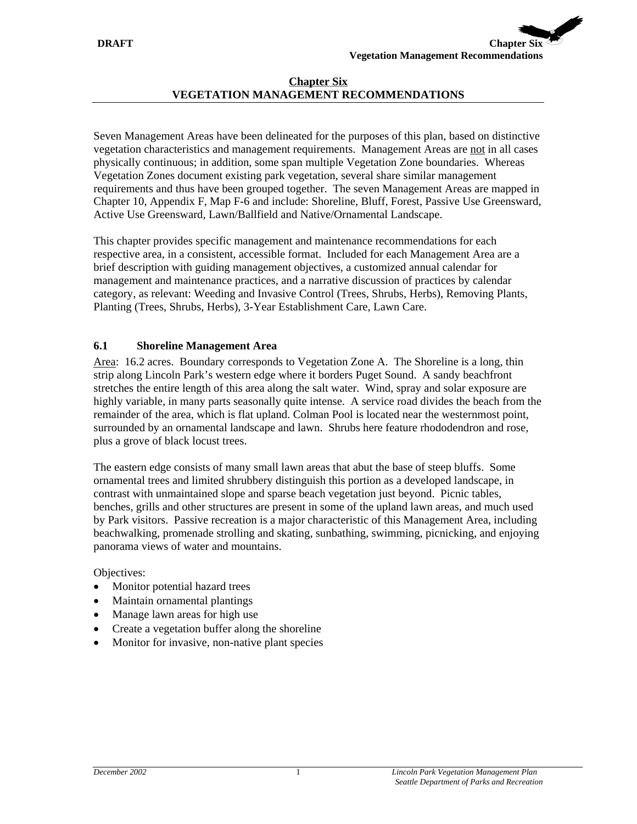#### **Chapter Six VEGETATION MANAGEMENT RECOMMENDATIONS**

Seven Management Areas have been delineated for the purposes of this plan, based on distinctive vegetation characteristics and management requirements. Management Areas are not in all cases physically continuous; in addition, some span multiple Vegetation Zone boundaries. Whereas Vegetation Zones document existing park vegetation, several share similar management requirements and thus have been grouped together. The seven Management Areas are mapped in Chapter 10, Appendix F, Map F-6 and include: Shoreline, Bluff, Forest, Passive Use Greensward, Active Use Greensward, Lawn/Ballfield and Native/Ornamental Landscape.

This chapter provides specific management and maintenance recommendations for each respective area, in a consistent, accessible format. Included for each Management Area are a brief description with guiding management objectives, a customized annual calendar for management and maintenance practices, and a narrative discussion of practices by calendar category, as relevant: Weeding and Invasive Control (Trees, Shrubs, Herbs), Removing Plants, Planting (Trees, Shrubs, Herbs), 3-Year Establishment Care, Lawn Care.

# **6.1 Shoreline Management Area**

Area: 16.2 acres. Boundary corresponds to Vegetation Zone A. The Shoreline is a long, thin strip along Lincoln Park's western edge where it borders Puget Sound. A sandy beachfront stretches the entire length of this area along the salt water. Wind, spray and solar exposure are highly variable, in many parts seasonally quite intense. A service road divides the beach from the remainder of the area, which is flat upland. Colman Pool is located near the westernmost point, surrounded by an ornamental landscape and lawn. Shrubs here feature rhododendron and rose, plus a grove of black locust trees.

The eastern edge consists of many small lawn areas that abut the base of steep bluffs. Some ornamental trees and limited shrubbery distinguish this portion as a developed landscape, in contrast with unmaintained slope and sparse beach vegetation just beyond. Picnic tables, benches, grills and other structures are present in some of the upland lawn areas, and much used by Park visitors. Passive recreation is a major characteristic of this Management Area, including beachwalking, promenade strolling and skating, sunbathing, swimming, picnicking, and enjoying panorama views of water and mountains.

Objectives:

- Monitor potential hazard trees
- Maintain ornamental plantings
- Manage lawn areas for high use
- Create a vegetation buffer along the shoreline
- Monitor for invasive, non-native plant species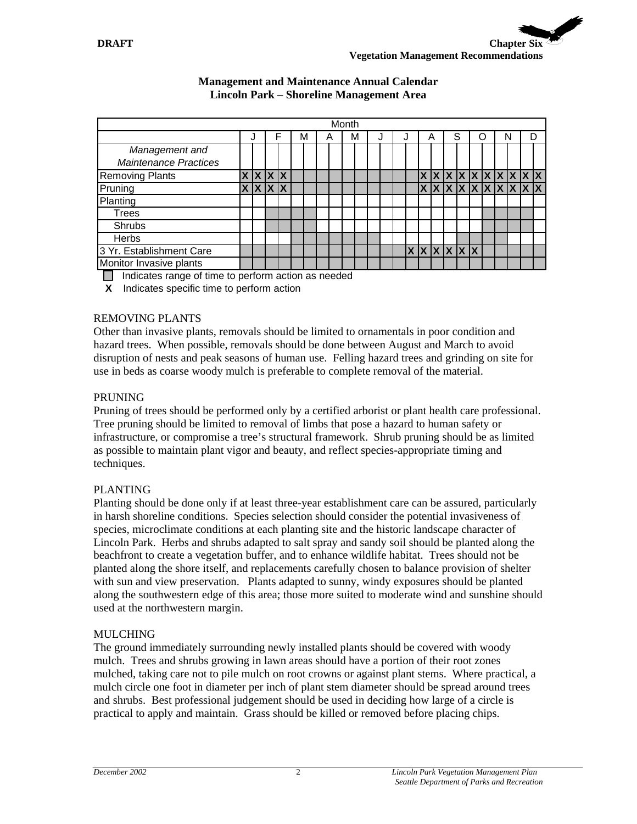

|                                                |   |              |              |                         |   | Month |   |  |              |              |   |                 |   |   |                                     |   |
|------------------------------------------------|---|--------------|--------------|-------------------------|---|-------|---|--|--------------|--------------|---|-----------------|---|---|-------------------------------------|---|
|                                                |   |              |              |                         | М | Α     | М |  |              |              | Α | S               | С | N |                                     | D |
| Management and<br><b>Maintenance Practices</b> |   |              |              |                         |   |       |   |  |              |              |   |                 |   |   |                                     |   |
| <b>Removing Plants</b>                         | X | $\mathsf{X}$ |              | $\mathsf{X} \mathsf{X}$ |   |       |   |  |              | X            |   |                 |   |   | $x$  x  x  x  x  x  x  x  x  x      |   |
| Pruning                                        | X | $\mathsf{x}$ | $\mathsf{X}$ | ΙX                      |   |       |   |  |              | $\mathsf{X}$ |   |                 |   |   | $x$ $x$ $x$ $x$ $x$ $x$ $x$ $x$ $x$ |   |
| Planting                                       |   |              |              |                         |   |       |   |  |              |              |   |                 |   |   |                                     |   |
| <b>Trees</b>                                   |   |              |              |                         |   |       |   |  |              |              |   |                 |   |   |                                     |   |
| Shrubs                                         |   |              |              |                         |   |       |   |  |              |              |   |                 |   |   |                                     |   |
| Herbs                                          |   |              |              |                         |   |       |   |  |              |              |   |                 |   |   |                                     |   |
| 3 Yr. Establishment Care                       |   |              |              |                         |   |       |   |  | $\mathsf{X}$ |              |   | $X$ $X$ $X$ $X$ |   |   |                                     |   |
| Monitor Invasive plants<br>___                 |   |              |              |                         |   |       |   |  |              |              |   |                 |   |   |                                     |   |

#### **Management and Maintenance Annual Calendar Lincoln Park – Shoreline Management Area**

 $\Box$  Indicates range of time to perform action as needed

 **X** Indicates specific time to perform action

# REMOVING PLANTS

Other than invasive plants, removals should be limited to ornamentals in poor condition and hazard trees. When possible, removals should be done between August and March to avoid disruption of nests and peak seasons of human use. Felling hazard trees and grinding on site for use in beds as coarse woody mulch is preferable to complete removal of the material.

#### PRUNING

Pruning of trees should be performed only by a certified arborist or plant health care professional. Tree pruning should be limited to removal of limbs that pose a hazard to human safety or infrastructure, or compromise a tree's structural framework. Shrub pruning should be as limited as possible to maintain plant vigor and beauty, and reflect species-appropriate timing and techniques.

# PLANTING

Planting should be done only if at least three-year establishment care can be assured, particularly in harsh shoreline conditions. Species selection should consider the potential invasiveness of species, microclimate conditions at each planting site and the historic landscape character of Lincoln Park. Herbs and shrubs adapted to salt spray and sandy soil should be planted along the beachfront to create a vegetation buffer, and to enhance wildlife habitat. Trees should not be planted along the shore itself, and replacements carefully chosen to balance provision of shelter with sun and view preservation. Plants adapted to sunny, windy exposures should be planted along the southwestern edge of this area; those more suited to moderate wind and sunshine should used at the northwestern margin.

# MULCHING

The ground immediately surrounding newly installed plants should be covered with woody mulch. Trees and shrubs growing in lawn areas should have a portion of their root zones mulched, taking care not to pile mulch on root crowns or against plant stems. Where practical, a mulch circle one foot in diameter per inch of plant stem diameter should be spread around trees and shrubs. Best professional judgement should be used in deciding how large of a circle is practical to apply and maintain. Grass should be killed or removed before placing chips.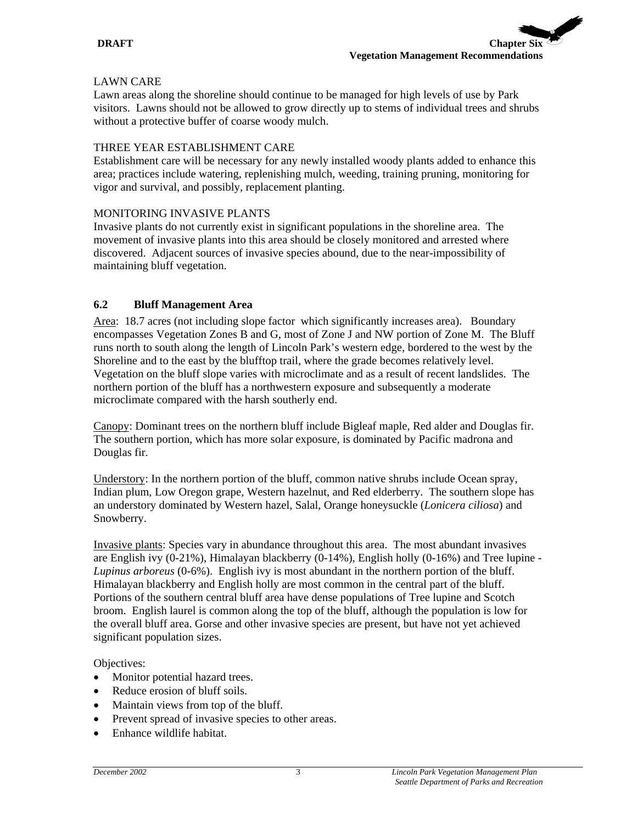# LAWN CARE

Lawn areas along the shoreline should continue to be managed for high levels of use by Park visitors. Lawns should not be allowed to grow directly up to stems of individual trees and shrubs without a protective buffer of coarse woody mulch.

# THREE YEAR ESTABLISHMENT CARE

Establishment care will be necessary for any newly installed woody plants added to enhance this area; practices include watering, replenishing mulch, weeding, training pruning, monitoring for vigor and survival, and possibly, replacement planting.

# MONITORING INVASIVE PLANTS

Invasive plants do not currently exist in significant populations in the shoreline area. The movement of invasive plants into this area should be closely monitored and arrested where discovered. Adjacent sources of invasive species abound, due to the near-impossibility of maintaining bluff vegetation.

# **6.2 Bluff Management Area**

Area: 18.7 acres (not including slope factor which significantly increases area). Boundary encompasses Vegetation Zones B and G, most of Zone J and NW portion of Zone M. The Bluff runs north to south along the length of Lincoln Park's western edge, bordered to the west by the Shoreline and to the east by the blufftop trail, where the grade becomes relatively level. Vegetation on the bluff slope varies with microclimate and as a result of recent landslides. The northern portion of the bluff has a northwestern exposure and subsequently a moderate microclimate compared with the harsh southerly end.

Canopy: Dominant trees on the northern bluff include Bigleaf maple, Red alder and Douglas fir. The southern portion, which has more solar exposure, is dominated by Pacific madrona and Douglas fir.

Understory: In the northern portion of the bluff, common native shrubs include Ocean spray, Indian plum, Low Oregon grape, Western hazelnut, and Red elderberry. The southern slope has an understory dominated by Western hazel, Salal, Orange honeysuckle (*Lonicera ciliosa*) and Snowberry.

Invasive plants: Species vary in abundance throughout this area. The most abundant invasives are English ivy (0-21%), Himalayan blackberry (0-14%), English holly (0-16%) and Tree lupine - *Lupinus arboreus* (0-6%). English ivy is most abundant in the northern portion of the bluff. Himalayan blackberry and English holly are most common in the central part of the bluff. Portions of the southern central bluff area have dense populations of Tree lupine and Scotch broom. English laurel is common along the top of the bluff, although the population is low for the overall bluff area. Gorse and other invasive species are present, but have not yet achieved significant population sizes.

# Objectives:

- Monitor potential hazard trees.
- Reduce erosion of bluff soils.
- Maintain views from top of the bluff.
- Prevent spread of invasive species to other areas.
- Enhance wildlife habitat.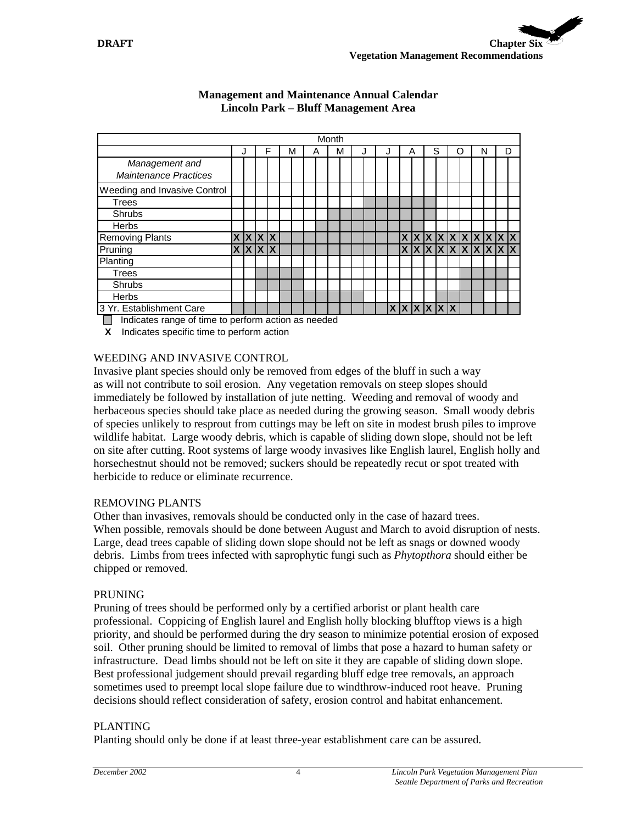

|                                                |   |                          |           |   |   | Month |                 |   |  |  |   |                       |   |   |                             |   |                   |   |
|------------------------------------------------|---|--------------------------|-----------|---|---|-------|-----------------|---|--|--|---|-----------------------|---|---|-----------------------------|---|-------------------|---|
|                                                |   |                          | F         | М | Α |       |                 | м |  |  |   | А                     | S | O |                             | N |                   | D |
| Management and<br><b>Maintenance Practices</b> |   |                          |           |   |   |       |                 |   |  |  |   |                       |   |   |                             |   |                   |   |
| Weeding and Invasive Control                   |   |                          |           |   |   |       |                 |   |  |  |   |                       |   |   |                             |   |                   |   |
| Trees                                          |   |                          |           |   |   |       |                 |   |  |  |   |                       |   |   |                             |   |                   |   |
| Shrubs                                         |   |                          |           |   |   |       |                 |   |  |  |   |                       |   |   |                             |   |                   |   |
| <b>Herbs</b>                                   |   |                          |           |   |   |       |                 |   |  |  |   |                       |   |   |                             |   |                   |   |
| Removing Plants                                | X | X X                      |           |   |   |       |                 |   |  |  | X |                       |   |   | $X$ $X$ $X$ $X$ $X$ $X$ $X$ |   | X X               |   |
| Pruning                                        |   | $x x $ $x$               |           |   |   |       |                 |   |  |  |   |                       |   |   |                             |   | X X X X X X X X X |   |
| Planting                                       |   |                          |           |   |   |       |                 |   |  |  |   |                       |   |   |                             |   |                   |   |
| <b>Trees</b>                                   |   |                          |           |   |   |       |                 |   |  |  |   |                       |   |   |                             |   |                   |   |
| Shrubs                                         |   |                          |           |   |   |       |                 |   |  |  |   |                       |   |   |                             |   |                   |   |
| <b>Herbs</b>                                   |   |                          |           |   |   |       |                 |   |  |  |   |                       |   |   |                             |   |                   |   |
| 3 Yr. Establishment Care<br>$\sim$             |   | $\overline{\phantom{a}}$ | $\cdot$ . |   |   |       | $\cdot$ $\cdot$ |   |  |  |   | x   x   x   x   x   x |   |   |                             |   |                   |   |

#### **Management and Maintenance Annual Calendar Lincoln Park – Bluff Management Area**

 $\Box$  Indicates range of time to perform action as needed

 **X** Indicates specific time to perform action

# WEEDING AND INVASIVE CONTROL

Invasive plant species should only be removed from edges of the bluff in such a way as will not contribute to soil erosion. Any vegetation removals on steep slopes should immediately be followed by installation of jute netting. Weeding and removal of woody and herbaceous species should take place as needed during the growing season. Small woody debris of species unlikely to resprout from cuttings may be left on site in modest brush piles to improve wildlife habitat. Large woody debris, which is capable of sliding down slope, should not be left on site after cutting. Root systems of large woody invasives like English laurel, English holly and horsechestnut should not be removed; suckers should be repeatedly recut or spot treated with herbicide to reduce or eliminate recurrence.

#### REMOVING PLANTS

Other than invasives, removals should be conducted only in the case of hazard trees. When possible, removals should be done between August and March to avoid disruption of nests. Large, dead trees capable of sliding down slope should not be left as snags or downed woody debris. Limbs from trees infected with saprophytic fungi such as *Phytopthora* should either be chipped or removed.

#### PRUNING

Pruning of trees should be performed only by a certified arborist or plant health care professional. Coppicing of English laurel and English holly blocking blufftop views is a high priority, and should be performed during the dry season to minimize potential erosion of exposed soil. Other pruning should be limited to removal of limbs that pose a hazard to human safety or infrastructure. Dead limbs should not be left on site it they are capable of sliding down slope. Best professional judgement should prevail regarding bluff edge tree removals, an approach sometimes used to preempt local slope failure due to windthrow-induced root heave. Pruning decisions should reflect consideration of safety, erosion control and habitat enhancement.

#### PLANTING

Planting should only be done if at least three-year establishment care can be assured.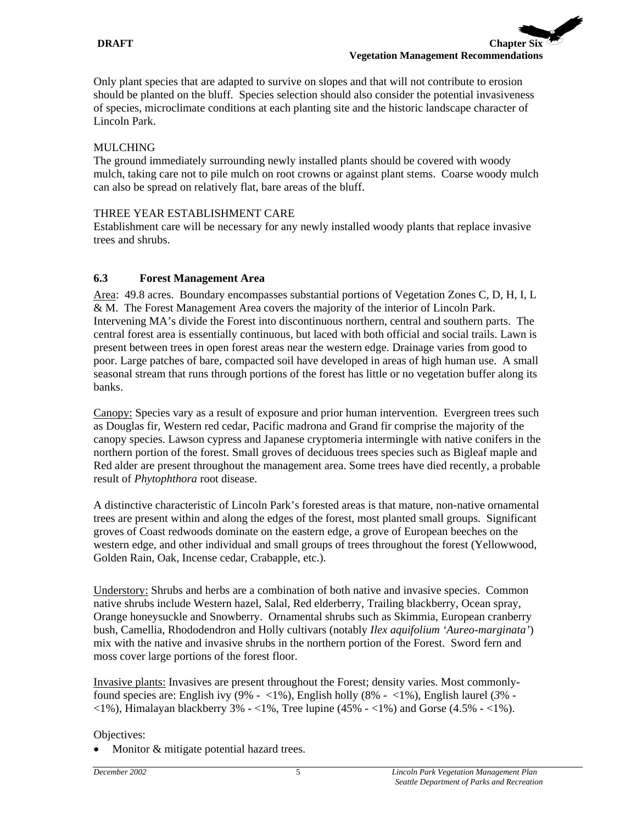Only plant species that are adapted to survive on slopes and that will not contribute to erosion should be planted on the bluff. Species selection should also consider the potential invasiveness of species, microclimate conditions at each planting site and the historic landscape character of Lincoln Park.

# MULCHING

The ground immediately surrounding newly installed plants should be covered with woody mulch, taking care not to pile mulch on root crowns or against plant stems. Coarse woody mulch can also be spread on relatively flat, bare areas of the bluff.

# THREE YEAR ESTABLISHMENT CARE

Establishment care will be necessary for any newly installed woody plants that replace invasive trees and shrubs.

# **6.3 Forest Management Area**

Area: 49.8 acres. Boundary encompasses substantial portions of Vegetation Zones C, D, H, I, L & M. The Forest Management Area covers the majority of the interior of Lincoln Park. Intervening MA's divide the Forest into discontinuous northern, central and southern parts. The central forest area is essentially continuous, but laced with both official and social trails. Lawn is present between trees in open forest areas near the western edge. Drainage varies from good to poor. Large patches of bare, compacted soil have developed in areas of high human use. A small seasonal stream that runs through portions of the forest has little or no vegetation buffer along its banks.

Canopy: Species vary as a result of exposure and prior human intervention. Evergreen trees such as Douglas fir, Western red cedar, Pacific madrona and Grand fir comprise the majority of the canopy species. Lawson cypress and Japanese cryptomeria intermingle with native conifers in the northern portion of the forest. Small groves of deciduous trees species such as Bigleaf maple and Red alder are present throughout the management area. Some trees have died recently, a probable result of *Phytophthora* root disease.

A distinctive characteristic of Lincoln Park's forested areas is that mature, non-native ornamental trees are present within and along the edges of the forest, most planted small groups. Significant groves of Coast redwoods dominate on the eastern edge, a grove of European beeches on the western edge, and other individual and small groups of trees throughout the forest (Yellowwood, Golden Rain, Oak, Incense cedar, Crabapple, etc.).

Understory: Shrubs and herbs are a combination of both native and invasive species. Common native shrubs include Western hazel, Salal, Red elderberry, Trailing blackberry, Ocean spray, Orange honeysuckle and Snowberry. Ornamental shrubs such as Skimmia, European cranberry bush, Camellia, Rhododendron and Holly cultivars (notably *Ilex aquifolium 'Aureo-marginata'*) mix with the native and invasive shrubs in the northern portion of the Forest. Sword fern and moss cover large portions of the forest floor.

Invasive plants: Invasives are present throughout the Forest; density varies. Most commonlyfound species are: English ivy (9% - <1%), English holly (8% - <1%), English laurel (*3*% - <1%), Himalayan blackberry 3% - <1%, Tree lupine (45% - <1%) and Gorse (4.5% - <1%).

# Objectives:

Monitor & mitigate potential hazard trees.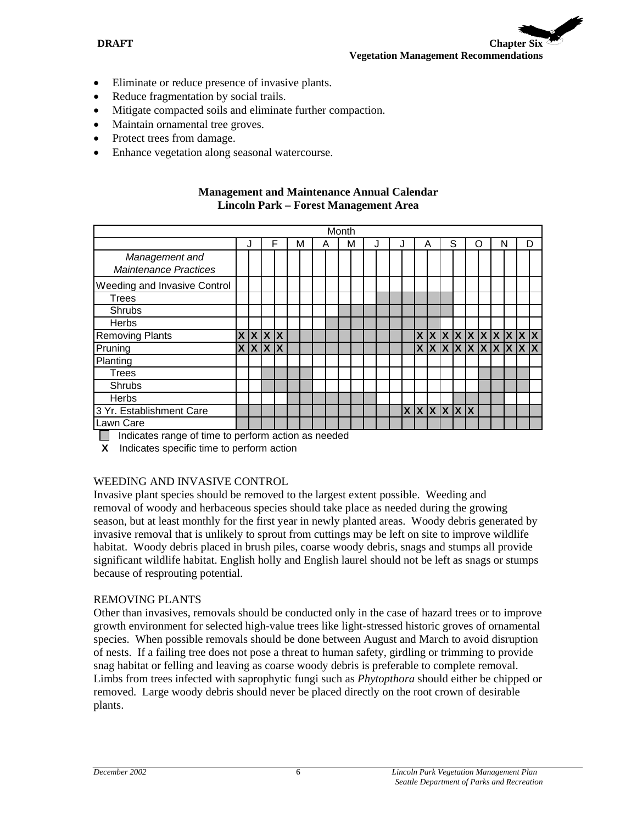**DRAFT** Chapter Six Chapter Six Chapter Six Chapter Six Chapter Six Chapter Six Chapter Six Chapter Six Chapter Six Chapter Six Chapter Six Chapter Six Chapter Six Chapter Six Chapter Six Chapter Six Chapter Six Chapter Si **Vegetation Management Recommendations**

- Eliminate or reduce presence of invasive plants.
- Reduce fragmentation by social trails.
- Mitigate compacted soils and eliminate further compaction.
- Maintain ornamental tree groves.
- Protect trees from damage.
- Enhance vegetation along seasonal watercourse.

#### **Management and Maintenance Annual Calendar Lincoln Park – Forest Management Area**

|                                                |   |                 |   |   |   | Month |   |  |  |  |                         |   |     |   |                                         |
|------------------------------------------------|---|-----------------|---|---|---|-------|---|--|--|--|-------------------------|---|-----|---|-----------------------------------------|
|                                                |   |                 | F | М | A |       | м |  |  |  | Α                       | S | ( ) | N | D                                       |
| Management and<br><b>Maintenance Practices</b> |   |                 |   |   |   |       |   |  |  |  |                         |   |     |   |                                         |
| Weeding and Invasive Control                   |   |                 |   |   |   |       |   |  |  |  |                         |   |     |   |                                         |
| <b>Trees</b>                                   |   |                 |   |   |   |       |   |  |  |  |                         |   |     |   |                                         |
| Shrubs                                         |   |                 |   |   |   |       |   |  |  |  |                         |   |     |   |                                         |
| Herbs                                          |   |                 |   |   |   |       |   |  |  |  |                         |   |     |   |                                         |
| Removing Plants                                | X | X X X           |   |   |   |       |   |  |  |  |                         |   |     |   | $X$ $X$ $X$ $X$ $X$ $X$ $X$ $X$ $X$ $X$ |
| Pruning                                        |   | $X$ $X$ $X$ $X$ |   |   |   |       |   |  |  |  |                         |   |     |   | $X$ $X$ $X$ $X$ $X$ $X$ $X$ $X$ $X$ $X$ |
| Planting                                       |   |                 |   |   |   |       |   |  |  |  |                         |   |     |   |                                         |
| <b>Trees</b>                                   |   |                 |   |   |   |       |   |  |  |  |                         |   |     |   |                                         |
| Shrubs                                         |   |                 |   |   |   |       |   |  |  |  |                         |   |     |   |                                         |
| Herbs                                          |   |                 |   |   |   |       |   |  |  |  |                         |   |     |   |                                         |
| 3 Yr. Establishment Care                       |   |                 |   |   |   |       |   |  |  |  | $X$ $X$ $X$ $X$ $X$ $X$ |   |     |   |                                         |
| Lawn Care                                      |   |                 |   |   |   |       |   |  |  |  |                         |   |     |   |                                         |

 $\Box$  Indicates range of time to perform action as needed

 **X** Indicates specific time to perform action

# WEEDING AND INVASIVE CONTROL

Invasive plant species should be removed to the largest extent possible. Weeding and removal of woody and herbaceous species should take place as needed during the growing season, but at least monthly for the first year in newly planted areas. Woody debris generated by invasive removal that is unlikely to sprout from cuttings may be left on site to improve wildlife habitat. Woody debris placed in brush piles, coarse woody debris, snags and stumps all provide significant wildlife habitat. English holly and English laurel should not be left as snags or stumps because of resprouting potential.

#### REMOVING PLANTS

Other than invasives, removals should be conducted only in the case of hazard trees or to improve growth environment for selected high-value trees like light-stressed historic groves of ornamental species. When possible removals should be done between August and March to avoid disruption of nests. If a failing tree does not pose a threat to human safety, girdling or trimming to provide snag habitat or felling and leaving as coarse woody debris is preferable to complete removal. Limbs from trees infected with saprophytic fungi such as *Phytopthora* should either be chipped or removed. Large woody debris should never be placed directly on the root crown of desirable plants.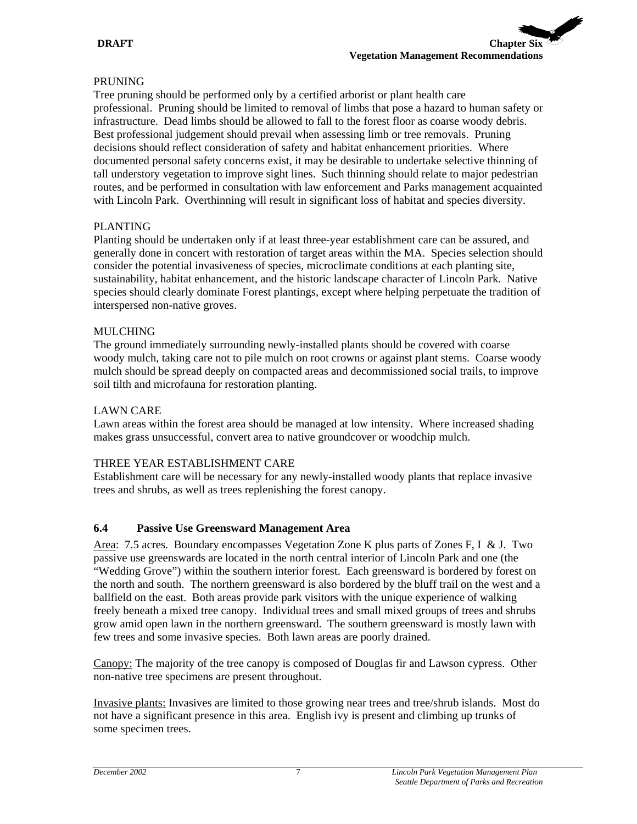

#### PRUNING

Tree pruning should be performed only by a certified arborist or plant health care professional. Pruning should be limited to removal of limbs that pose a hazard to human safety or infrastructure. Dead limbs should be allowed to fall to the forest floor as coarse woody debris. Best professional judgement should prevail when assessing limb or tree removals. Pruning decisions should reflect consideration of safety and habitat enhancement priorities. Where documented personal safety concerns exist, it may be desirable to undertake selective thinning of tall understory vegetation to improve sight lines. Such thinning should relate to major pedestrian routes, and be performed in consultation with law enforcement and Parks management acquainted with Lincoln Park. Overthinning will result in significant loss of habitat and species diversity.

# PLANTING

Planting should be undertaken only if at least three-year establishment care can be assured, and generally done in concert with restoration of target areas within the MA. Species selection should consider the potential invasiveness of species, microclimate conditions at each planting site, sustainability, habitat enhancement, and the historic landscape character of Lincoln Park. Native species should clearly dominate Forest plantings, except where helping perpetuate the tradition of interspersed non-native groves.

#### MULCHING

The ground immediately surrounding newly-installed plants should be covered with coarse woody mulch, taking care not to pile mulch on root crowns or against plant stems. Coarse woody mulch should be spread deeply on compacted areas and decommissioned social trails, to improve soil tilth and microfauna for restoration planting.

#### LAWN CARE

Lawn areas within the forest area should be managed at low intensity. Where increased shading makes grass unsuccessful, convert area to native groundcover or woodchip mulch.

# THREE YEAR ESTABLISHMENT CARE

Establishment care will be necessary for any newly-installed woody plants that replace invasive trees and shrubs, as well as trees replenishing the forest canopy.

# **6.4 Passive Use Greensward Management Area**

Area: 7.5 acres. Boundary encompasses Vegetation Zone K plus parts of Zones F, I & J. Two passive use greenswards are located in the north central interior of Lincoln Park and one (the "Wedding Grove") within the southern interior forest. Each greensward is bordered by forest on the north and south. The northern greensward is also bordered by the bluff trail on the west and a ballfield on the east. Both areas provide park visitors with the unique experience of walking freely beneath a mixed tree canopy. Individual trees and small mixed groups of trees and shrubs grow amid open lawn in the northern greensward. The southern greensward is mostly lawn with few trees and some invasive species. Both lawn areas are poorly drained.

Canopy: The majority of the tree canopy is composed of Douglas fir and Lawson cypress. Other non-native tree specimens are present throughout.

Invasive plants: Invasives are limited to those growing near trees and tree/shrub islands. Most do not have a significant presence in this area. English ivy is present and climbing up trunks of some specimen trees.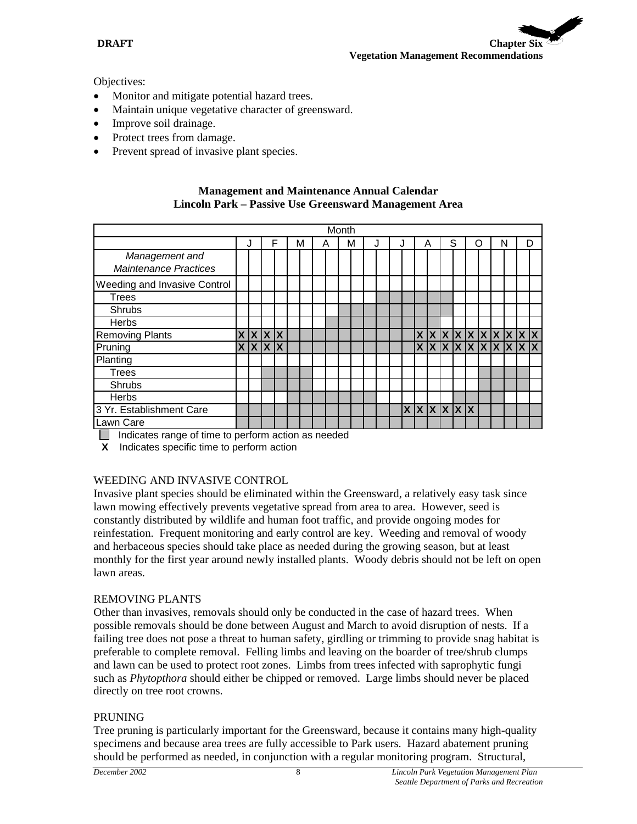**DRAFT** Chapter Six Chapter Six Chapter Six Chapter Six Chapter Six Chapter Six Chapter Six Chapter Six Chapter Six Chapter Six Chapter Six Chapter Six Chapter Six Chapter Six Chapter Six Chapter Six Chapter Six Chapter Si **Vegetation Management Recommendations**

Objectives:

- Monitor and mitigate potential hazard trees.
- Maintain unique vegetative character of greensward.
- Improve soil drainage.
- Protect trees from damage.
- Prevent spread of invasive plant species.

#### **Management and Maintenance Annual Calendar Lincoln Park – Passive Use Greensward Management Area**

|                                                |   |       |   |   |   | Month |   |  |  |                     |   |   |                                     |   |                                         |                         |
|------------------------------------------------|---|-------|---|---|---|-------|---|--|--|---------------------|---|---|-------------------------------------|---|-----------------------------------------|-------------------------|
|                                                |   |       | F | м | Α |       | м |  |  | Α                   | S | Ω |                                     | N |                                         | D                       |
| Management and<br><b>Maintenance Practices</b> |   |       |   |   |   |       |   |  |  |                     |   |   |                                     |   |                                         |                         |
| Weeding and Invasive Control                   |   |       |   |   |   |       |   |  |  |                     |   |   |                                     |   |                                         |                         |
| <b>Trees</b>                                   |   |       |   |   |   |       |   |  |  |                     |   |   |                                     |   |                                         |                         |
| Shrubs                                         |   |       |   |   |   |       |   |  |  |                     |   |   |                                     |   |                                         |                         |
| Herbs                                          |   |       |   |   |   |       |   |  |  |                     |   |   |                                     |   |                                         |                         |
| Removing Plants                                | X | X X X |   |   |   |       |   |  |  |                     |   |   |                                     |   | $X$ $X$ $X$ $X$ $X$ $X$ $X$ $X$ $X$ $X$ |                         |
| Pruning                                        | X | X X   |   |   |   |       |   |  |  |                     |   |   | $X$ $X$ $X$ $X$ $X$ $X$ $X$ $X$ $X$ |   |                                         | $\overline{\mathsf{X}}$ |
| Planting                                       |   |       |   |   |   |       |   |  |  |                     |   |   |                                     |   |                                         |                         |
| <b>Trees</b>                                   |   |       |   |   |   |       |   |  |  |                     |   |   |                                     |   |                                         |                         |
| Shrubs                                         |   |       |   |   |   |       |   |  |  |                     |   |   |                                     |   |                                         |                         |
| Herbs                                          |   |       |   |   |   |       |   |  |  |                     |   |   |                                     |   |                                         |                         |
| 3 Yr. Establishment Care                       |   |       |   |   |   |       |   |  |  | $X$ $X$ $X$ $X$ $X$ |   |   |                                     |   |                                         |                         |
| Lawn Care<br>— —                               |   |       |   |   |   |       |   |  |  |                     |   |   |                                     |   |                                         |                         |

 $\Box$  Indicates range of time to perform action as needed

 **X** Indicates specific time to perform action

# WEEDING AND INVASIVE CONTROL

Invasive plant species should be eliminated within the Greensward, a relatively easy task since lawn mowing effectively prevents vegetative spread from area to area. However, seed is constantly distributed by wildlife and human foot traffic, and provide ongoing modes for reinfestation. Frequent monitoring and early control are key. Weeding and removal of woody and herbaceous species should take place as needed during the growing season, but at least monthly for the first year around newly installed plants. Woody debris should not be left on open lawn areas.

# REMOVING PLANTS

Other than invasives, removals should only be conducted in the case of hazard trees. When possible removals should be done between August and March to avoid disruption of nests. If a failing tree does not pose a threat to human safety, girdling or trimming to provide snag habitat is preferable to complete removal. Felling limbs and leaving on the boarder of tree/shrub clumps and lawn can be used to protect root zones. Limbs from trees infected with saprophytic fungi such as *Phytopthora* should either be chipped or removed. Large limbs should never be placed directly on tree root crowns.

#### PRUNING

Tree pruning is particularly important for the Greensward, because it contains many high-quality specimens and because area trees are fully accessible to Park users. Hazard abatement pruning should be performed as needed, in conjunction with a regular monitoring program. Structural,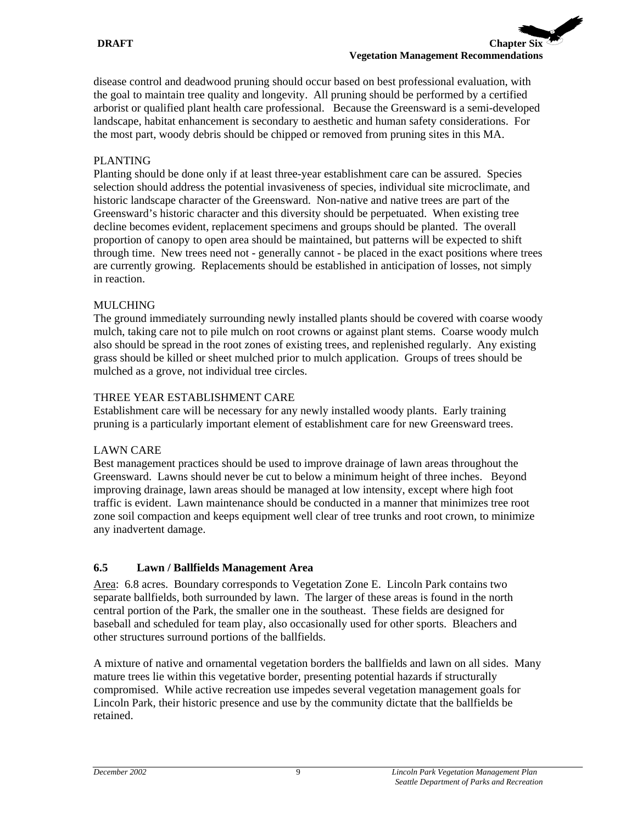disease control and deadwood pruning should occur based on best professional evaluation, with the goal to maintain tree quality and longevity. All pruning should be performed by a certified arborist or qualified plant health care professional. Because the Greensward is a semi-developed landscape, habitat enhancement is secondary to aesthetic and human safety considerations. For the most part, woody debris should be chipped or removed from pruning sites in this MA.

# PLANTING

Planting should be done only if at least three-year establishment care can be assured. Species selection should address the potential invasiveness of species, individual site microclimate, and historic landscape character of the Greensward. Non-native and native trees are part of the Greensward's historic character and this diversity should be perpetuated. When existing tree decline becomes evident, replacement specimens and groups should be planted. The overall proportion of canopy to open area should be maintained, but patterns will be expected to shift through time. New trees need not - generally cannot - be placed in the exact positions where trees are currently growing. Replacements should be established in anticipation of losses, not simply in reaction.

#### MULCHING

The ground immediately surrounding newly installed plants should be covered with coarse woody mulch, taking care not to pile mulch on root crowns or against plant stems. Coarse woody mulch also should be spread in the root zones of existing trees, and replenished regularly. Any existing grass should be killed or sheet mulched prior to mulch application. Groups of trees should be mulched as a grove, not individual tree circles.

#### THREE YEAR ESTABLISHMENT CARE

Establishment care will be necessary for any newly installed woody plants. Early training pruning is a particularly important element of establishment care for new Greensward trees.

#### LAWN CARE

Best management practices should be used to improve drainage of lawn areas throughout the Greensward. Lawns should never be cut to below a minimum height of three inches. Beyond improving drainage, lawn areas should be managed at low intensity, except where high foot traffic is evident. Lawn maintenance should be conducted in a manner that minimizes tree root zone soil compaction and keeps equipment well clear of tree trunks and root crown, to minimize any inadvertent damage.

# **6.5 Lawn / Ballfields Management Area**

Area: 6.8 acres. Boundary corresponds to Vegetation Zone E. Lincoln Park contains two separate ballfields, both surrounded by lawn. The larger of these areas is found in the north central portion of the Park, the smaller one in the southeast. These fields are designed for baseball and scheduled for team play, also occasionally used for other sports. Bleachers and other structures surround portions of the ballfields.

A mixture of native and ornamental vegetation borders the ballfields and lawn on all sides. Many mature trees lie within this vegetative border, presenting potential hazards if structurally compromised. While active recreation use impedes several vegetation management goals for Lincoln Park, their historic presence and use by the community dictate that the ballfields be retained.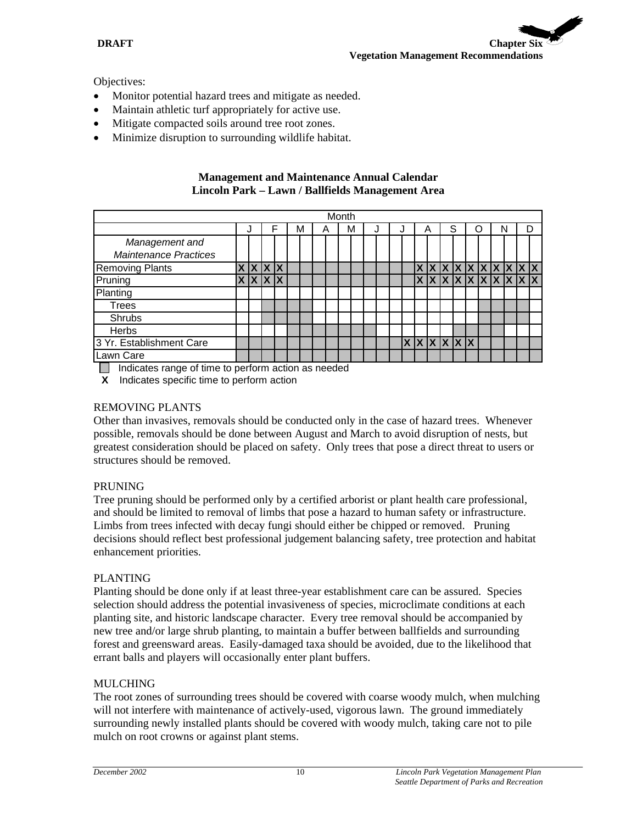

Objectives:

- Monitor potential hazard trees and mitigate as needed.
- Maintain athletic turf appropriately for active use.
- Mitigate compacted soils around tree root zones.
- Minimize disruption to surrounding wildlife habitat.

#### **Management and Maintenance Annual Calendar Lincoln Park – Lawn / Ballfields Management Area**

|                                                |   |              |              |   |   |   | Month |   |  |  |   |              |   |                 |   |   |                                     |   |
|------------------------------------------------|---|--------------|--------------|---|---|---|-------|---|--|--|---|--------------|---|-----------------|---|---|-------------------------------------|---|
|                                                |   | J            |              | F | м | Α |       | М |  |  |   |              | А | S               | Ω | N |                                     | D |
| Management and<br><b>Maintenance Practices</b> |   |              |              |   |   |   |       |   |  |  |   |              |   |                 |   |   |                                     |   |
| <b>Removing Plants</b>                         | X | $\mathbf{x}$ | X            | X |   |   |       |   |  |  |   | X            |   |                 |   |   |                                     |   |
| Pruning                                        |   | X            | $\mathsf{X}$ | X |   |   |       |   |  |  |   | $\mathsf{X}$ |   |                 |   |   | $X$ $X$ $X$ $X$ $X$ $X$ $X$ $X$ $X$ |   |
| Planting                                       |   |              |              |   |   |   |       |   |  |  |   |              |   |                 |   |   |                                     |   |
| Trees                                          |   |              |              |   |   |   |       |   |  |  |   |              |   |                 |   |   |                                     |   |
| <b>Shrubs</b>                                  |   |              |              |   |   |   |       |   |  |  |   |              |   |                 |   |   |                                     |   |
| Herbs                                          |   |              |              |   |   |   |       |   |  |  |   |              |   |                 |   |   |                                     |   |
| 3 Yr. Establishment Care                       |   |              |              |   |   |   |       |   |  |  | X |              |   | $X$ $X$ $X$ $X$ |   |   |                                     |   |
| Lawn Care                                      |   |              |              |   |   |   |       |   |  |  |   |              |   |                 |   |   |                                     |   |

 $\Box$  Indicates range of time to perform action as needed

 **X** Indicates specific time to perform action

#### REMOVING PLANTS

Other than invasives, removals should be conducted only in the case of hazard trees. Whenever possible, removals should be done between August and March to avoid disruption of nests, but greatest consideration should be placed on safety. Only trees that pose a direct threat to users or structures should be removed.

# PRUNING

Tree pruning should be performed only by a certified arborist or plant health care professional, and should be limited to removal of limbs that pose a hazard to human safety or infrastructure. Limbs from trees infected with decay fungi should either be chipped or removed. Pruning decisions should reflect best professional judgement balancing safety, tree protection and habitat enhancement priorities.

# PLANTING

Planting should be done only if at least three-year establishment care can be assured. Species selection should address the potential invasiveness of species, microclimate conditions at each planting site, and historic landscape character. Every tree removal should be accompanied by new tree and/or large shrub planting, to maintain a buffer between ballfields and surrounding forest and greensward areas. Easily-damaged taxa should be avoided, due to the likelihood that errant balls and players will occasionally enter plant buffers.

# MULCHING

The root zones of surrounding trees should be covered with coarse woody mulch, when mulching will not interfere with maintenance of actively-used, vigorous lawn. The ground immediately surrounding newly installed plants should be covered with woody mulch, taking care not to pile mulch on root crowns or against plant stems.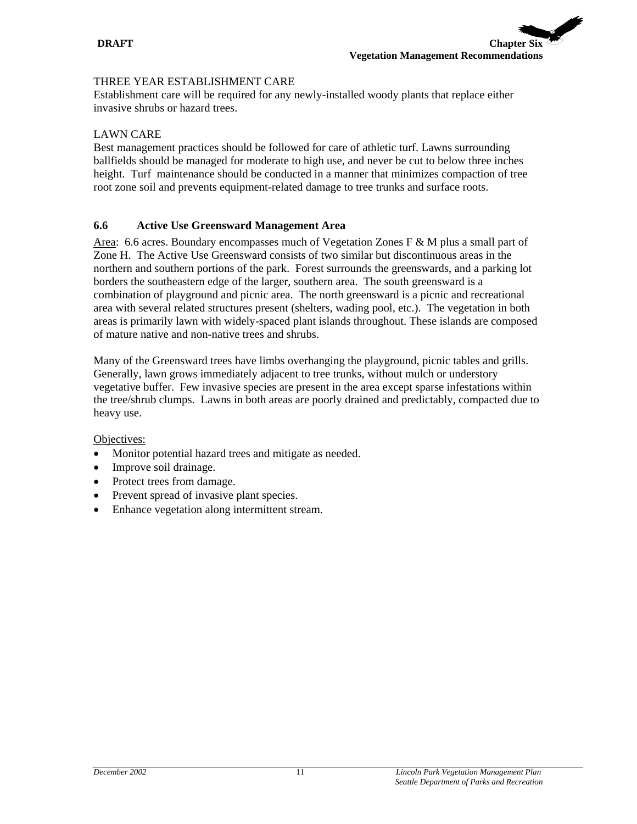#### THREE YEAR ESTABLISHMENT CARE

Establishment care will be required for any newly-installed woody plants that replace either invasive shrubs or hazard trees.

#### LAWN CARE

Best management practices should be followed for care of athletic turf. Lawns surrounding ballfields should be managed for moderate to high use, and never be cut to below three inches height. Turf maintenance should be conducted in a manner that minimizes compaction of tree root zone soil and prevents equipment-related damage to tree trunks and surface roots.

#### **6.6 Active Use Greensward Management Area**

Area: 6.6 acres. Boundary encompasses much of Vegetation Zones F & M plus a small part of Zone H. The Active Use Greensward consists of two similar but discontinuous areas in the northern and southern portions of the park. Forest surrounds the greenswards, and a parking lot borders the southeastern edge of the larger, southern area. The south greensward is a combination of playground and picnic area. The north greensward is a picnic and recreational area with several related structures present (shelters, wading pool, etc.). The vegetation in both areas is primarily lawn with widely-spaced plant islands throughout. These islands are composed of mature native and non-native trees and shrubs.

Many of the Greensward trees have limbs overhanging the playground, picnic tables and grills. Generally, lawn grows immediately adjacent to tree trunks, without mulch or understory vegetative buffer. Few invasive species are present in the area except sparse infestations within the tree/shrub clumps. Lawns in both areas are poorly drained and predictably, compacted due to heavy use.

Objectives:

- Monitor potential hazard trees and mitigate as needed.
- Improve soil drainage.
- Protect trees from damage.
- Prevent spread of invasive plant species.
- Enhance vegetation along intermittent stream.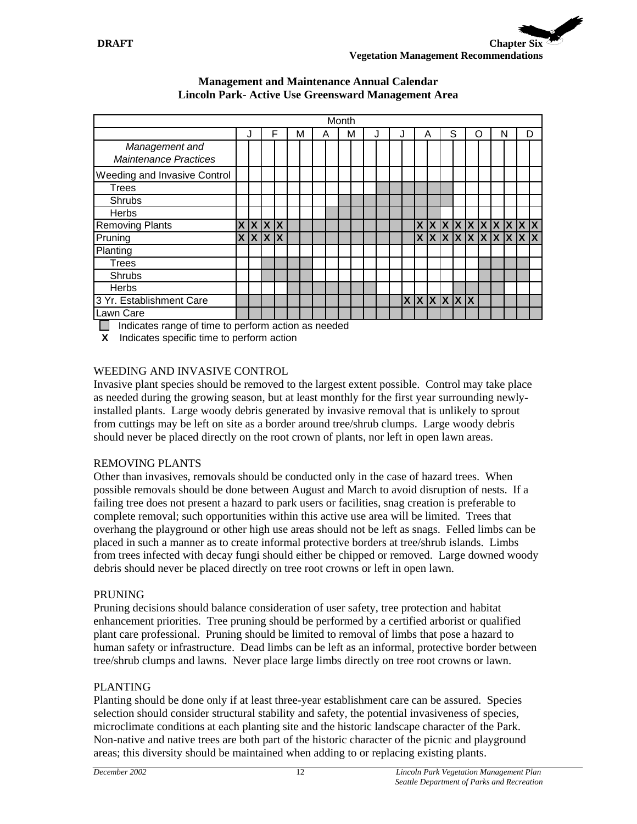|                                                |   |   |              |   |   |   | Month |   |  |   |                     |   |   |   |                                         |  |
|------------------------------------------------|---|---|--------------|---|---|---|-------|---|--|---|---------------------|---|---|---|-----------------------------------------|--|
|                                                |   |   |              | F | м | A |       | М |  |   | Α                   | S | O | N | D                                       |  |
| Management and<br><b>Maintenance Practices</b> |   |   |              |   |   |   |       |   |  |   |                     |   |   |   |                                         |  |
| Weeding and Invasive Control                   |   |   |              |   |   |   |       |   |  |   |                     |   |   |   |                                         |  |
| <b>Trees</b>                                   |   |   |              |   |   |   |       |   |  |   |                     |   |   |   |                                         |  |
| Shrubs                                         |   |   |              |   |   |   |       |   |  |   |                     |   |   |   |                                         |  |
| Herbs                                          |   |   |              |   |   |   |       |   |  |   |                     |   |   |   |                                         |  |
| <b>Removing Plants</b>                         | X | X | $\mathsf{X}$ | X |   |   |       |   |  |   |                     |   |   |   | $X$ $X$ $X$ $X$ $X$ $X$ $X$ $X$ $X$ $X$ |  |
| Pruning                                        |   |   | x x x        |   |   |   |       |   |  |   |                     |   |   |   |                                         |  |
| Planting                                       |   |   |              |   |   |   |       |   |  |   |                     |   |   |   |                                         |  |
| <b>Trees</b>                                   |   |   |              |   |   |   |       |   |  |   |                     |   |   |   |                                         |  |
| Shrubs                                         |   |   |              |   |   |   |       |   |  |   |                     |   |   |   |                                         |  |
| Herbs                                          |   |   |              |   |   |   |       |   |  |   |                     |   |   |   |                                         |  |
| 3 Yr. Establishment Care                       |   |   |              |   |   |   |       |   |  | X | $X$ $X$ $X$ $X$ $X$ |   |   |   |                                         |  |
| Lawn Care                                      |   |   |              |   |   |   |       |   |  |   |                     |   |   |   |                                         |  |

#### **Management and Maintenance Annual Calendar Lincoln Park- Active Use Greensward Management Area**

Indicates range of time to perform action as needed

 **X** Indicates specific time to perform action

# WEEDING AND INVASIVE CONTROL

Invasive plant species should be removed to the largest extent possible. Control may take place as needed during the growing season, but at least monthly for the first year surrounding newlyinstalled plants. Large woody debris generated by invasive removal that is unlikely to sprout from cuttings may be left on site as a border around tree/shrub clumps. Large woody debris should never be placed directly on the root crown of plants, nor left in open lawn areas.

# REMOVING PLANTS

Other than invasives, removals should be conducted only in the case of hazard trees. When possible removals should be done between August and March to avoid disruption of nests. If a failing tree does not present a hazard to park users or facilities, snag creation is preferable to complete removal; such opportunities within this active use area will be limited. Trees that overhang the playground or other high use areas should not be left as snags. Felled limbs can be placed in such a manner as to create informal protective borders at tree/shrub islands. Limbs from trees infected with decay fungi should either be chipped or removed. Large downed woody debris should never be placed directly on tree root crowns or left in open lawn.

# PRUNING

Pruning decisions should balance consideration of user safety, tree protection and habitat enhancement priorities. Tree pruning should be performed by a certified arborist or qualified plant care professional. Pruning should be limited to removal of limbs that pose a hazard to human safety or infrastructure. Dead limbs can be left as an informal, protective border between tree/shrub clumps and lawns. Never place large limbs directly on tree root crowns or lawn.

# PLANTING

Planting should be done only if at least three-year establishment care can be assured. Species selection should consider structural stability and safety, the potential invasiveness of species, microclimate conditions at each planting site and the historic landscape character of the Park. Non-native and native trees are both part of the historic character of the picnic and playground areas; this diversity should be maintained when adding to or replacing existing plants.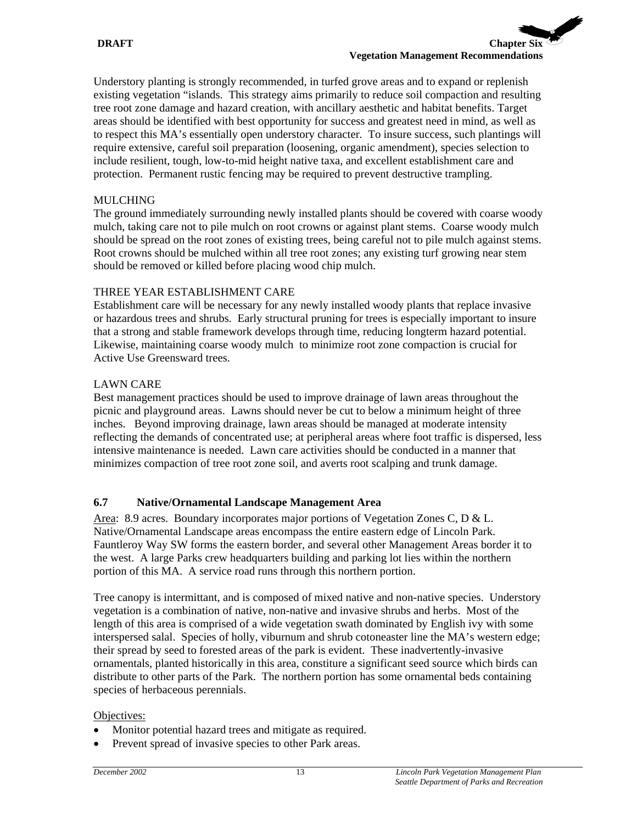Understory planting is strongly recommended, in turfed grove areas and to expand or replenish existing vegetation "islands. This strategy aims primarily to reduce soil compaction and resulting tree root zone damage and hazard creation, with ancillary aesthetic and habitat benefits. Target areas should be identified with best opportunity for success and greatest need in mind, as well as to respect this MA's essentially open understory character. To insure success, such plantings will require extensive, careful soil preparation (loosening, organic amendment), species selection to include resilient, tough, low-to-mid height native taxa, and excellent establishment care and protection. Permanent rustic fencing may be required to prevent destructive trampling.

### MULCHING

The ground immediately surrounding newly installed plants should be covered with coarse woody mulch, taking care not to pile mulch on root crowns or against plant stems. Coarse woody mulch should be spread on the root zones of existing trees, being careful not to pile mulch against stems. Root crowns should be mulched within all tree root zones; any existing turf growing near stem should be removed or killed before placing wood chip mulch.

### THREE YEAR ESTABLISHMENT CARE

Establishment care will be necessary for any newly installed woody plants that replace invasive or hazardous trees and shrubs. Early structural pruning for trees is especially important to insure that a strong and stable framework develops through time, reducing longterm hazard potential. Likewise, maintaining coarse woody mulch to minimize root zone compaction is crucial for Active Use Greensward trees.

### LAWN CARE

Best management practices should be used to improve drainage of lawn areas throughout the picnic and playground areas. Lawns should never be cut to below a minimum height of three inches. Beyond improving drainage, lawn areas should be managed at moderate intensity reflecting the demands of concentrated use; at peripheral areas where foot traffic is dispersed, less intensive maintenance is needed. Lawn care activities should be conducted in a manner that minimizes compaction of tree root zone soil, and averts root scalping and trunk damage.

# **6.7 Native/Ornamental Landscape Management Area**

Area: 8.9 acres. Boundary incorporates major portions of Vegetation Zones C, D & L. Native/Ornamental Landscape areas encompass the entire eastern edge of Lincoln Park. Fauntleroy Way SW forms the eastern border, and several other Management Areas border it to the west. A large Parks crew headquarters building and parking lot lies within the northern portion of this MA. A service road runs through this northern portion.

Tree canopy is intermittant, and is composed of mixed native and non-native species. Understory vegetation is a combination of native, non-native and invasive shrubs and herbs. Most of the length of this area is comprised of a wide vegetation swath dominated by English ivy with some interspersed salal. Species of holly, viburnum and shrub cotoneaster line the MA's western edge; their spread by seed to forested areas of the park is evident. These inadvertently-invasive ornamentals, planted historically in this area, constiture a significant seed source which birds can distribute to other parts of the Park. The northern portion has some ornamental beds containing species of herbaceous perennials.

#### Objectives:

- Monitor potential hazard trees and mitigate as required.
- Prevent spread of invasive species to other Park areas.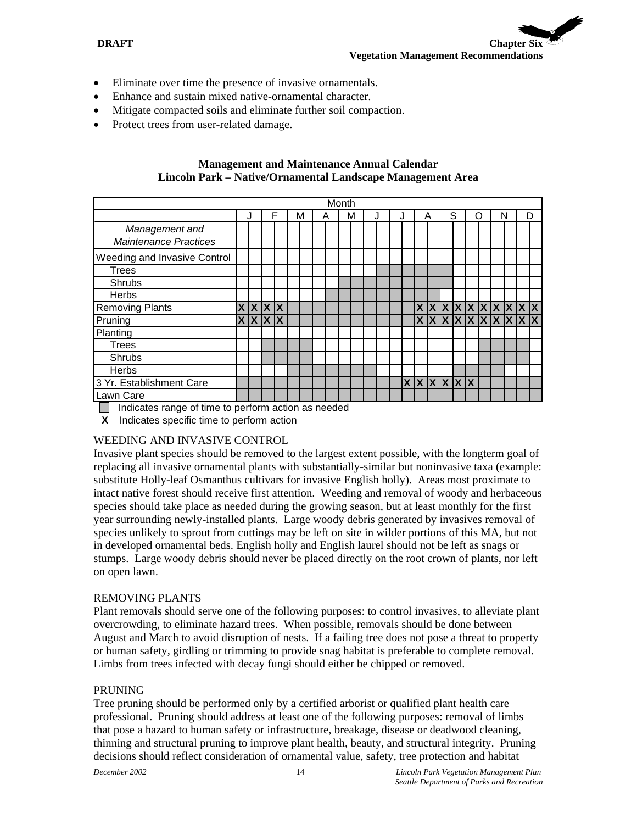**DRAFT** Chapter Six Chapter Six Chapter Six Chapter Six Chapter Six Chapter Six Chapter Six Chapter Six Chapter Six Chapter Six Chapter Six Chapter Six Chapter Six Chapter Six Chapter Six Chapter Six Chapter Six Chapter Si **Vegetation Management Recommendations**

- Eliminate over time the presence of invasive ornamentals.
- Enhance and sustain mixed native-ornamental character.
- Mitigate compacted soils and eliminate further soil compaction.
- Protect trees from user-related damage.

#### **Management and Maintenance Annual Calendar Lincoln Park – Native/Ornamental Landscape Management Area**

|                                                |         |   |   |   | Month |   |  |  |                         |   |   |   |                                         |   |
|------------------------------------------------|---------|---|---|---|-------|---|--|--|-------------------------|---|---|---|-----------------------------------------|---|
|                                                |         | F | М | Α |       | м |  |  | A                       | S | Ω | N |                                         | D |
| Management and<br><b>Maintenance Practices</b> |         |   |   |   |       |   |  |  |                         |   |   |   |                                         |   |
| Weeding and Invasive Control                   |         |   |   |   |       |   |  |  |                         |   |   |   |                                         |   |
| <b>Trees</b>                                   |         |   |   |   |       |   |  |  |                         |   |   |   |                                         |   |
| Shrubs                                         |         |   |   |   |       |   |  |  |                         |   |   |   |                                         |   |
| Herbs                                          |         |   |   |   |       |   |  |  |                         |   |   |   |                                         |   |
| Removing Plants                                | x x x x |   |   |   |       |   |  |  |                         |   |   |   | x x x x x x x x x                       |   |
| Pruning                                        | x x x   | X |   |   |       |   |  |  |                         |   |   |   | $X$ $X$ $X$ $X$ $X$ $X$ $X$ $X$ $X$ $X$ |   |
| Planting                                       |         |   |   |   |       |   |  |  |                         |   |   |   |                                         |   |
| <b>Trees</b>                                   |         |   |   |   |       |   |  |  |                         |   |   |   |                                         |   |
| Shrubs                                         |         |   |   |   |       |   |  |  |                         |   |   |   |                                         |   |
| Herbs                                          |         |   |   |   |       |   |  |  |                         |   |   |   |                                         |   |
| 3 Yr. Establishment Care                       |         |   |   |   |       |   |  |  | $X$ $X$ $X$ $X$ $X$ $X$ |   |   |   |                                         |   |
| Lawn Care                                      |         |   |   |   |       |   |  |  |                         |   |   |   |                                         |   |

 $\Box$  Indicates range of time to perform action as needed

 **X** Indicates specific time to perform action

# WEEDING AND INVASIVE CONTROL

Invasive plant species should be removed to the largest extent possible, with the longterm goal of replacing all invasive ornamental plants with substantially-similar but noninvasive taxa (example: substitute Holly-leaf Osmanthus cultivars for invasive English holly). Areas most proximate to intact native forest should receive first attention. Weeding and removal of woody and herbaceous species should take place as needed during the growing season, but at least monthly for the first year surrounding newly-installed plants. Large woody debris generated by invasives removal of species unlikely to sprout from cuttings may be left on site in wilder portions of this MA, but not in developed ornamental beds. English holly and English laurel should not be left as snags or stumps. Large woody debris should never be placed directly on the root crown of plants, nor left on open lawn.

# REMOVING PLANTS

Plant removals should serve one of the following purposes: to control invasives, to alleviate plant overcrowding, to eliminate hazard trees. When possible, removals should be done between August and March to avoid disruption of nests. If a failing tree does not pose a threat to property or human safety, girdling or trimming to provide snag habitat is preferable to complete removal. Limbs from trees infected with decay fungi should either be chipped or removed.

#### PRUNING

Tree pruning should be performed only by a certified arborist or qualified plant health care professional. Pruning should address at least one of the following purposes: removal of limbs that pose a hazard to human safety or infrastructure, breakage, disease or deadwood cleaning, thinning and structural pruning to improve plant health, beauty, and structural integrity. Pruning decisions should reflect consideration of ornamental value, safety, tree protection and habitat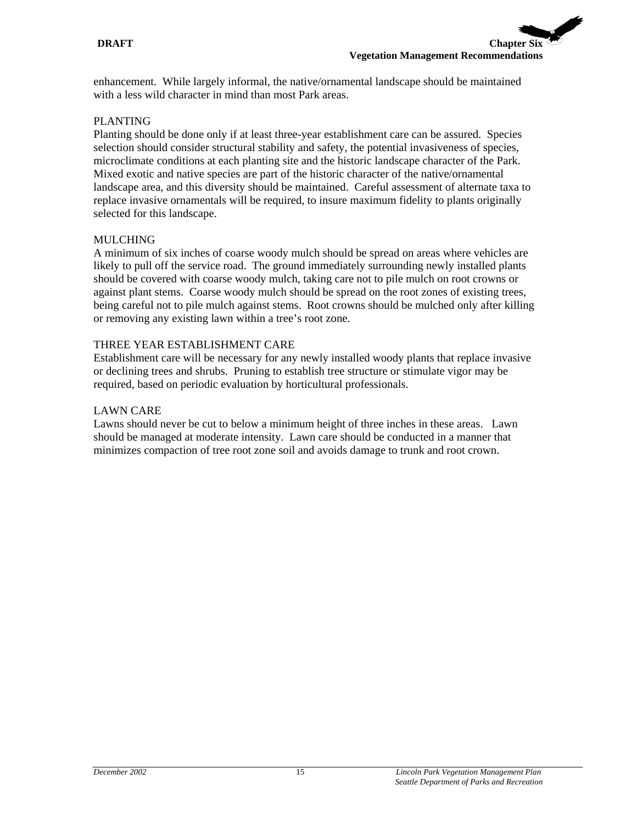enhancement. While largely informal, the native/ornamental landscape should be maintained with a less wild character in mind than most Park areas.

### PLANTING

Planting should be done only if at least three-year establishment care can be assured. Species selection should consider structural stability and safety, the potential invasiveness of species, microclimate conditions at each planting site and the historic landscape character of the Park. Mixed exotic and native species are part of the historic character of the native/ornamental landscape area, and this diversity should be maintained. Careful assessment of alternate taxa to replace invasive ornamentals will be required, to insure maximum fidelity to plants originally selected for this landscape.

### MULCHING

A minimum of six inches of coarse woody mulch should be spread on areas where vehicles are likely to pull off the service road. The ground immediately surrounding newly installed plants should be covered with coarse woody mulch, taking care not to pile mulch on root crowns or against plant stems. Coarse woody mulch should be spread on the root zones of existing trees, being careful not to pile mulch against stems. Root crowns should be mulched only after killing or removing any existing lawn within a tree's root zone.

#### THREE YEAR ESTABLISHMENT CARE

Establishment care will be necessary for any newly installed woody plants that replace invasive or declining trees and shrubs. Pruning to establish tree structure or stimulate vigor may be required, based on periodic evaluation by horticultural professionals.

### LAWN CARE

Lawns should never be cut to below a minimum height of three inches in these areas. Lawn should be managed at moderate intensity. Lawn care should be conducted in a manner that minimizes compaction of tree root zone soil and avoids damage to trunk and root crown.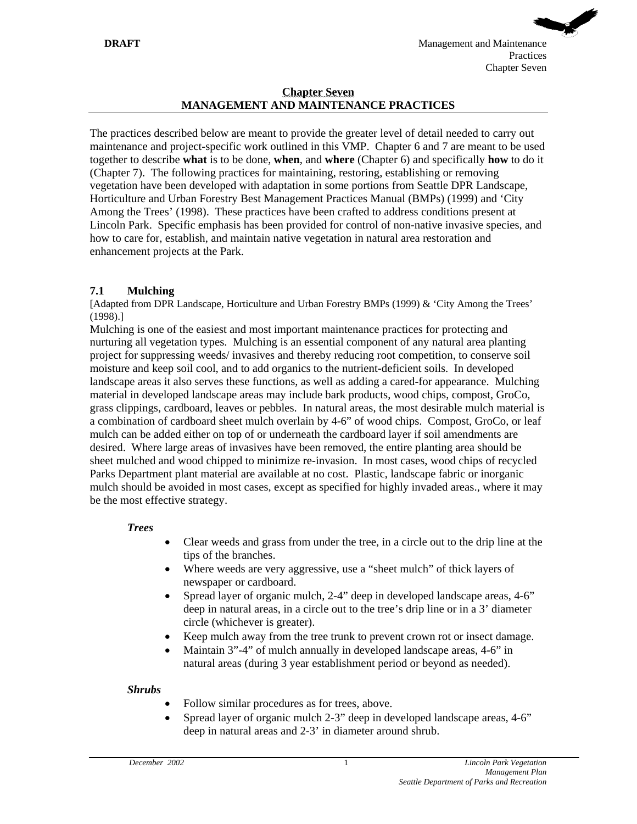

### **Chapter Seven MANAGEMENT AND MAINTENANCE PRACTICES**

The practices described below are meant to provide the greater level of detail needed to carry out maintenance and project-specific work outlined in this VMP. Chapter 6 and 7 are meant to be used together to describe **what** is to be done, **when**, and **where** (Chapter 6) and specifically **how** to do it (Chapter 7). The following practices for maintaining, restoring, establishing or removing vegetation have been developed with adaptation in some portions from Seattle DPR Landscape, Horticulture and Urban Forestry Best Management Practices Manual (BMPs) (1999) and 'City Among the Trees' (1998). These practices have been crafted to address conditions present at Lincoln Park. Specific emphasis has been provided for control of non-native invasive species, and how to care for, establish, and maintain native vegetation in natural area restoration and enhancement projects at the Park.

# **7.1 Mulching**

[Adapted from DPR Landscape, Horticulture and Urban Forestry BMPs (1999) & 'City Among the Trees' (1998).]

Mulching is one of the easiest and most important maintenance practices for protecting and nurturing all vegetation types. Mulching is an essential component of any natural area planting project for suppressing weeds/ invasives and thereby reducing root competition, to conserve soil moisture and keep soil cool, and to add organics to the nutrient-deficient soils. In developed landscape areas it also serves these functions, as well as adding a cared-for appearance. Mulching material in developed landscape areas may include bark products, wood chips, compost, GroCo, grass clippings, cardboard, leaves or pebbles. In natural areas, the most desirable mulch material is a combination of cardboard sheet mulch overlain by 4-6" of wood chips. Compost, GroCo, or leaf mulch can be added either on top of or underneath the cardboard layer if soil amendments are desired. Where large areas of invasives have been removed, the entire planting area should be sheet mulched and wood chipped to minimize re-invasion. In most cases, wood chips of recycled Parks Department plant material are available at no cost. Plastic, landscape fabric or inorganic mulch should be avoided in most cases, except as specified for highly invaded areas., where it may be the most effective strategy.

# *Trees*

- Clear weeds and grass from under the tree, in a circle out to the drip line at the tips of the branches.
- Where weeds are very aggressive, use a "sheet mulch" of thick layers of newspaper or cardboard.
- Spread layer of organic mulch, 2-4" deep in developed landscape areas, 4-6" deep in natural areas, in a circle out to the tree's drip line or in a 3' diameter circle (whichever is greater).
- Keep mulch away from the tree trunk to prevent crown rot or insect damage.
- Maintain 3"-4" of mulch annually in developed landscape areas, 4-6" in natural areas (during 3 year establishment period or beyond as needed).

#### *Shrubs*

- Follow similar procedures as for trees, above.
- Spread layer of organic mulch 2-3" deep in developed landscape areas, 4-6" deep in natural areas and 2-3' in diameter around shrub.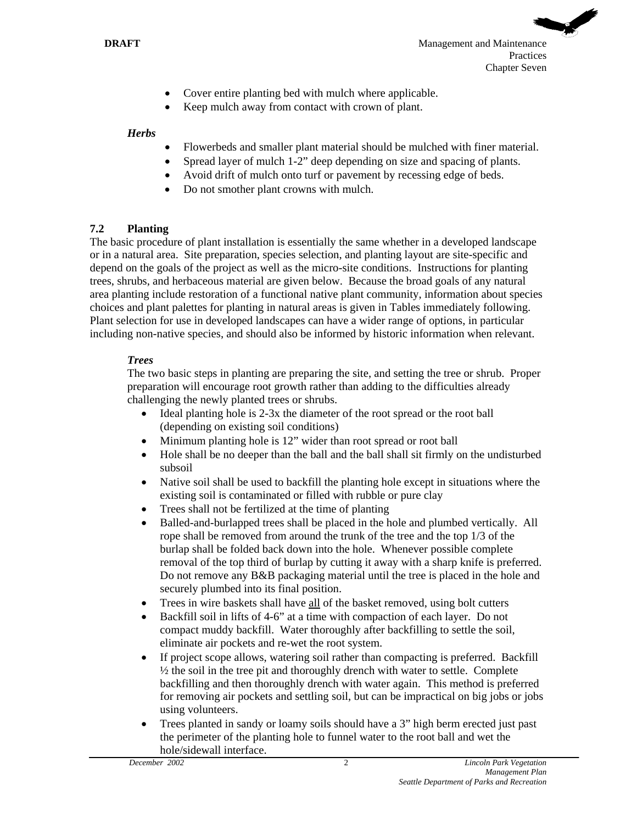

- Cover entire planting bed with mulch where applicable.
- Keep mulch away from contact with crown of plant.

### *Herbs*

- Flowerbeds and smaller plant material should be mulched with finer material.
- Spread layer of mulch 1-2" deep depending on size and spacing of plants.
- Avoid drift of mulch onto turf or pavement by recessing edge of beds.
- Do not smother plant crowns with mulch.

# **7.2 Planting**

The basic procedure of plant installation is essentially the same whether in a developed landscape or in a natural area. Site preparation, species selection, and planting layout are site-specific and depend on the goals of the project as well as the micro-site conditions. Instructions for planting trees, shrubs, and herbaceous material are given below. Because the broad goals of any natural area planting include restoration of a functional native plant community, information about species choices and plant palettes for planting in natural areas is given in Tables immediately following. Plant selection for use in developed landscapes can have a wider range of options, in particular including non-native species, and should also be informed by historic information when relevant.

# *Trees*

The two basic steps in planting are preparing the site, and setting the tree or shrub. Proper preparation will encourage root growth rather than adding to the difficulties already challenging the newly planted trees or shrubs.

- Ideal planting hole is 2-3x the diameter of the root spread or the root ball (depending on existing soil conditions)
- Minimum planting hole is 12" wider than root spread or root ball
- Hole shall be no deeper than the ball and the ball shall sit firmly on the undisturbed subsoil
- Native soil shall be used to backfill the planting hole except in situations where the existing soil is contaminated or filled with rubble or pure clay
- Trees shall not be fertilized at the time of planting
- Balled-and-burlapped trees shall be placed in the hole and plumbed vertically. All rope shall be removed from around the trunk of the tree and the top 1/3 of the burlap shall be folded back down into the hole. Whenever possible complete removal of the top third of burlap by cutting it away with a sharp knife is preferred. Do not remove any B&B packaging material until the tree is placed in the hole and securely plumbed into its final position.
- Trees in wire baskets shall have all of the basket removed, using bolt cutters
- Backfill soil in lifts of 4-6" at a time with compaction of each layer. Do not compact muddy backfill. Water thoroughly after backfilling to settle the soil, eliminate air pockets and re-wet the root system.
- If project scope allows, watering soil rather than compacting is preferred. Backfill ½ the soil in the tree pit and thoroughly drench with water to settle. Complete backfilling and then thoroughly drench with water again. This method is preferred for removing air pockets and settling soil, but can be impractical on big jobs or jobs using volunteers.
- Trees planted in sandy or loamy soils should have a 3" high berm erected just past the perimeter of the planting hole to funnel water to the root ball and wet the hole/sidewall interface.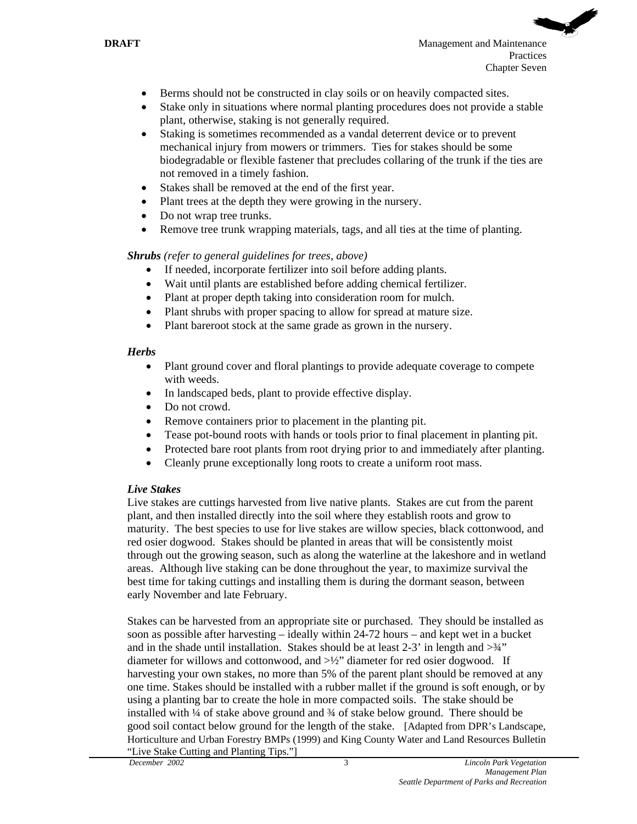- Berms should not be constructed in clay soils or on heavily compacted sites.
- Stake only in situations where normal planting procedures does not provide a stable plant, otherwise, staking is not generally required.
- Staking is sometimes recommended as a vandal deterrent device or to prevent mechanical injury from mowers or trimmers. Ties for stakes should be some biodegradable or flexible fastener that precludes collaring of the trunk if the ties are not removed in a timely fashion.
- Stakes shall be removed at the end of the first year.
- Plant trees at the depth they were growing in the nursery.
- Do not wrap tree trunks.
- Remove tree trunk wrapping materials, tags, and all ties at the time of planting.

### *Shrubs (refer to general guidelines for trees, above)*

- If needed, incorporate fertilizer into soil before adding plants.
- Wait until plants are established before adding chemical fertilizer.
- Plant at proper depth taking into consideration room for mulch.
- Plant shrubs with proper spacing to allow for spread at mature size.
- Plant bareroot stock at the same grade as grown in the nursery.

### *Herbs*

- Plant ground cover and floral plantings to provide adequate coverage to compete with weeds.
- In landscaped beds, plant to provide effective display.
- Do not crowd.
- Remove containers prior to placement in the planting pit.
- Tease pot-bound roots with hands or tools prior to final placement in planting pit.
- Protected bare root plants from root drying prior to and immediately after planting.
- Cleanly prune exceptionally long roots to create a uniform root mass.

# *Live Stakes*

Live stakes are cuttings harvested from live native plants. Stakes are cut from the parent plant, and then installed directly into the soil where they establish roots and grow to maturity. The best species to use for live stakes are willow species, black cottonwood, and red osier dogwood. Stakes should be planted in areas that will be consistently moist through out the growing season, such as along the waterline at the lakeshore and in wetland areas. Although live staking can be done throughout the year, to maximize survival the best time for taking cuttings and installing them is during the dormant season, between early November and late February.

Stakes can be harvested from an appropriate site or purchased. They should be installed as soon as possible after harvesting – ideally within 24-72 hours – and kept wet in a bucket and in the shade until installation. Stakes should be at least  $2-3'$  in length and  $>34''$ diameter for willows and cottonwood, and >½" diameter for red osier dogwood. If harvesting your own stakes, no more than 5% of the parent plant should be removed at any one time. Stakes should be installed with a rubber mallet if the ground is soft enough, or by using a planting bar to create the hole in more compacted soils. The stake should be installed with ¼ of stake above ground and ¾ of stake below ground. There should be good soil contact below ground for the length of the stake. [Adapted from DPR's Landscape, Horticulture and Urban Forestry BMPs (1999) and King County Water and Land Resources Bulletin "Live Stake Cutting and Planting Tips."]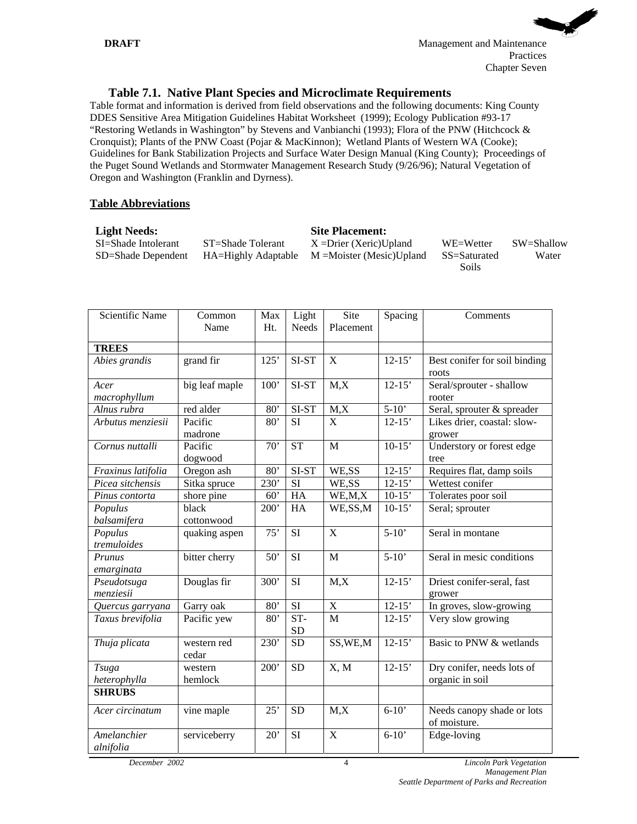### **Table 7.1. Native Plant Species and Microclimate Requirements**

Table format and information is derived from field observations and the following documents: King County DDES Sensitive Area Mitigation Guidelines Habitat Worksheet (1999); Ecology Publication #93-17 "Restoring Wetlands in Washington" by Stevens and Vanbianchi (1993); Flora of the PNW (Hitchcock & Cronquist); Plants of the PNW Coast (Pojar & MacKinnon); Wetland Plants of Western WA (Cooke); Guidelines for Bank Stabilization Projects and Surface Water Design Manual (King County); Proceedings of the Puget Sound Wetlands and Stormwater Management Research Study (9/26/96); Natural Vegetation of Oregon and Washington (Franklin and Dyrness).

#### **Table Abbreviations**

| <b>Light Needs:</b> |                   | <b>Site Placement:</b>                       |              |            |
|---------------------|-------------------|----------------------------------------------|--------------|------------|
| SI=Shade Intolerant | ST=Shade Tolerant | $X = Drier (Xeric)Upland$                    | WE=Wetter    | SW=Shallow |
| SD=Shade Dependent  |                   | HA=Highly Adaptable M =Moister (Mesic)Upland | SS=Saturated | Water      |
|                     |                   |                                              | Soils        |            |

| Scientific Name              | Common<br>Name       | Max<br>Ht. | Light<br>Needs   | Site<br>Placement | Spacing              | Comments                                      |
|------------------------------|----------------------|------------|------------------|-------------------|----------------------|-----------------------------------------------|
| <b>TREES</b>                 |                      |            |                  |                   |                      |                                               |
| Abies grandis                | grand fir            | 125'       | SI-ST            | X                 | $12 - 15'$           | Best conifer for soil binding<br>roots        |
| Acer<br>macrophyllum         | big leaf maple       | 100'       | SI-ST            | M, X              | $12 - 15'$           | Seral/sprouter - shallow<br>rooter            |
| Alnus rubra                  | red alder            | 80'        | SI-ST            | M, X              | $5-10'$              | Seral, sprouter & spreader                    |
| Arbutus menziesii            | Pacific<br>madrone   | 80'        | <b>SI</b>        | X                 | $12 - 15'$           | Likes drier, coastal: slow-<br>grower         |
| Cornus nuttalli              | Pacific<br>dogwood   | 70'        | <b>ST</b>        | M                 | $10-15'$             | Understory or forest edge<br>tree             |
| Fraxinus latifolia           | Oregon ash           | 80'        | SI-ST            | WE,SS             | $12 - 15'$           | Requires flat, damp soils                     |
| Picea sitchensis             | Sitka spruce         | 230'       | <b>SI</b>        | WE,SS             | $12 - 15'$           | Wettest conifer                               |
| Pinus contorta               | shore pine           | 60'        | HA               | WE, M, X          | $10-15'$             | Tolerates poor soil                           |
| Populus<br>balsamifera       | black<br>cottonwood  | 200'       | HA               | WE,SS,M           | $10-15'$             | Seral; sprouter                               |
| Populus<br>tremuloides       | quaking aspen        | 75'        | <b>SI</b>        | $\mathbf{X}$      | $5-10'$              | Seral in montane                              |
| Prunus<br>emarginata         | bitter cherry        | 50'        | <b>SI</b>        | M                 | $\overline{5} - 10'$ | Seral in mesic conditions                     |
| Pseudotsuga<br>menziesii     | Douglas fir          | 300'       | <b>SI</b>        | M, X              | $12 - 15'$           | Driest conifer-seral, fast<br>grower          |
| Quercus garryana             | Garry oak            | 80'        | <b>SI</b>        | $\mathbf X$       | $12 - 15'$           | In groves, slow-growing                       |
| Taxus brevifolia             | Pacific yew          | 80'        | ST-<br><b>SD</b> | $\overline{M}$    | $12 - 15'$           | Very slow growing                             |
| Thuja plicata                | western red<br>cedar | 230'       | <b>SD</b>        | SS, WE, M         | $12 - 15'$           | Basic to PNW & wetlands                       |
| <b>Tsuga</b><br>heterophylla | western<br>hemlock   | 200'       | <b>SD</b>        | X, M              | $12 - 15'$           | Dry conifer, needs lots of<br>organic in soil |
| <b>SHRUBS</b>                |                      |            |                  |                   |                      |                                               |
| Acer circinatum              | vine maple           | 25'        | <b>SD</b>        | M, X              | $6-10'$              | Needs canopy shade or lots<br>of moisture.    |
| Amelanchier<br>alnifolia     | serviceberry         | 20'        | <b>SI</b>        | $\mathbf X$       | $6-10'$              | Edge-loving                                   |

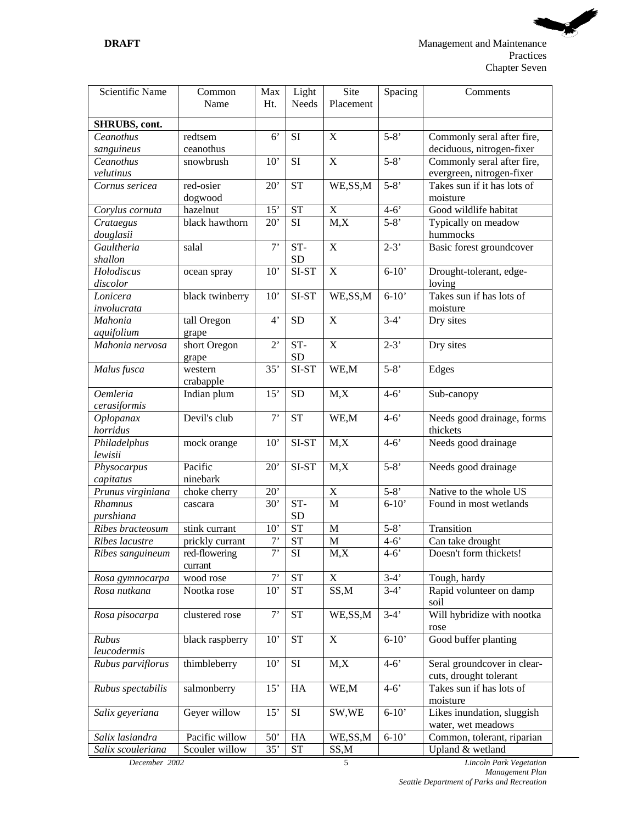| <b>Scientific Name</b>         | Common<br>Name          | Max<br>Ht.  | Light<br>Needs      | Site<br>Placement         | Spacing          | Comments                                                |  |  |  |  |  |
|--------------------------------|-------------------------|-------------|---------------------|---------------------------|------------------|---------------------------------------------------------|--|--|--|--|--|
|                                |                         |             |                     |                           |                  |                                                         |  |  |  |  |  |
| SHRUBS, cont.                  |                         |             |                     |                           |                  |                                                         |  |  |  |  |  |
| Ceanothus                      | redtsem                 | $6^{\circ}$ | SI                  | X                         | $5 - 8'$         | Commonly seral after fire,                              |  |  |  |  |  |
| sanguineus<br>Ceanothus        | ceanothus<br>snowbrush  | 10'         | <b>SI</b>           | $\mathbf X$               | $5 - 8'$         | deciduous, nitrogen-fixer<br>Commonly seral after fire, |  |  |  |  |  |
| velutinus                      |                         |             |                     |                           |                  | evergreen, nitrogen-fixer                               |  |  |  |  |  |
| Cornus sericea                 | red-osier               | 20'         | <b>ST</b>           | WE,SS,M                   | $\overline{5-8}$ | Takes sun if it has lots of                             |  |  |  |  |  |
|                                | dogwood                 |             |                     |                           |                  | moisture                                                |  |  |  |  |  |
| Corylus cornuta                | hazelnut                | 15'         | <b>ST</b>           | $\mathbf X$               | $4-6$            | Good wildlife habitat                                   |  |  |  |  |  |
| Crataegus                      | black hawthorn          | 20'         | <b>SI</b>           | $\overline{M,X}$          | $\overline{5-8}$ | Typically on meadow                                     |  |  |  |  |  |
| douglasii                      |                         |             |                     |                           |                  | hummocks                                                |  |  |  |  |  |
| Gaultheria                     | salal                   | 7'          | ST-                 | X                         | $2 - 3'$         | Basic forest groundcover                                |  |  |  |  |  |
| shallon                        |                         |             | <b>SD</b>           |                           |                  |                                                         |  |  |  |  |  |
| Holodiscus                     | ocean spray             | 10'         | $\overline{SI}$ -ST | $\mathbf X$               | $6-10'$          | Drought-tolerant, edge-                                 |  |  |  |  |  |
| discolor                       |                         |             |                     |                           |                  | loving                                                  |  |  |  |  |  |
| Lonicera                       | black twinberry         | 10'         | SI-ST               | WE, SS, M                 | $6-10'$          | Takes sun if has lots of                                |  |  |  |  |  |
| involucrata                    |                         |             |                     |                           |                  | moisture                                                |  |  |  |  |  |
| Mahonia                        | tall Oregon             | $4^{\circ}$ | <b>SD</b>           | X                         | $3-4'$           | Dry sites                                               |  |  |  |  |  |
| aquifolium<br>Mahonia nervosa  | grape<br>short Oregon   | $2^{\circ}$ | ST-                 | $\boldsymbol{\mathrm{X}}$ | $2 - 3'$         | Dry sites                                               |  |  |  |  |  |
|                                | grape                   |             | <b>SD</b>           |                           |                  |                                                         |  |  |  |  |  |
| Malus fusca                    | western                 | 35'         | SI-ST               | WE,M                      | $5 - 8'$         | Edges                                                   |  |  |  |  |  |
|                                | crabapple               |             |                     |                           |                  |                                                         |  |  |  |  |  |
| <b>Oemleria</b>                | Indian plum             | 15'         | <b>SD</b>           | M, X                      | $4 - 6'$         | Sub-canopy                                              |  |  |  |  |  |
| cerasiformis                   |                         |             |                     |                           |                  |                                                         |  |  |  |  |  |
| Oplopanax                      | Devil's club            | 7'          | <b>ST</b>           | WE,M                      | $4 - 6'$         | Needs good drainage, forms                              |  |  |  |  |  |
| horridus                       |                         |             |                     |                           |                  | thickets                                                |  |  |  |  |  |
| Philadelphus                   | mock orange             | 10'         | SI-ST               | M, X                      | $4 - 6'$         | Needs good drainage                                     |  |  |  |  |  |
| lewisii                        |                         |             |                     |                           |                  |                                                         |  |  |  |  |  |
| Physocarpus                    | Pacific                 | 20'         | SI-ST               | M, X                      | $5 - 8'$         | Needs good drainage                                     |  |  |  |  |  |
| capitatus<br>Prunus virginiana | ninebark                | 20'         |                     | $\mathbf X$               | $5 - 8'$         | Native to the whole US                                  |  |  |  |  |  |
| Rhamnus                        | choke cherry<br>cascara | 30'         | ST-                 | $\overline{M}$            | $6-10'$          | Found in most wetlands                                  |  |  |  |  |  |
| purshiana                      |                         |             | <b>SD</b>           |                           |                  |                                                         |  |  |  |  |  |
| Ribes bracteosum               | stink currant           | 10'         | <b>ST</b>           | M                         | $5 - 8'$         | Transition                                              |  |  |  |  |  |
| Ribes lacustre                 | prickly currant         | 7'          | <b>ST</b>           | $\mathbf M$               | $4 - 6'$         | Can take drought                                        |  |  |  |  |  |
| Ribes sanguineum               | red-flowering           | $7^{\circ}$ | $\overline{SI}$     | M, X                      | $4 - 6'$         | Doesn't form thickets!                                  |  |  |  |  |  |
|                                | currant                 |             |                     |                           |                  |                                                         |  |  |  |  |  |
| Rosa gymnocarpa                | wood rose               | 7           | <b>ST</b>           | X                         | $3-4'$           | Tough, hardy                                            |  |  |  |  |  |
| Rosa nutkana                   | Nootka rose             | 10'         | ${\cal S}{\cal T}$  | SS,M                      | $3-4'$           | Rapid volunteer on damp                                 |  |  |  |  |  |
|                                |                         |             |                     |                           |                  | soil                                                    |  |  |  |  |  |
| Rosa pisocarpa                 | clustered rose          | $7$ '       | <b>ST</b>           | WE, SS, M                 | $3-4'$           | Will hybridize with nootka                              |  |  |  |  |  |
|                                |                         |             |                     |                           |                  | rose                                                    |  |  |  |  |  |
| Rubus                          | black raspberry         | 10'         | <b>ST</b>           | X                         | $6 - 10'$        | Good buffer planting                                    |  |  |  |  |  |
| leucodermis                    |                         |             |                     |                           |                  |                                                         |  |  |  |  |  |
| Rubus parviflorus              | thimbleberry            | 10'         | SI                  | M, X                      | $4 - 6'$         | Seral groundcover in clear-<br>cuts, drought tolerant   |  |  |  |  |  |
| Rubus spectabilis              | salmonberry             | 15'         | HA                  | WE,M                      | $4 - 6'$         | Takes sun if has lots of                                |  |  |  |  |  |
|                                |                         |             |                     |                           |                  | moisture                                                |  |  |  |  |  |
| Salix geyeriana                | Geyer willow            | 15'         | <b>SI</b>           | SW, WE                    | $6 - 10'$        | Likes inundation, sluggish                              |  |  |  |  |  |
|                                |                         |             |                     |                           |                  | water, wet meadows                                      |  |  |  |  |  |
| Salix lasiandra                | Pacific willow          | 50'         | HA                  | WE,SS,M                   | $6 - 10'$        | Common, tolerant, riparian                              |  |  |  |  |  |
| Salix scouleriana              | Scouler willow          | 35'         | ${\cal S}{\cal T}$  | SS,M                      |                  | Upland & wetland                                        |  |  |  |  |  |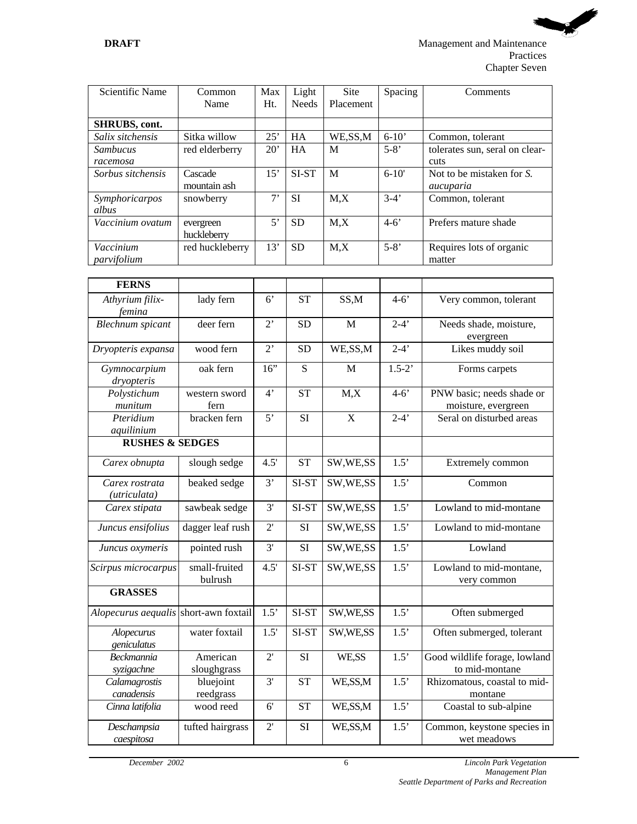| Scientific Name                       | Common<br>Name           | Max<br>Ht.     | Light<br><b>Needs</b> | Site<br>Placement | Spacing          | Comments                                         |
|---------------------------------------|--------------------------|----------------|-----------------------|-------------------|------------------|--------------------------------------------------|
|                                       |                          |                |                       |                   |                  |                                                  |
| SHRUBS, cont.<br>Salix sitchensis     | Sitka willow             | 25'            | HA                    | WE,SS,M           | $6-10'$          | Common, tolerant                                 |
| Sambucus                              | red elderberry           | 20'            | HA                    | М                 | $5 - 8'$         | tolerates sun, seral on clear-                   |
| racemosa                              |                          |                |                       |                   |                  | cuts                                             |
| Sorbus sitchensis                     | Cascade<br>mountain ash  | 15'            | SI-ST                 | M                 | $6 - 10'$        | Not to be mistaken for S.<br>aucuparia           |
| Symphoricarpos<br>albus               | snowberry                | 7'             | <b>SI</b>             | M, X              | $3-4'$           | Common, tolerant                                 |
| Vaccinium ovatum                      | evergreen<br>huckleberry | $\overline{5}$ | <b>SD</b>             | M, X              | $4 - 6'$         | Prefers mature shade                             |
| Vaccinium                             | red huckleberry          | 13'            | <b>SD</b>             | M, X              | $5 - 8'$         | Requires lots of organic                         |
| parvifolium                           |                          |                |                       |                   |                  | matter                                           |
|                                       |                          |                |                       |                   |                  |                                                  |
| <b>FERNS</b>                          |                          |                |                       |                   |                  |                                                  |
| Athyrium filix-<br>femina             | lady fern                | $6^{\circ}$    | <b>ST</b>             | SS,M              | $4 - 6'$         | Very common, tolerant                            |
| <b>Blechnum</b> spicant               | deer fern                | $2^{\circ}$    | SD                    | M                 | $2-4'$           | Needs shade, moisture,<br>evergreen              |
| Dryopteris expansa                    | wood fern                | $2^{\circ}$    | <b>SD</b>             | WE,SS,M           | $2-4'$           | Likes muddy soil                                 |
| Gymnocarpium<br>dryopteris            | oak fern                 | 16"            | ${\bf S}$             | M                 | $1.5 - 2'$       | Forms carpets                                    |
| Polystichum<br>munitum                | western sword<br>fern    | $4^{\circ}$    | <b>ST</b>             | M, X              | $4 - 6'$         | PNW basic; needs shade or<br>moisture, evergreen |
| Pteridium<br>aquilinium               | bracken fern             | 5'             | <b>SI</b>             | $\mathbf X$       | $2-4'$           | Seral on disturbed areas                         |
| <b>RUSHES &amp; SEDGES</b>            |                          |                |                       |                   |                  |                                                  |
|                                       | slough sedge             | 4.5'           | <b>ST</b>             | SW, WE, SS        | 1.5'             | Extremely common                                 |
| Carex obnupta                         |                          |                |                       |                   |                  |                                                  |
| Carex rostrata<br>(utriculata)        | beaked sedge             | 3'             | SI-ST                 | SW, WE, SS        | $\overline{1.5}$ | Common                                           |
| Carex stipata                         | sawbeak sedge            | 3'             | SI-ST                 | SW, WE, SS        | 1.5'             | Lowland to mid-montane                           |
| Juncus ensifolius                     | dagger leaf rush         | 2'             | SI                    | SW, WE, SS        | 1.5'             | Lowland to mid-montane                           |
| Juncus oxymeris                       | pointed rush             | $\overline{3}$ | SI                    | SW, WE, SS        | 1.5'             | Lowland                                          |
| Scirpus microcarpus                   | small-fruited<br>bulrush | 4.5'           | SI-ST                 | SW, WE, SS        | 1.5'             | Lowland to mid-montane,<br>very common           |
| <b>GRASSES</b>                        |                          |                |                       |                   |                  |                                                  |
| Alopecurus aequalis short-awn foxtail |                          | 1.5'           | SI-ST                 | SW, WE, SS        | 1.5'             | Often submerged                                  |
| Alopecurus<br>geniculatus             | water foxtail            | 1.5'           | SI-ST                 | SW,WE,SS          | 1.5'             | Often submerged, tolerant                        |
| <b>Beckmannia</b><br>syzigachne       | American<br>sloughgrass  | $2^{\prime}$   | SI                    | WE,SS             | 1.5'             | Good wildlife forage, lowland<br>to mid-montane  |
| Calamagrostis                         | bluejoint                | 3'             | <b>ST</b>             | WE, SS, M         | 1.5'             | Rhizomatous, coastal to mid-                     |
| canadensis                            | reedgrass                |                |                       |                   |                  | montane                                          |
| Cinna latifolia                       | wood reed                | 6'             | <b>ST</b>             | WE,SS,M           | 1.5'             | Coastal to sub-alpine                            |
| Deschampsia<br>caespitosa             | tufted hairgrass         | $2^{\prime}$   | SI                    | WE, SS, M         | 1.5'             | Common, keystone species in<br>wet meadows       |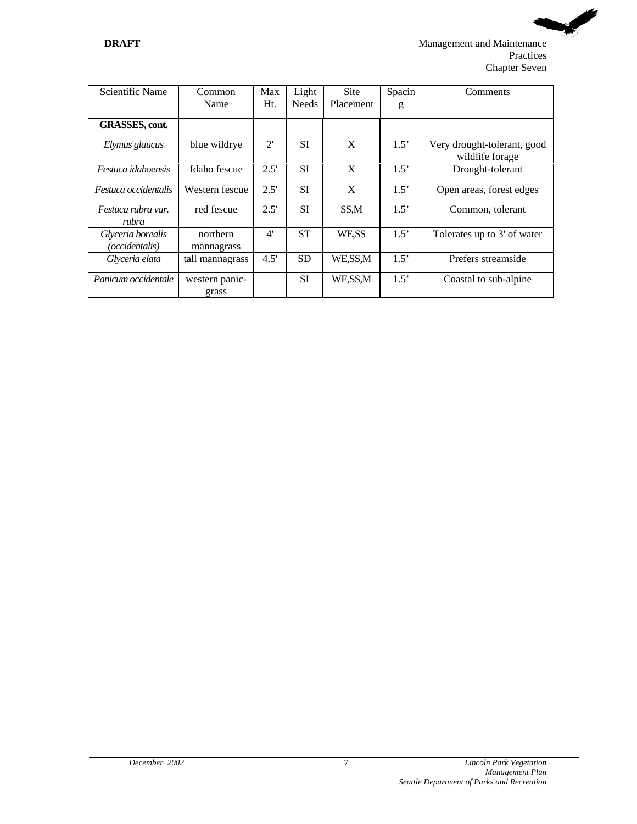| Scientific Name                     | Common<br>Name          | Max<br>Ht.   | Light<br><b>Needs</b> | Site<br>Placement | Spacin<br>g | Comments                                       |
|-------------------------------------|-------------------------|--------------|-----------------------|-------------------|-------------|------------------------------------------------|
| <b>GRASSES</b> , cont.              |                         |              |                       |                   |             |                                                |
| Elymus glaucus                      | blue wildrye            | $2^{\prime}$ | <b>SI</b>             | X                 | 1.5'        | Very drought-tolerant, good<br>wildlife forage |
| Festuca idahoensis                  | Idaho fescue            | 2.5'         | <b>SI</b>             | X                 | 1.5'        | Drought-tolerant                               |
| <i>Festuca occidentalis</i>         | Western fescue          | 2.5'         | <b>SI</b>             | X                 | 1.5'        | Open areas, forest edges                       |
| Festuca rubra var.<br>rubra         | red fescue              | 2.5'         | <b>SI</b>             | SS,M              | 1.5'        | Common, tolerant                               |
| Glyceria borealis<br>(occidentalis) | northern<br>mannagrass  | 4'           | <b>ST</b>             | WE,SS             | 1.5'        | Tolerates up to 3' of water                    |
| Glyceria elata                      | tall mannagrass         | 4.5'         | <b>SD</b>             | WE,SS,M           | 1.5'        | Prefers streamside                             |
| Panicum occidentale                 | western panic-<br>grass |              | <b>SI</b>             | WE,SS,M           | 1.5'        | Coastal to sub-alpine                          |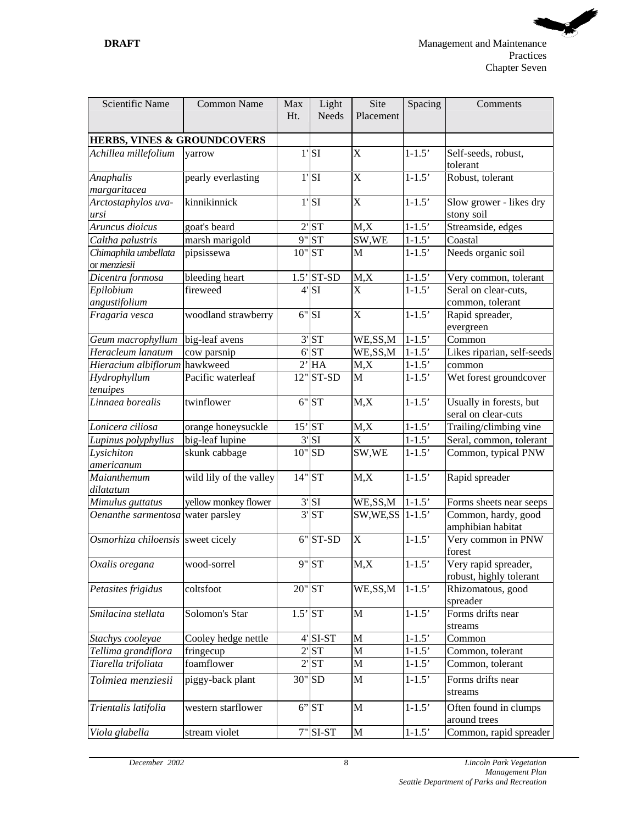| <b>Scientific Name</b>            | <b>Common Name</b>      | Max                   | Light                                    | Site                                     | Spacing              | Comments                                       |
|-----------------------------------|-------------------------|-----------------------|------------------------------------------|------------------------------------------|----------------------|------------------------------------------------|
|                                   |                         | Ht.                   | <b>Needs</b>                             | Placement                                |                      |                                                |
|                                   |                         |                       |                                          |                                          |                      |                                                |
| HERBS, VINES & GROUNDCOVERS       |                         |                       | $1'$ SI                                  | $\overline{\text{X}}$                    | $1-1.5'$             |                                                |
| Achillea millefolium              | yarrow                  |                       |                                          |                                          |                      | Self-seeds, robust,<br>tolerant                |
| Anaphalis                         | pearly everlasting      |                       | $1'$ SI                                  | $\overline{\text{X}}$                    | $1 - 1.5'$           | Robust, tolerant                               |
| margaritacea                      |                         |                       |                                          |                                          |                      |                                                |
| Arctostaphylos uva-               | kinnikinnick            |                       | $1'$ SI                                  | $\overline{\text{X}}$                    | $1 - 1.5'$           | Slow grower - likes dry                        |
| ursi                              |                         |                       |                                          |                                          |                      | stony soil                                     |
| Aruncus dioicus                   | goat's beard            |                       | 2'ST                                     | M, X                                     | $1 - 1.5'$           | Streamside, edges                              |
| Caltha palustris                  | marsh marigold          |                       | 9"ST                                     | SW,WE                                    | $1 - 1.5$            | Coastal                                        |
| Chimaphila umbellata              | pipsissewa              |                       | $10"$ ST                                 | M                                        | $1 - 1.5'$           | Needs organic soil                             |
| or menziesii                      |                         |                       |                                          |                                          |                      |                                                |
| Dicentra formosa                  | bleeding heart          |                       | $1.5$ <sup>'</sup> ST-SD                 | M, X                                     | $1 - 1.5'$           | Very common, tolerant                          |
| Epilobium                         | fireweed                |                       | $4'$ SI                                  | $\overline{\mathrm{X}}$                  | $1-1.5'$             | Seral on clear-cuts,                           |
| angustifolium                     |                         |                       |                                          |                                          |                      | common, tolerant                               |
| Fragaria vesca                    | woodland strawberry     |                       | $6"$ SI                                  | $\overline{\text{X}}$                    | $1 - 1.5'$           | Rapid spreader,                                |
|                                   |                         |                       |                                          |                                          |                      | evergreen                                      |
| Geum macrophyllum                 | big-leaf avens          |                       | 3'ST                                     | WE,SS,M                                  | $1 - 1.5'$           | Common                                         |
| Heracleum lanatum                 | cow parsnip             |                       | 6'ST                                     | WE,SS,M                                  | $1 - 1.5'$           | Likes riparian, self-seeds                     |
| Hieracium albiflorum hawkweed     |                         |                       | $2'$ HA                                  | M, X                                     | $1 - 1.5'$           | common                                         |
| Hydrophyllum                      | Pacific waterleaf       |                       | $12"$ ST-SD                              | M                                        | $1 - 1.5'$           | Wet forest groundcover                         |
| tenuipes                          |                         |                       |                                          |                                          |                      |                                                |
| Linnaea borealis                  | twinflower              |                       | 6"ST                                     | $\overline{M,X}$                         | $1 - 1.5$            | Usually in forests, but<br>seral on clear-cuts |
| Lonicera ciliosa                  | orange honeysuckle      |                       | $15'$ ST                                 | M, X                                     | $1 - 1.5'$           | Trailing/climbing vine                         |
| Lupinus polyphyllus               | big-leaf lupine         |                       | $3'$ SI                                  | $\overline{X}$                           | $1 - 1.5'$           | Seral, common, tolerant                        |
| Lysichiton                        | skunk cabbage           |                       | $10"$ SD                                 | SW,WE                                    | $1 - 1.5$            | Common, typical PNW                            |
| americanum                        |                         |                       |                                          |                                          |                      |                                                |
| $\overline{M}$ aianthemum         | wild lily of the valley | 14"ST                 |                                          | M, X                                     | $1 - 1.5'$           | Rapid spreader                                 |
| dilatatum                         |                         |                       |                                          |                                          |                      |                                                |
| Mimulus guttatus                  | yellow monkey flower    |                       | $3'$ SI                                  | WE,SS,M                                  | $1 - 1.5'$           | Forms sheets near seeps                        |
| Oenanthe sarmentosa water parsley |                         |                       | 3'ST                                     | SW, WE, SS 1-1.5'                        |                      | Common, hardy, good                            |
|                                   |                         |                       |                                          |                                          |                      | amphibian habitat                              |
| Osmorhiza chiloensis sweet cicely |                         |                       | $6"$ ST-SD                               | X                                        | $1 - 1.5'$           | Very common in PNW<br>forest                   |
| Oxalis oregana                    | wood-sorrel             |                       | 9"ST                                     | M, X                                     | $1-1.5'$             | Very rapid spreader,                           |
|                                   |                         |                       |                                          |                                          |                      | robust, highly tolerant                        |
| Petasites frigidus                | coltsfoot               | 20" ST                |                                          | WE,SS,M                                  | $1 - 1.5$            | Rhizomatous, good<br>spreader                  |
| Smilacina stellata                | Solomon's Star          | $1.5$ <sup>'</sup> ST |                                          | М                                        | $1 - 1.5'$           | Forms drifts near                              |
|                                   |                         |                       |                                          |                                          |                      | streams                                        |
| Stachys cooleyae                  | Cooley hedge nettle     |                       | $4$ <sup><math>\sqrt{</math></sup> SI-ST | M                                        | $\overline{1}$ -1.5' | Common                                         |
| Tellima grandiflora               | fringecup               |                       | 2'ST                                     | M                                        | $1 - 1.5$            | Common, tolerant                               |
| Tiarella trifoliata               | foamflower              |                       | 2'ST                                     | M                                        | $1 - 1.5$            | Common, tolerant                               |
| Tolmiea menziesii                 | piggy-back plant        |                       | 30" SD                                   | M                                        | $1 - 1.5'$           | Forms drifts near                              |
|                                   |                         |                       |                                          |                                          |                      | streams                                        |
| Trientalis latifolia              | western starflower      |                       | 6"ST                                     | $\mathbf M$<br>$1 - 1.5$<br>around trees |                      | Often found in clumps                          |
| Viola glabella                    | stream violet           |                       | $7"$ SI-ST                               | $\mathbf M$                              | $1 - 1.5$            | Common, rapid spreader                         |
|                                   |                         |                       |                                          |                                          |                      |                                                |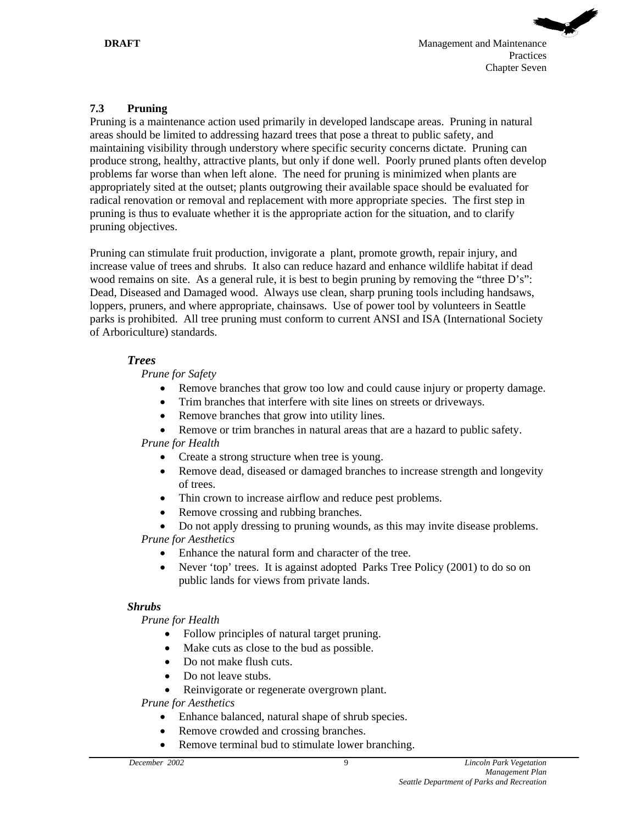# **7.3 Pruning**

Pruning is a maintenance action used primarily in developed landscape areas. Pruning in natural areas should be limited to addressing hazard trees that pose a threat to public safety, and maintaining visibility through understory where specific security concerns dictate. Pruning can produce strong, healthy, attractive plants, but only if done well. Poorly pruned plants often develop problems far worse than when left alone. The need for pruning is minimized when plants are appropriately sited at the outset; plants outgrowing their available space should be evaluated for radical renovation or removal and replacement with more appropriate species. The first step in pruning is thus to evaluate whether it is the appropriate action for the situation, and to clarify pruning objectives.

Pruning can stimulate fruit production, invigorate a plant, promote growth, repair injury, and increase value of trees and shrubs. It also can reduce hazard and enhance wildlife habitat if dead wood remains on site. As a general rule, it is best to begin pruning by removing the "three D's": Dead, Diseased and Damaged wood. Always use clean, sharp pruning tools including handsaws, loppers, pruners, and where appropriate, chainsaws. Use of power tool by volunteers in Seattle parks is prohibited. All tree pruning must conform to current ANSI and ISA (International Society of Arboriculture) standards.

# *Trees*

*Prune for Safety* 

- Remove branches that grow too low and could cause injury or property damage.
- Trim branches that interfere with site lines on streets or driveways.
- Remove branches that grow into utility lines.
- Remove or trim branches in natural areas that are a hazard to public safety.

*Prune for Health* 

- Create a strong structure when tree is young.
- Remove dead, diseased or damaged branches to increase strength and longevity of trees.
- Thin crown to increase airflow and reduce pest problems.
- Remove crossing and rubbing branches.
- Do not apply dressing to pruning wounds, as this may invite disease problems. *Prune for Aesthetics* 
	- Enhance the natural form and character of the tree.
	- Never 'top' trees. It is against adopted Parks Tree Policy (2001) to do so on public lands for views from private lands.

# *Shrubs*

*Prune for Health* 

- Follow principles of natural target pruning.
- Make cuts as close to the bud as possible.
- Do not make flush cuts.
- Do not leave stubs.
- Reinvigorate or regenerate overgrown plant.

*Prune for Aesthetics* 

- Enhance balanced, natural shape of shrub species.
- Remove crowded and crossing branches.
- Remove terminal bud to stimulate lower branching.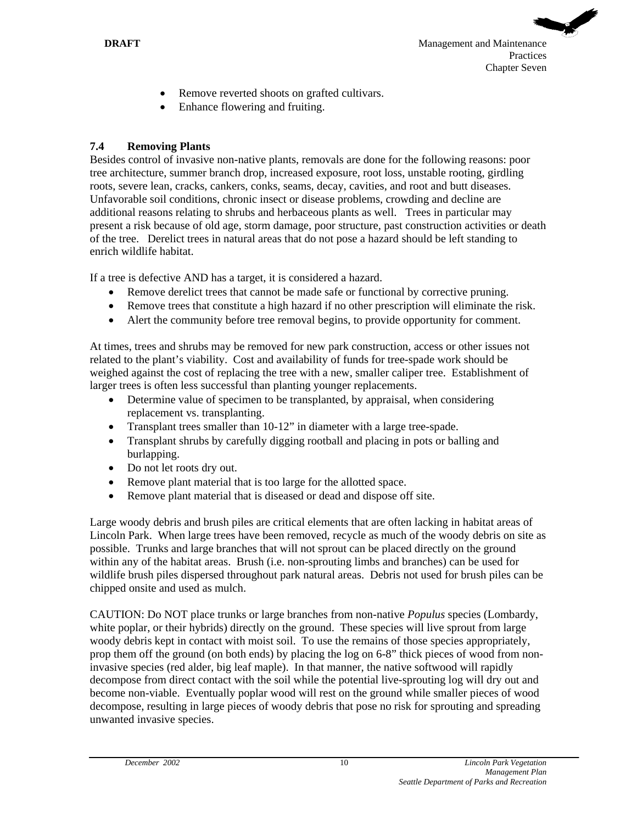

- Remove reverted shoots on grafted cultivars.
- Enhance flowering and fruiting.

# **7.4 Removing Plants**

Besides control of invasive non-native plants, removals are done for the following reasons: poor tree architecture, summer branch drop, increased exposure, root loss, unstable rooting, girdling roots, severe lean, cracks, cankers, conks, seams, decay, cavities, and root and butt diseases. Unfavorable soil conditions, chronic insect or disease problems, crowding and decline are additional reasons relating to shrubs and herbaceous plants as well. Trees in particular may present a risk because of old age, storm damage, poor structure, past construction activities or death of the tree. Derelict trees in natural areas that do not pose a hazard should be left standing to enrich wildlife habitat.

If a tree is defective AND has a target, it is considered a hazard.

- Remove derelict trees that cannot be made safe or functional by corrective pruning.
- Remove trees that constitute a high hazard if no other prescription will eliminate the risk.
- Alert the community before tree removal begins, to provide opportunity for comment.

At times, trees and shrubs may be removed for new park construction, access or other issues not related to the plant's viability. Cost and availability of funds for tree-spade work should be weighed against the cost of replacing the tree with a new, smaller caliper tree. Establishment of larger trees is often less successful than planting younger replacements.

- Determine value of specimen to be transplanted, by appraisal, when considering replacement vs. transplanting.
- Transplant trees smaller than 10-12" in diameter with a large tree-spade.
- Transplant shrubs by carefully digging rootball and placing in pots or balling and burlapping.
- Do not let roots dry out.
- Remove plant material that is too large for the allotted space.
- Remove plant material that is diseased or dead and dispose off site.

Large woody debris and brush piles are critical elements that are often lacking in habitat areas of Lincoln Park. When large trees have been removed, recycle as much of the woody debris on site as possible. Trunks and large branches that will not sprout can be placed directly on the ground within any of the habitat areas. Brush (i.e. non-sprouting limbs and branches) can be used for wildlife brush piles dispersed throughout park natural areas. Debris not used for brush piles can be chipped onsite and used as mulch.

CAUTION: Do NOT place trunks or large branches from non-native *Populus* species (Lombardy, white poplar, or their hybrids) directly on the ground. These species will live sprout from large woody debris kept in contact with moist soil. To use the remains of those species appropriately, prop them off the ground (on both ends) by placing the log on 6-8" thick pieces of wood from noninvasive species (red alder, big leaf maple). In that manner, the native softwood will rapidly decompose from direct contact with the soil while the potential live-sprouting log will dry out and become non-viable. Eventually poplar wood will rest on the ground while smaller pieces of wood decompose, resulting in large pieces of woody debris that pose no risk for sprouting and spreading unwanted invasive species.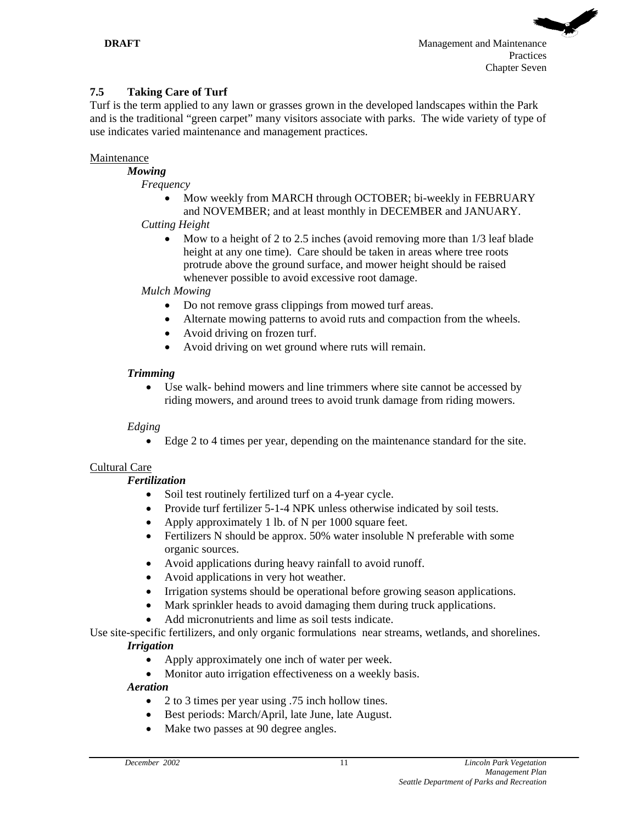# **7.5 Taking Care of Turf**

Turf is the term applied to any lawn or grasses grown in the developed landscapes within the Park and is the traditional "green carpet" many visitors associate with parks. The wide variety of type of use indicates varied maintenance and management practices.

### Maintenance

# *Mowing*

*Frequency* 

• Mow weekly from MARCH through OCTOBER; bi-weekly in FEBRUARY and NOVEMBER; and at least monthly in DECEMBER and JANUARY.

### *Cutting Height*

• Mow to a height of 2 to 2.5 inches (avoid removing more than  $1/3$  leaf blade height at any one time). Care should be taken in areas where tree roots protrude above the ground surface, and mower height should be raised whenever possible to avoid excessive root damage.

### *Mulch Mowing*

- Do not remove grass clippings from mowed turf areas.
- Alternate mowing patterns to avoid ruts and compaction from the wheels.
- Avoid driving on frozen turf.
- Avoid driving on wet ground where ruts will remain.

### *Trimming*

• Use walk- behind mowers and line trimmers where site cannot be accessed by riding mowers, and around trees to avoid trunk damage from riding mowers.

# *Edging*

• Edge 2 to 4 times per year, depending on the maintenance standard for the site.

# Cultural Care

# *Fertilization*

- Soil test routinely fertilized turf on a 4-year cycle.
- Provide turf fertilizer 5-1-4 NPK unless otherwise indicated by soil tests.
- Apply approximately 1 lb. of N per 1000 square feet.
- Fertilizers N should be approx. 50% water insoluble N preferable with some organic sources.
- Avoid applications during heavy rainfall to avoid runoff.
- Avoid applications in very hot weather.
- Irrigation systems should be operational before growing season applications.
- Mark sprinkler heads to avoid damaging them during truck applications.
- Add micronutrients and lime as soil tests indicate.

Use site-specific fertilizers, and only organic formulations near streams, wetlands, and shorelines.  *Irrigation* 

- Apply approximately one inch of water per week.
- Monitor auto irrigation effectiveness on a weekly basis.

### *Aeration*

- 2 to 3 times per year using .75 inch hollow tines.
- Best periods: March/April, late June, late August.
- Make two passes at 90 degree angles.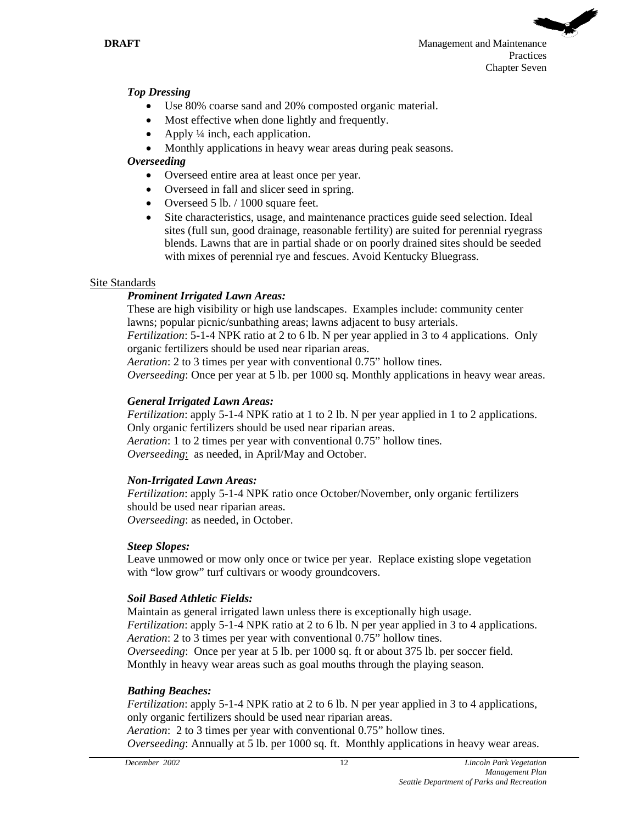#### *Top Dressing*

- Use 80% coarse sand and 20% composted organic material.
- Most effective when done lightly and frequently.
- Apply  $\frac{1}{4}$  inch, each application.
- Monthly applications in heavy wear areas during peak seasons.

### *Overseeding*

- Overseed entire area at least once per year.
- Overseed in fall and slicer seed in spring.
- Overseed 5 lb. / 1000 square feet.
- Site characteristics, usage, and maintenance practices guide seed selection. Ideal sites (full sun, good drainage, reasonable fertility) are suited for perennial ryegrass blends. Lawns that are in partial shade or on poorly drained sites should be seeded with mixes of perennial rye and fescues. Avoid Kentucky Bluegrass.

#### Site Standards

### *Prominent Irrigated Lawn Areas:*

These are high visibility or high use landscapes. Examples include: community center lawns; popular picnic/sunbathing areas; lawns adjacent to busy arterials.

*Fertilization*: 5-1-4 NPK ratio at 2 to 6 lb. N per year applied in 3 to 4 applications. Only organic fertilizers should be used near riparian areas.

*Aeration*: 2 to 3 times per year with conventional 0.75" hollow tines.

*Overseeding*: Once per year at 5 lb. per 1000 sq. Monthly applications in heavy wear areas.

#### *General Irrigated Lawn Areas:*

*Fertilization*: apply 5-1-4 NPK ratio at 1 to 2 lb. N per year applied in 1 to 2 applications. Only organic fertilizers should be used near riparian areas.

*Aeration*: 1 to 2 times per year with conventional 0.75" hollow tines.

*Overseeding*: as needed, in April/May and October.

#### *Non-Irrigated Lawn Areas:*

*Fertilization*: apply 5-1-4 NPK ratio once October/November, only organic fertilizers should be used near riparian areas. *Overseeding*: as needed, in October.

#### *Steep Slopes:*

Leave unmowed or mow only once or twice per year. Replace existing slope vegetation with "low grow" turf cultivars or woody groundcovers.

# *Soil Based Athletic Fields:*

Maintain as general irrigated lawn unless there is exceptionally high usage. *Fertilization*: apply 5-1-4 NPK ratio at 2 to 6 lb. N per year applied in 3 to 4 applications. *Aeration*: 2 to 3 times per year with conventional 0.75" hollow tines. *Overseeding*: Once per year at 5 lb. per 1000 sq. ft or about 375 lb. per soccer field. Monthly in heavy wear areas such as goal mouths through the playing season.

#### *Bathing Beaches:*

*Fertilization*: apply 5-1-4 NPK ratio at 2 to 6 lb. N per year applied in 3 to 4 applications, only organic fertilizers should be used near riparian areas.

*Aeration*: 2 to 3 times per year with conventional 0.75" hollow tines.

*Overseeding*: Annually at 5 lb. per 1000 sq. ft. Monthly applications in heavy wear areas.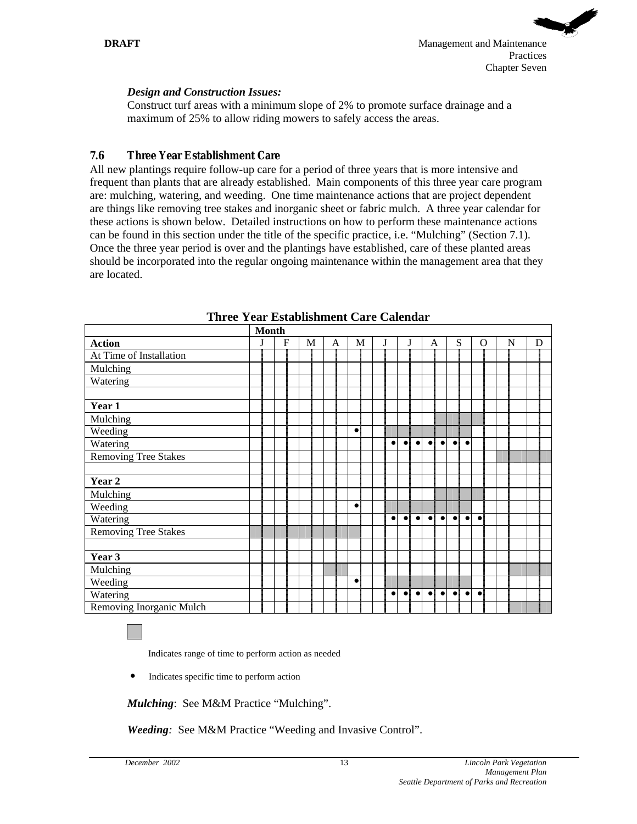

### *Design and Construction Issues:*

Construct turf areas with a minimum slope of 2% to promote surface drainage and a maximum of 25% to allow riding mowers to safely access the areas.

# **7.6 Three Year Establishment Care**

All new plantings require follow-up care for a period of three years that is more intensive and frequent than plants that are already established. Main components of this three year care program are: mulching, watering, and weeding. One time maintenance actions that are project dependent are things like removing tree stakes and inorganic sheet or fabric mulch. A three year calendar for these actions is shown below. Detailed instructions on how to perform these maintenance actions can be found in this section under the title of the specific practice, i.e. "Mulching" (Section 7.1). Once the three year period is over and the plantings have established, care of these planted areas should be incorporated into the regular ongoing maintenance within the management area that they are located.

|                             | <b>Month</b> |             |   |   |           |   |           |           |           |              |           |           |           |             |  |   |   |  |
|-----------------------------|--------------|-------------|---|---|-----------|---|-----------|-----------|-----------|--------------|-----------|-----------|-----------|-------------|--|---|---|--|
| <b>Action</b>               | J            | $\mathbf F$ | M | A | M         | J |           |           |           | $\mathbf{A}$ |           | S         |           | $\mathbf O$ |  | N | D |  |
| At Time of Installation     |              |             |   |   |           |   |           |           |           |              |           |           |           |             |  |   |   |  |
| Mulching                    |              |             |   |   |           |   |           |           |           |              |           |           |           |             |  |   |   |  |
| Watering                    |              |             |   |   |           |   |           |           |           |              |           |           |           |             |  |   |   |  |
|                             |              |             |   |   |           |   |           |           |           |              |           |           |           |             |  |   |   |  |
| Year 1                      |              |             |   |   |           |   |           |           |           |              |           |           |           |             |  |   |   |  |
| Mulching                    |              |             |   |   |           |   |           |           |           |              |           |           |           |             |  |   |   |  |
| Weeding                     |              |             |   |   | $\bullet$ |   |           |           |           |              |           |           |           |             |  |   |   |  |
| Watering                    |              |             |   |   |           |   | $\bullet$ | $\bullet$ | $\bullet$ | $\bullet$    | $\bullet$ | $\bullet$ | $\bullet$ |             |  |   |   |  |
| <b>Removing Tree Stakes</b> |              |             |   |   |           |   |           |           |           |              |           |           |           |             |  |   |   |  |
|                             |              |             |   |   |           |   |           |           |           |              |           |           |           |             |  |   |   |  |
| Year 2                      |              |             |   |   |           |   |           |           |           |              |           |           |           |             |  |   |   |  |
| Mulching                    |              |             |   |   |           |   |           |           |           |              |           |           |           |             |  |   |   |  |
| Weeding                     |              |             |   |   | $\bullet$ |   |           |           |           |              |           |           |           |             |  |   |   |  |
| Watering                    |              |             |   |   |           |   | $\bullet$ | $\bullet$ | $\bullet$ | $\bullet$    | $\bullet$ | $\bullet$ | $\bullet$ | $\bullet$   |  |   |   |  |
| <b>Removing Tree Stakes</b> |              |             |   |   |           |   |           |           |           |              |           |           |           |             |  |   |   |  |
|                             |              |             |   |   |           |   |           |           |           |              |           |           |           |             |  |   |   |  |
| Year 3                      |              |             |   |   |           |   |           |           |           |              |           |           |           |             |  |   |   |  |
| Mulching                    |              |             |   |   |           |   |           |           |           |              |           |           |           |             |  |   |   |  |
| Weeding                     |              |             |   |   | $\bullet$ |   |           |           |           |              |           |           |           |             |  |   |   |  |
| Watering                    |              |             |   |   |           |   | $\bullet$ | $\bullet$ | $\bullet$ | $\bullet$    | $\bullet$ | $\bullet$ | $\bullet$ | $\bullet$   |  |   |   |  |
| Removing Inorganic Mulch    |              |             |   |   |           |   |           |           |           |              |           |           |           |             |  |   |   |  |

**Three Year Establishment Care Calendar** 

Indicates range of time to perform action as needed

! Indicates specific time to perform action

*Mulching*: See M&M Practice "Mulching".

*Weeding:* See M&M Practice "Weeding and Invasive Control".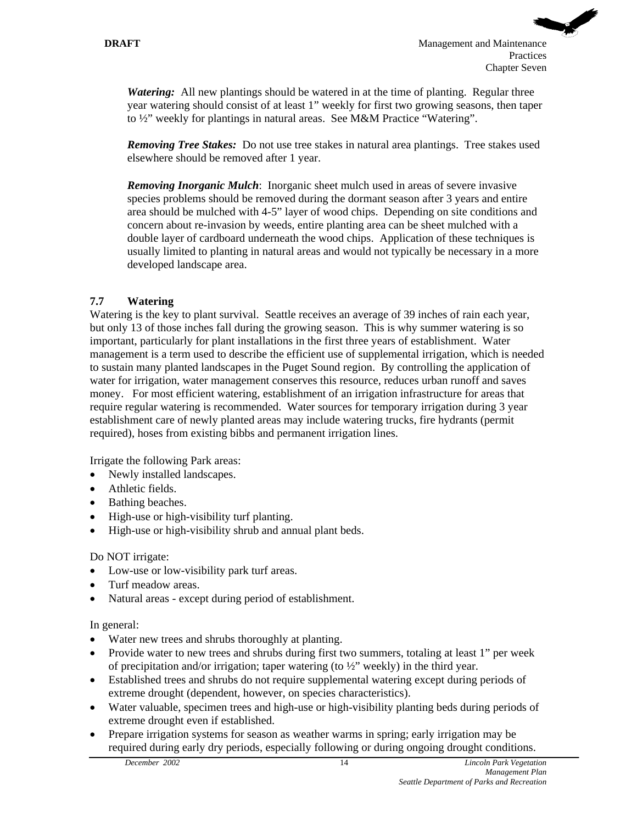*Watering:* All new plantings should be watered in at the time of planting. Regular three year watering should consist of at least 1" weekly for first two growing seasons, then taper to ½" weekly for plantings in natural areas. See M&M Practice "Watering".

*Removing Tree Stakes:* Do not use tree stakes in natural area plantings. Tree stakes used elsewhere should be removed after 1 year.

*Removing Inorganic Mulch*: Inorganic sheet mulch used in areas of severe invasive species problems should be removed during the dormant season after 3 years and entire area should be mulched with 4-5" layer of wood chips. Depending on site conditions and concern about re-invasion by weeds, entire planting area can be sheet mulched with a double layer of cardboard underneath the wood chips. Application of these techniques is usually limited to planting in natural areas and would not typically be necessary in a more developed landscape area.

# **7.7 Watering**

Watering is the key to plant survival. Seattle receives an average of 39 inches of rain each year, but only 13 of those inches fall during the growing season. This is why summer watering is so important, particularly for plant installations in the first three years of establishment. Water management is a term used to describe the efficient use of supplemental irrigation, which is needed to sustain many planted landscapes in the Puget Sound region. By controlling the application of water for irrigation, water management conserves this resource, reduces urban runoff and saves money. For most efficient watering, establishment of an irrigation infrastructure for areas that require regular watering is recommended. Water sources for temporary irrigation during 3 year establishment care of newly planted areas may include watering trucks, fire hydrants (permit required), hoses from existing bibbs and permanent irrigation lines.

Irrigate the following Park areas:

- Newly installed landscapes.
- Athletic fields.
- Bathing beaches.
- High-use or high-visibility turf planting.
- High-use or high-visibility shrub and annual plant beds.

# Do NOT irrigate:

- Low-use or low-visibility park turf areas.
- Turf meadow areas.
- Natural areas except during period of establishment.

In general:

- Water new trees and shrubs thoroughly at planting.
- Provide water to new trees and shrubs during first two summers, totaling at least 1" per week of precipitation and/or irrigation; taper watering (to ½" weekly) in the third year.
- Established trees and shrubs do not require supplemental watering except during periods of extreme drought (dependent, however, on species characteristics).
- Water valuable, specimen trees and high-use or high-visibility planting beds during periods of extreme drought even if established.
- Prepare irrigation systems for season as weather warms in spring; early irrigation may be required during early dry periods, especially following or during ongoing drought conditions.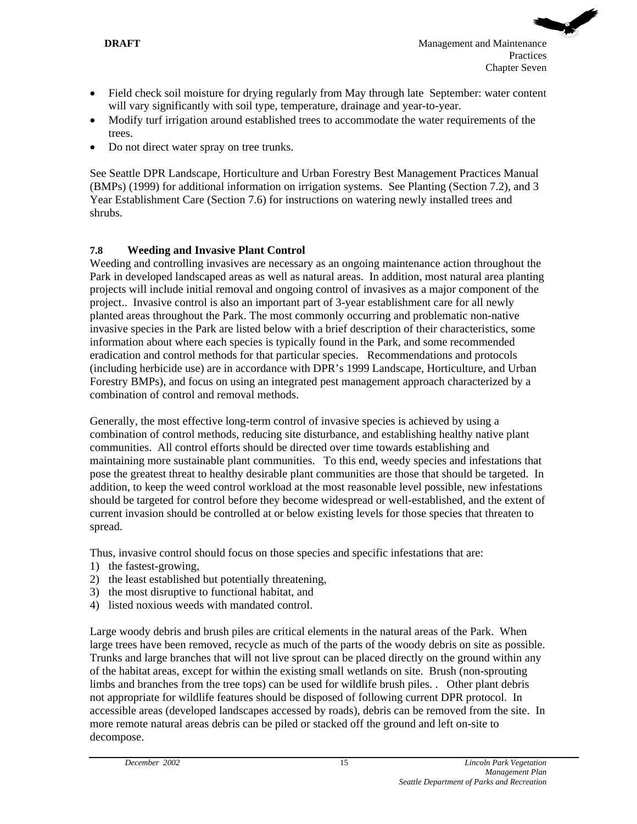- Field check soil moisture for drying regularly from May through late September: water content will vary significantly with soil type, temperature, drainage and year-to-year.
- Modify turf irrigation around established trees to accommodate the water requirements of the trees.
- Do not direct water spray on tree trunks.

See Seattle DPR Landscape, Horticulture and Urban Forestry Best Management Practices Manual (BMPs) (1999) for additional information on irrigation systems. See Planting (Section 7.2), and 3 Year Establishment Care (Section 7.6) for instructions on watering newly installed trees and shrubs.

# **7.8 Weeding and Invasive Plant Control**

Weeding and controlling invasives are necessary as an ongoing maintenance action throughout the Park in developed landscaped areas as well as natural areas. In addition, most natural area planting projects will include initial removal and ongoing control of invasives as a major component of the project.. Invasive control is also an important part of 3-year establishment care for all newly planted areas throughout the Park. The most commonly occurring and problematic non-native invasive species in the Park are listed below with a brief description of their characteristics, some information about where each species is typically found in the Park, and some recommended eradication and control methods for that particular species. Recommendations and protocols (including herbicide use) are in accordance with DPR's 1999 Landscape, Horticulture, and Urban Forestry BMPs), and focus on using an integrated pest management approach characterized by a combination of control and removal methods.

Generally, the most effective long-term control of invasive species is achieved by using a combination of control methods, reducing site disturbance, and establishing healthy native plant communities. All control efforts should be directed over time towards establishing and maintaining more sustainable plant communities. To this end, weedy species and infestations that pose the greatest threat to healthy desirable plant communities are those that should be targeted. In addition, to keep the weed control workload at the most reasonable level possible, new infestations should be targeted for control before they become widespread or well-established, and the extent of current invasion should be controlled at or below existing levels for those species that threaten to spread.

Thus, invasive control should focus on those species and specific infestations that are:

- 1) the fastest-growing,
- 2) the least established but potentially threatening,
- 3) the most disruptive to functional habitat, and
- 4) listed noxious weeds with mandated control.

Large woody debris and brush piles are critical elements in the natural areas of the Park. When large trees have been removed, recycle as much of the parts of the woody debris on site as possible. Trunks and large branches that will not live sprout can be placed directly on the ground within any of the habitat areas, except for within the existing small wetlands on site. Brush (non-sprouting limbs and branches from the tree tops) can be used for wildlife brush piles. . Other plant debris not appropriate for wildlife features should be disposed of following current DPR protocol. In accessible areas (developed landscapes accessed by roads), debris can be removed from the site. In more remote natural areas debris can be piled or stacked off the ground and left on-site to decompose.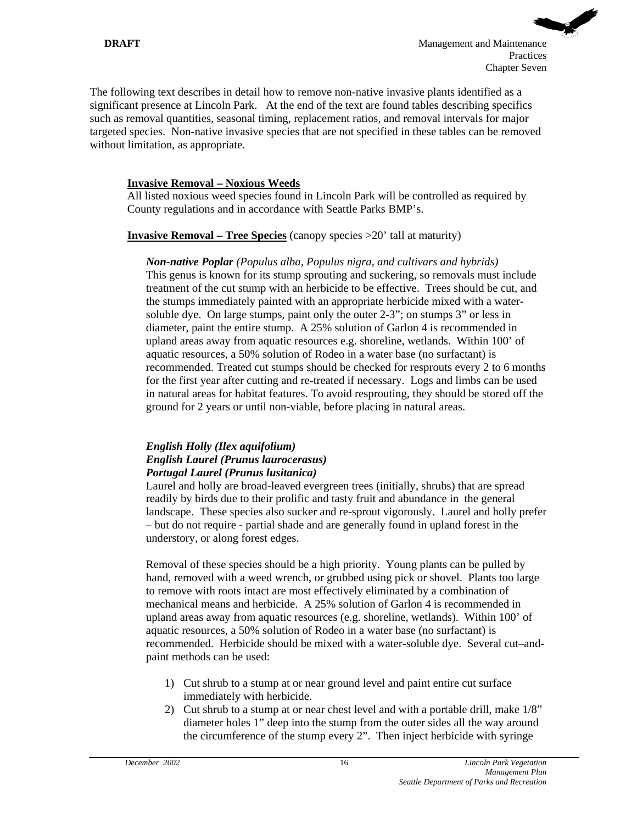The following text describes in detail how to remove non-native invasive plants identified as a significant presence at Lincoln Park. At the end of the text are found tables describing specifics such as removal quantities, seasonal timing, replacement ratios, and removal intervals for major targeted species. Non-native invasive species that are not specified in these tables can be removed without limitation, as appropriate.

# **Invasive Removal – Noxious Weeds**

All listed noxious weed species found in Lincoln Park will be controlled as required by County regulations and in accordance with Seattle Parks BMP's.

### **Invasive Removal – Tree Species** (canopy species >20' tall at maturity)

### *Non-native Poplar (Populus alba, Populus nigra, and cultivars and hybrids)* This genus is known for its stump sprouting and suckering, so removals must include treatment of the cut stump with an herbicide to be effective. Trees should be cut, and the stumps immediately painted with an appropriate herbicide mixed with a watersoluble dye. On large stumps, paint only the outer 2-3"; on stumps 3" or less in diameter, paint the entire stump. A 25% solution of Garlon 4 is recommended in upland areas away from aquatic resources e.g. shoreline, wetlands. Within 100' of aquatic resources, a 50% solution of Rodeo in a water base (no surfactant) is recommended. Treated cut stumps should be checked for resprouts every 2 to 6 months for the first year after cutting and re-treated if necessary. Logs and limbs can be used in natural areas for habitat features. To avoid resprouting, they should be stored off the ground for 2 years or until non-viable, before placing in natural areas.

### *English Holly (Ilex aquifolium) English Laurel (Prunus laurocerasus) Portugal Laurel (Prunus lusitanica)*

Laurel and holly are broad-leaved evergreen trees (initially, shrubs) that are spread readily by birds due to their prolific and tasty fruit and abundance in the general landscape. These species also sucker and re-sprout vigorously. Laurel and holly prefer – but do not require - partial shade and are generally found in upland forest in the understory, or along forest edges.

Removal of these species should be a high priority. Young plants can be pulled by hand, removed with a weed wrench, or grubbed using pick or shovel. Plants too large to remove with roots intact are most effectively eliminated by a combination of mechanical means and herbicide. A 25% solution of Garlon 4 is recommended in upland areas away from aquatic resources (e.g. shoreline, wetlands). Within 100' of aquatic resources, a 50% solution of Rodeo in a water base (no surfactant) is recommended. Herbicide should be mixed with a water-soluble dye. Several cut–andpaint methods can be used:

- 1) Cut shrub to a stump at or near ground level and paint entire cut surface immediately with herbicide.
- 2) Cut shrub to a stump at or near chest level and with a portable drill, make 1/8" diameter holes 1" deep into the stump from the outer sides all the way around the circumference of the stump every 2". Then inject herbicide with syringe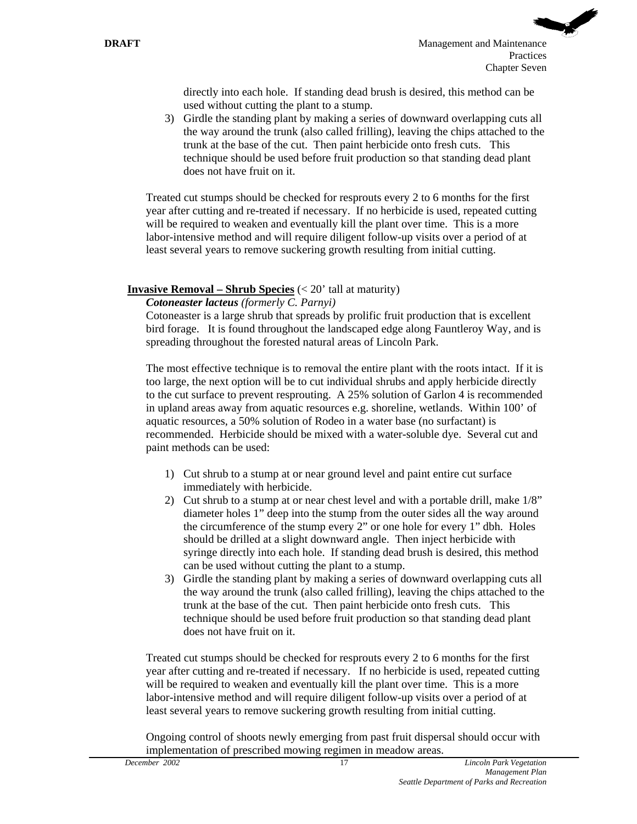directly into each hole. If standing dead brush is desired, this method can be used without cutting the plant to a stump.

3) Girdle the standing plant by making a series of downward overlapping cuts all the way around the trunk (also called frilling), leaving the chips attached to the trunk at the base of the cut. Then paint herbicide onto fresh cuts. This technique should be used before fruit production so that standing dead plant does not have fruit on it.

Treated cut stumps should be checked for resprouts every 2 to 6 months for the first year after cutting and re-treated if necessary. If no herbicide is used, repeated cutting will be required to weaken and eventually kill the plant over time. This is a more labor-intensive method and will require diligent follow-up visits over a period of at least several years to remove suckering growth resulting from initial cutting.

# **Invasive Removal – Shrub Species** (< 20' tall at maturity)

*Cotoneaster lacteus (formerly C. Parnyi)*

Cotoneaster is a large shrub that spreads by prolific fruit production that is excellent bird forage. It is found throughout the landscaped edge along Fauntleroy Way, and is spreading throughout the forested natural areas of Lincoln Park.

The most effective technique is to removal the entire plant with the roots intact. If it is too large, the next option will be to cut individual shrubs and apply herbicide directly to the cut surface to prevent resprouting. A 25% solution of Garlon 4 is recommended in upland areas away from aquatic resources e.g. shoreline, wetlands. Within 100' of aquatic resources, a 50% solution of Rodeo in a water base (no surfactant) is recommended. Herbicide should be mixed with a water-soluble dye. Several cut and paint methods can be used:

- 1) Cut shrub to a stump at or near ground level and paint entire cut surface immediately with herbicide.
- 2) Cut shrub to a stump at or near chest level and with a portable drill, make 1/8" diameter holes 1" deep into the stump from the outer sides all the way around the circumference of the stump every 2" or one hole for every 1" dbh. Holes should be drilled at a slight downward angle. Then inject herbicide with syringe directly into each hole. If standing dead brush is desired, this method can be used without cutting the plant to a stump.
- 3) Girdle the standing plant by making a series of downward overlapping cuts all the way around the trunk (also called frilling), leaving the chips attached to the trunk at the base of the cut. Then paint herbicide onto fresh cuts. This technique should be used before fruit production so that standing dead plant does not have fruit on it.

Treated cut stumps should be checked for resprouts every 2 to 6 months for the first year after cutting and re-treated if necessary. If no herbicide is used, repeated cutting will be required to weaken and eventually kill the plant over time. This is a more labor-intensive method and will require diligent follow-up visits over a period of at least several years to remove suckering growth resulting from initial cutting.

Ongoing control of shoots newly emerging from past fruit dispersal should occur with implementation of prescribed mowing regimen in meadow areas.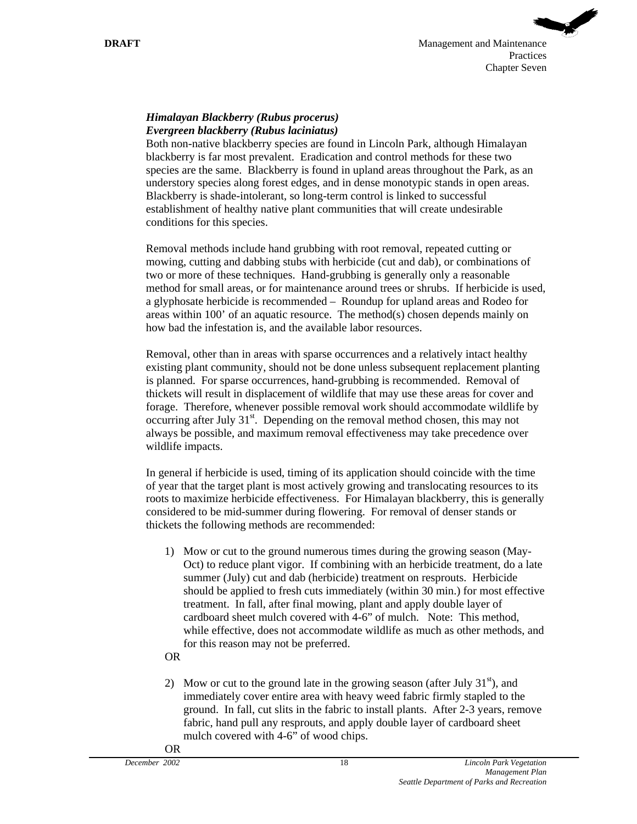

### *Himalayan Blackberry (Rubus procerus) Evergreen blackberry (Rubus laciniatus)*

Both non-native blackberry species are found in Lincoln Park, although Himalayan blackberry is far most prevalent. Eradication and control methods for these two species are the same. Blackberry is found in upland areas throughout the Park, as an understory species along forest edges, and in dense monotypic stands in open areas. Blackberry is shade-intolerant, so long-term control is linked to successful establishment of healthy native plant communities that will create undesirable conditions for this species.

Removal methods include hand grubbing with root removal, repeated cutting or mowing, cutting and dabbing stubs with herbicide (cut and dab), or combinations of two or more of these techniques. Hand-grubbing is generally only a reasonable method for small areas, or for maintenance around trees or shrubs. If herbicide is used, a glyphosate herbicide is recommended – Roundup for upland areas and Rodeo for areas within 100' of an aquatic resource. The method(s) chosen depends mainly on how bad the infestation is, and the available labor resources.

Removal, other than in areas with sparse occurrences and a relatively intact healthy existing plant community, should not be done unless subsequent replacement planting is planned. For sparse occurrences, hand-grubbing is recommended. Removal of thickets will result in displacement of wildlife that may use these areas for cover and forage. Therefore, whenever possible removal work should accommodate wildlife by occurring after July  $31<sup>st</sup>$ . Depending on the removal method chosen, this may not always be possible, and maximum removal effectiveness may take precedence over wildlife impacts.

In general if herbicide is used, timing of its application should coincide with the time of year that the target plant is most actively growing and translocating resources to its roots to maximize herbicide effectiveness. For Himalayan blackberry, this is generally considered to be mid-summer during flowering. For removal of denser stands or thickets the following methods are recommended:

1) Mow or cut to the ground numerous times during the growing season (May-Oct) to reduce plant vigor. If combining with an herbicide treatment, do a late summer (July) cut and dab (herbicide) treatment on resprouts. Herbicide should be applied to fresh cuts immediately (within 30 min.) for most effective treatment. In fall, after final mowing, plant and apply double layer of cardboard sheet mulch covered with 4-6" of mulch. Note: This method, while effective, does not accommodate wildlife as much as other methods, and for this reason may not be preferred.

#### OR

2) Mow or cut to the ground late in the growing season (after July  $31<sup>st</sup>$ ), and immediately cover entire area with heavy weed fabric firmly stapled to the ground. In fall, cut slits in the fabric to install plants. After 2-3 years, remove fabric, hand pull any resprouts, and apply double layer of cardboard sheet mulch covered with 4-6" of wood chips.

#### OR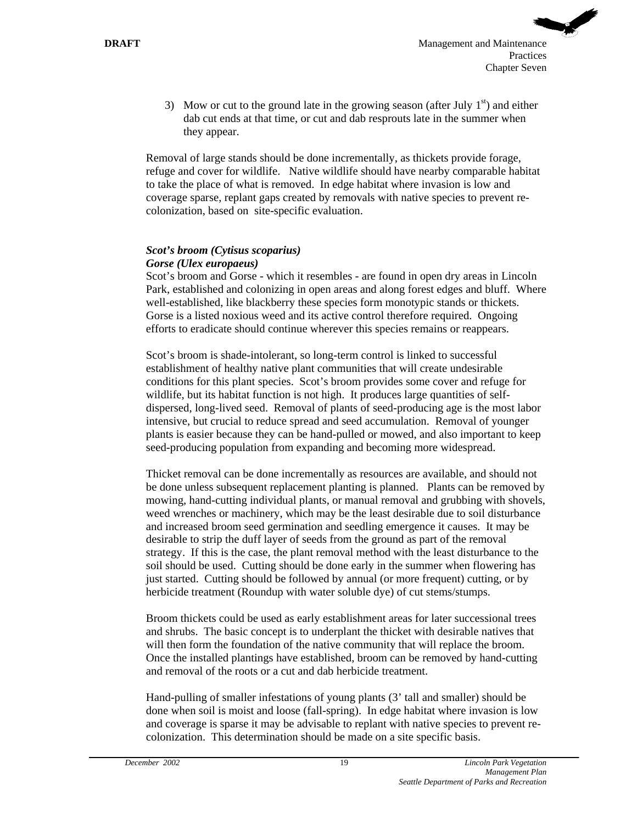3) Mow or cut to the ground late in the growing season (after July  $1<sup>st</sup>$ ) and either dab cut ends at that time, or cut and dab resprouts late in the summer when they appear.

Removal of large stands should be done incrementally, as thickets provide forage, refuge and cover for wildlife. Native wildlife should have nearby comparable habitat to take the place of what is removed. In edge habitat where invasion is low and coverage sparse, replant gaps created by removals with native species to prevent recolonization, based on site-specific evaluation.

### *Scot's broom (Cytisus scoparius) Gorse (Ulex europaeus)*

Scot's broom and Gorse - which it resembles - are found in open dry areas in Lincoln Park, established and colonizing in open areas and along forest edges and bluff. Where well-established, like blackberry these species form monotypic stands or thickets. Gorse is a listed noxious weed and its active control therefore required. Ongoing efforts to eradicate should continue wherever this species remains or reappears.

Scot's broom is shade-intolerant, so long-term control is linked to successful establishment of healthy native plant communities that will create undesirable conditions for this plant species. Scot's broom provides some cover and refuge for wildlife, but its habitat function is not high. It produces large quantities of selfdispersed, long-lived seed. Removal of plants of seed-producing age is the most labor intensive, but crucial to reduce spread and seed accumulation. Removal of younger plants is easier because they can be hand-pulled or mowed, and also important to keep seed-producing population from expanding and becoming more widespread.

Thicket removal can be done incrementally as resources are available, and should not be done unless subsequent replacement planting is planned. Plants can be removed by mowing, hand-cutting individual plants, or manual removal and grubbing with shovels, weed wrenches or machinery, which may be the least desirable due to soil disturbance and increased broom seed germination and seedling emergence it causes. It may be desirable to strip the duff layer of seeds from the ground as part of the removal strategy. If this is the case, the plant removal method with the least disturbance to the soil should be used. Cutting should be done early in the summer when flowering has just started. Cutting should be followed by annual (or more frequent) cutting, or by herbicide treatment (Roundup with water soluble dye) of cut stems/stumps.

Broom thickets could be used as early establishment areas for later successional trees and shrubs. The basic concept is to underplant the thicket with desirable natives that will then form the foundation of the native community that will replace the broom. Once the installed plantings have established, broom can be removed by hand-cutting and removal of the roots or a cut and dab herbicide treatment.

Hand-pulling of smaller infestations of young plants (3' tall and smaller) should be done when soil is moist and loose (fall-spring). In edge habitat where invasion is low and coverage is sparse it may be advisable to replant with native species to prevent recolonization. This determination should be made on a site specific basis.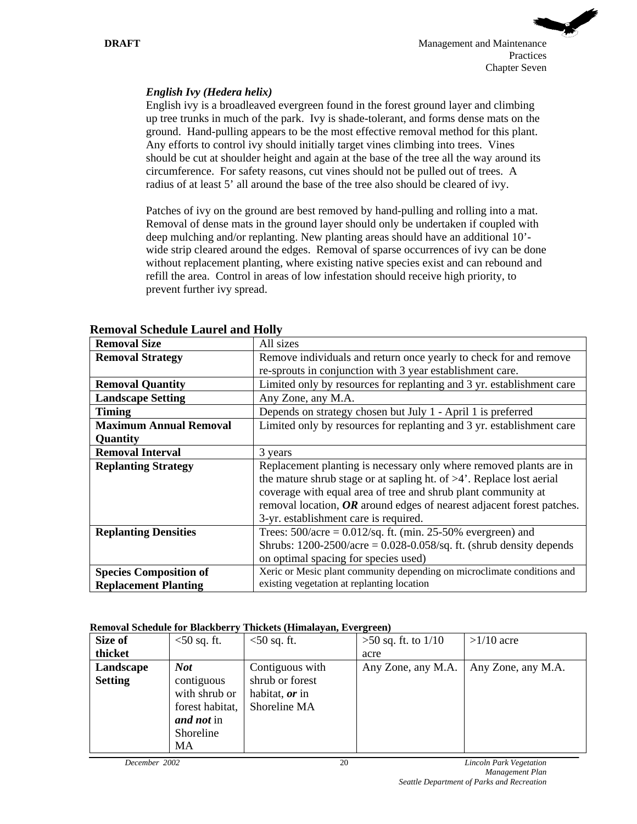# *English Ivy (Hedera helix)*

English ivy is a broadleaved evergreen found in the forest ground layer and climbing up tree trunks in much of the park. Ivy is shade-tolerant, and forms dense mats on the ground. Hand-pulling appears to be the most effective removal method for this plant. Any efforts to control ivy should initially target vines climbing into trees. Vines should be cut at shoulder height and again at the base of the tree all the way around its circumference. For safety reasons, cut vines should not be pulled out of trees. A radius of at least 5' all around the base of the tree also should be cleared of ivy.

Patches of ivy on the ground are best removed by hand-pulling and rolling into a mat. Removal of dense mats in the ground layer should only be undertaken if coupled with deep mulching and/or replanting. New planting areas should have an additional 10' wide strip cleared around the edges. Removal of sparse occurrences of ivy can be done without replacement planting, where existing native species exist and can rebound and refill the area. Control in areas of low infestation should receive high priority, to prevent further ivy spread.

| Kenioval Schedule Laui ei and Tiony |                                                                                      |
|-------------------------------------|--------------------------------------------------------------------------------------|
| <b>Removal Size</b>                 | All sizes                                                                            |
| <b>Removal Strategy</b>             | Remove individuals and return once yearly to check for and remove                    |
|                                     | re-sprouts in conjunction with 3 year establishment care.                            |
| <b>Removal Quantity</b>             | Limited only by resources for replanting and 3 yr. establishment care                |
| <b>Landscape Setting</b>            | Any Zone, any M.A.                                                                   |
| <b>Timing</b>                       | Depends on strategy chosen but July 1 - April 1 is preferred                         |
| <b>Maximum Annual Removal</b>       | Limited only by resources for replanting and 3 yr. establishment care                |
| Quantity                            |                                                                                      |
| <b>Removal Interval</b>             | 3 years                                                                              |
| <b>Replanting Strategy</b>          | Replacement planting is necessary only where removed plants are in                   |
|                                     | the mature shrub stage or at sapling ht. of $>4$ <sup>'</sup> . Replace lost aerial  |
|                                     | coverage with equal area of tree and shrub plant community at                        |
|                                     | removal location, $OR$ around edges of nearest adjacent forest patches.              |
|                                     | 3-yr. establishment care is required.                                                |
| <b>Replanting Densities</b>         | Trees: $500/acre = 0.012/sq$ . ft. (min. 25-50% evergreen) and                       |
|                                     | Shrubs: $1200-2500/\text{acre} = 0.028-0.058/\text{sq}$ . ft. (shrub density depends |
|                                     | on optimal spacing for species used)                                                 |
| <b>Species Composition of</b>       | Xeric or Mesic plant community depending on microclimate conditions and              |
| <b>Replacement Planting</b>         | existing vegetation at replanting location                                           |

# **Removal Schedule Laurel and Holly**

#### **Removal Schedule for Blackberry Thickets (Himalayan, Evergreen)**

| Size of        | $<$ 50 sq. ft.  | $<$ 50 sq. ft.        | $>50$ sq. ft. to $1/10$ | $>1/10$ acre       |
|----------------|-----------------|-----------------------|-------------------------|--------------------|
| thicket        |                 |                       | acre                    |                    |
| Landscape      | <b>Not</b>      | Contiguous with       | Any Zone, any M.A.      | Any Zone, any M.A. |
| <b>Setting</b> | contiguous      | shrub or forest       |                         |                    |
|                | with shrub or   | habitat, <i>or</i> in |                         |                    |
|                | forest habitat, | Shoreline MA          |                         |                    |
|                | and not in      |                       |                         |                    |
|                | Shoreline       |                       |                         |                    |
|                | MA              |                       |                         |                    |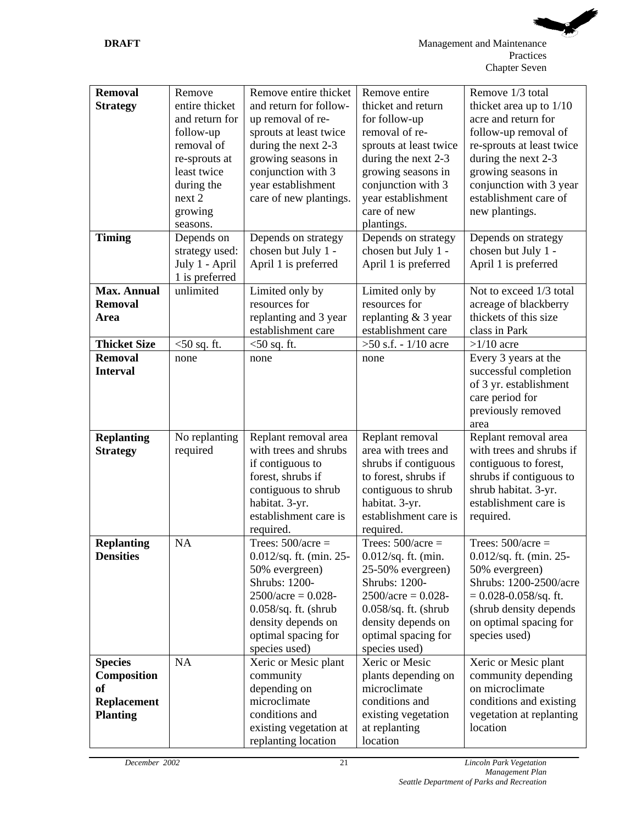| <b>Removal</b>      | Remove         | Remove entire thicket   | Remove entire            | Remove 1/3 total           |
|---------------------|----------------|-------------------------|--------------------------|----------------------------|
| <b>Strategy</b>     | entire thicket | and return for follow-  | thicket and return       | thicket area up to $1/10$  |
|                     | and return for | up removal of re-       | for follow-up            | acre and return for        |
|                     | follow-up      | sprouts at least twice  | removal of re-           | follow-up removal of       |
|                     | removal of     | during the next 2-3     | sprouts at least twice   | re-sprouts at least twice  |
|                     | re-sprouts at  | growing seasons in      | during the next 2-3      | during the next 2-3        |
|                     | least twice    | conjunction with 3      | growing seasons in       | growing seasons in         |
|                     | during the     | year establishment      | conjunction with 3       | conjunction with 3 year    |
|                     | next 2         | care of new plantings.  | year establishment       | establishment care of      |
|                     | growing        |                         | care of new              | new plantings.             |
|                     | seasons.       |                         | plantings.               |                            |
| <b>Timing</b>       | Depends on     | Depends on strategy     | Depends on strategy      | Depends on strategy        |
|                     | strategy used: | chosen but July 1 -     | chosen but July 1 -      | chosen but July 1 -        |
|                     | July 1 - April | April 1 is preferred    | April 1 is preferred     | April 1 is preferred       |
|                     | 1 is preferred |                         |                          |                            |
| <b>Max. Annual</b>  | unlimited      | Limited only by         | Limited only by          | Not to exceed 1/3 total    |
| <b>Removal</b>      |                | resources for           | resources for            | acreage of blackberry      |
| Area                |                | replanting and 3 year   | replanting & 3 year      | thickets of this size      |
|                     |                | establishment care      | establishment care       | class in Park              |
| <b>Thicket Size</b> | $<$ 50 sq. ft. | $<$ 50 sq. ft.          | $>50$ s.f. - $1/10$ acre | $>1/10$ acre               |
| <b>Removal</b>      | none           | none                    | none                     | Every 3 years at the       |
| <b>Interval</b>     |                |                         |                          | successful completion      |
|                     |                |                         |                          | of 3 yr. establishment     |
|                     |                |                         |                          | care period for            |
|                     |                |                         |                          | previously removed         |
|                     |                |                         |                          | area                       |
| <b>Replanting</b>   | No replanting  | Replant removal area    | Replant removal          | Replant removal area       |
| <b>Strategy</b>     | required       | with trees and shrubs   | area with trees and      | with trees and shrubs if   |
|                     |                | if contiguous to        | shrubs if contiguous     | contiguous to forest,      |
|                     |                | forest, shrubs if       | to forest, shrubs if     | shrubs if contiguous to    |
|                     |                | contiguous to shrub     | contiguous to shrub      | shrub habitat. 3-yr.       |
|                     |                | habitat. 3-yr.          | habitat. 3-yr.           | establishment care is      |
|                     |                | establishment care is   | establishment care is    | required.                  |
|                     |                | required.               | required.                |                            |
| <b>Replanting</b>   | <b>NA</b>      | Trees: $500/acre =$     | Trees: $500/$ acre =     | Trees: $500/acre =$        |
| <b>Densities</b>    |                | 0.012/sq. ft. (min. 25- | $0.012$ /sq. ft. (min.   | $0.012$ /sq. ft. (min. 25- |
|                     |                | 50% evergreen)          | 25-50% evergreen)        | 50% evergreen)             |
|                     |                | <b>Shrubs: 1200-</b>    | <b>Shrubs: 1200-</b>     | Shrubs: 1200-2500/acre     |
|                     |                | $2500/acre = 0.028$ -   | $2500/acre = 0.028$ -    | $= 0.028 - 0.058$ /sq. ft. |
|                     |                | $0.058$ /sq. ft. (shrub | $0.058$ /sq. ft. (shrub  | (shrub density depends     |
|                     |                | density depends on      | density depends on       | on optimal spacing for     |
|                     |                | optimal spacing for     | optimal spacing for      | species used)              |
|                     |                | species used)           | species used)            |                            |
| <b>Species</b>      | <b>NA</b>      | Xeric or Mesic plant    | Xeric or Mesic           | Xeric or Mesic plant       |
| Composition         |                | community               | plants depending on      | community depending        |
| of                  |                | depending on            | microclimate             | on microclimate            |
| <b>Replacement</b>  |                | microclimate            | conditions and           | conditions and existing    |
| <b>Planting</b>     |                | conditions and          | existing vegetation      | vegetation at replanting   |
|                     |                | existing vegetation at  | at replanting            | location                   |
|                     |                | replanting location     | location                 |                            |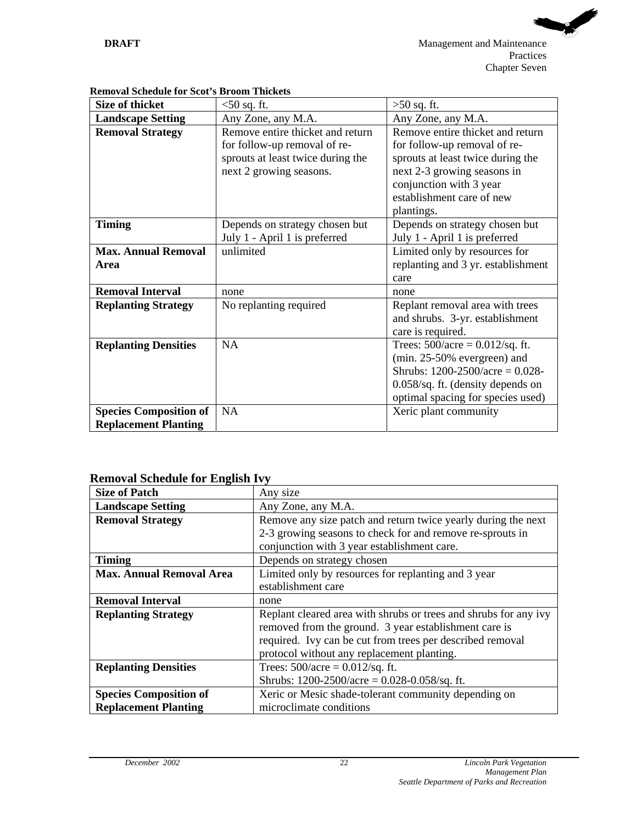| <b>Size of thicket</b>        | $<$ 50 sq. ft.                    | $>50$ sq. ft.                        |  |  |  |  |  |  |
|-------------------------------|-----------------------------------|--------------------------------------|--|--|--|--|--|--|
| <b>Landscape Setting</b>      | Any Zone, any M.A.                | Any Zone, any M.A.                   |  |  |  |  |  |  |
| <b>Removal Strategy</b>       | Remove entire thicket and return  | Remove entire thicket and return     |  |  |  |  |  |  |
|                               | for follow-up removal of re-      | for follow-up removal of re-         |  |  |  |  |  |  |
|                               | sprouts at least twice during the | sprouts at least twice during the    |  |  |  |  |  |  |
|                               | next 2 growing seasons.           | next 2-3 growing seasons in          |  |  |  |  |  |  |
|                               |                                   | conjunction with 3 year              |  |  |  |  |  |  |
|                               |                                   | establishment care of new            |  |  |  |  |  |  |
|                               |                                   | plantings.                           |  |  |  |  |  |  |
| <b>Timing</b>                 | Depends on strategy chosen but    | Depends on strategy chosen but       |  |  |  |  |  |  |
|                               | July 1 - April 1 is preferred     | July 1 - April 1 is preferred        |  |  |  |  |  |  |
| <b>Max. Annual Removal</b>    | unlimited                         | Limited only by resources for        |  |  |  |  |  |  |
| Area                          |                                   | replanting and 3 yr. establishment   |  |  |  |  |  |  |
|                               |                                   | care                                 |  |  |  |  |  |  |
| <b>Removal Interval</b>       | none                              | none                                 |  |  |  |  |  |  |
| <b>Replanting Strategy</b>    | No replanting required            | Replant removal area with trees      |  |  |  |  |  |  |
|                               |                                   | and shrubs. 3-yr. establishment      |  |  |  |  |  |  |
|                               |                                   | care is required.                    |  |  |  |  |  |  |
| <b>Replanting Densities</b>   | <b>NA</b>                         | Trees: $500/acre = 0.012/sq$ . ft.   |  |  |  |  |  |  |
|                               |                                   | (min. 25-50% evergreen) and          |  |  |  |  |  |  |
|                               |                                   | Shrubs: $1200-2500/ace = 0.028$ -    |  |  |  |  |  |  |
|                               |                                   | $0.058$ /sq. ft. (density depends on |  |  |  |  |  |  |
|                               |                                   | optimal spacing for species used)    |  |  |  |  |  |  |
| <b>Species Composition of</b> | <b>NA</b>                         | Xeric plant community                |  |  |  |  |  |  |
| <b>Replacement Planting</b>   |                                   |                                      |  |  |  |  |  |  |

#### **Removal Schedule for Scot's Broom Thickets**

# **Removal Schedule for English Ivy**

| <b>Size of Patch</b>            | Any size                                                         |  |
|---------------------------------|------------------------------------------------------------------|--|
| <b>Landscape Setting</b>        | Any Zone, any M.A.                                               |  |
| <b>Removal Strategy</b>         | Remove any size patch and return twice yearly during the next    |  |
|                                 | 2-3 growing seasons to check for and remove re-sprouts in        |  |
|                                 | conjunction with 3 year establishment care.                      |  |
| <b>Timing</b>                   | Depends on strategy chosen                                       |  |
| <b>Max. Annual Removal Area</b> | Limited only by resources for replanting and 3 year              |  |
|                                 | establishment care                                               |  |
| <b>Removal Interval</b>         | none                                                             |  |
| <b>Replanting Strategy</b>      | Replant cleared area with shrubs or trees and shrubs for any ivy |  |
|                                 | removed from the ground. 3 year establishment care is            |  |
|                                 | required. Ivy can be cut from trees per described removal        |  |
|                                 | protocol without any replacement planting.                       |  |
| <b>Replanting Densities</b>     | Trees: $500/acre = 0.012/sq$ . ft.                               |  |
|                                 | Shrubs: $1200-2500/\text{acre} = 0.028-0.058/\text{sq}$ . ft.    |  |
| <b>Species Composition of</b>   | Xeric or Mesic shade-tolerant community depending on             |  |
| <b>Replacement Planting</b>     | microclimate conditions                                          |  |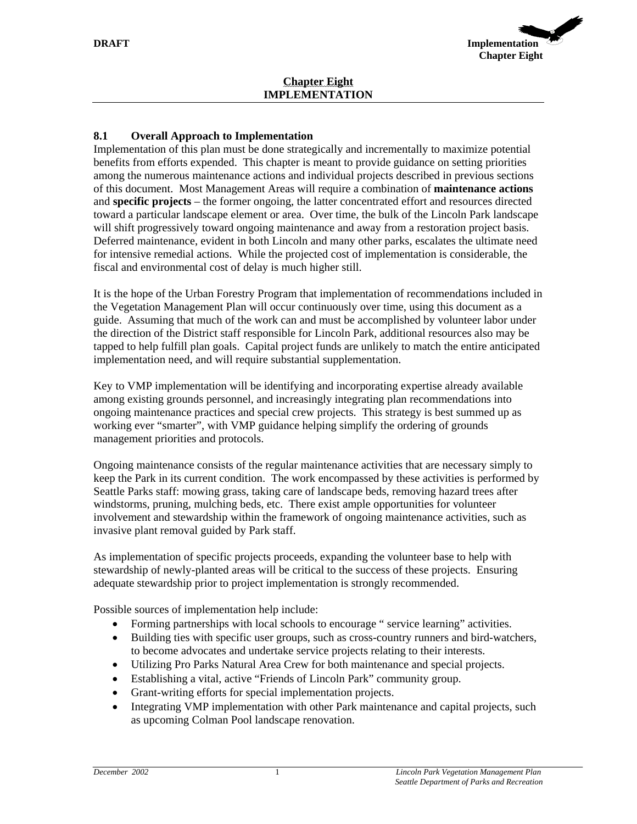

#### **Chapter Eight IMPLEMENTATION**

### **8.1 Overall Approach to Implementation**

Implementation of this plan must be done strategically and incrementally to maximize potential benefits from efforts expended. This chapter is meant to provide guidance on setting priorities among the numerous maintenance actions and individual projects described in previous sections of this document. Most Management Areas will require a combination of **maintenance actions**  and **specific projects** – the former ongoing, the latter concentrated effort and resources directed toward a particular landscape element or area. Over time, the bulk of the Lincoln Park landscape will shift progressively toward ongoing maintenance and away from a restoration project basis. Deferred maintenance, evident in both Lincoln and many other parks, escalates the ultimate need for intensive remedial actions. While the projected cost of implementation is considerable, the fiscal and environmental cost of delay is much higher still.

It is the hope of the Urban Forestry Program that implementation of recommendations included in the Vegetation Management Plan will occur continuously over time, using this document as a guide. Assuming that much of the work can and must be accomplished by volunteer labor under the direction of the District staff responsible for Lincoln Park, additional resources also may be tapped to help fulfill plan goals. Capital project funds are unlikely to match the entire anticipated implementation need, and will require substantial supplementation.

Key to VMP implementation will be identifying and incorporating expertise already available among existing grounds personnel, and increasingly integrating plan recommendations into ongoing maintenance practices and special crew projects. This strategy is best summed up as working ever "smarter", with VMP guidance helping simplify the ordering of grounds management priorities and protocols.

Ongoing maintenance consists of the regular maintenance activities that are necessary simply to keep the Park in its current condition. The work encompassed by these activities is performed by Seattle Parks staff: mowing grass, taking care of landscape beds, removing hazard trees after windstorms, pruning, mulching beds, etc. There exist ample opportunities for volunteer involvement and stewardship within the framework of ongoing maintenance activities, such as invasive plant removal guided by Park staff.

As implementation of specific projects proceeds, expanding the volunteer base to help with stewardship of newly-planted areas will be critical to the success of these projects. Ensuring adequate stewardship prior to project implementation is strongly recommended.

Possible sources of implementation help include:

- Forming partnerships with local schools to encourage " service learning" activities.
- Building ties with specific user groups, such as cross-country runners and bird-watchers, to become advocates and undertake service projects relating to their interests.
- Utilizing Pro Parks Natural Area Crew for both maintenance and special projects.
- Establishing a vital, active "Friends of Lincoln Park" community group.
- Grant-writing efforts for special implementation projects.
- Integrating VMP implementation with other Park maintenance and capital projects, such as upcoming Colman Pool landscape renovation.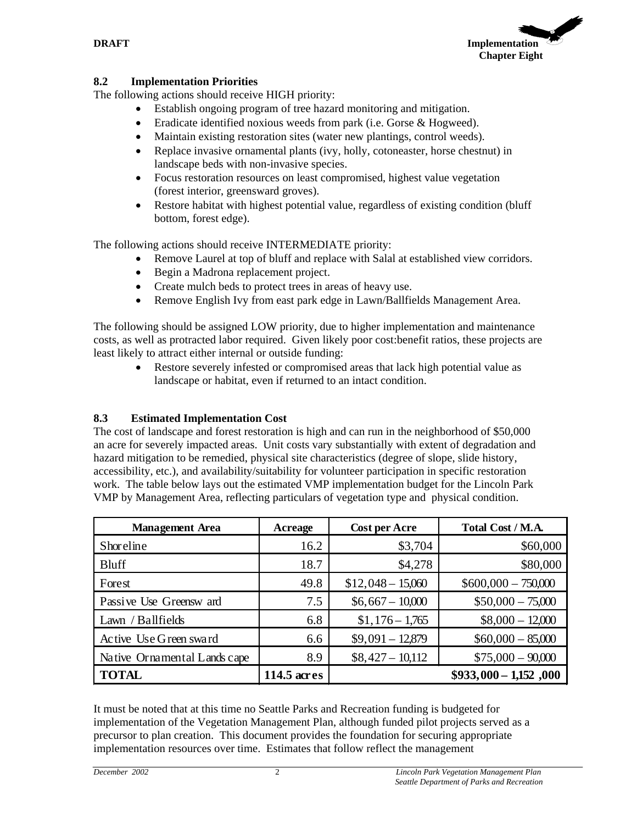

# **8.2 Implementation Priorities**

The following actions should receive HIGH priority:

- Establish ongoing program of tree hazard monitoring and mitigation.
- Eradicate identified noxious weeds from park (i.e. Gorse & Hogweed).
- Maintain existing restoration sites (water new plantings, control weeds).
- Replace invasive ornamental plants (ivy, holly, cotoneaster, horse chestnut) in landscape beds with non-invasive species.
- Focus restoration resources on least compromised, highest value vegetation (forest interior, greensward groves).
- Restore habitat with highest potential value, regardless of existing condition (bluff bottom, forest edge).

The following actions should receive INTERMEDIATE priority:

- Remove Laurel at top of bluff and replace with Salal at established view corridors.
- Begin a Madrona replacement project.
- Create mulch beds to protect trees in areas of heavy use.
- Remove English Ivy from east park edge in Lawn/Ballfields Management Area.

The following should be assigned LOW priority, due to higher implementation and maintenance costs, as well as protracted labor required. Given likely poor cost:benefit ratios, these projects are least likely to attract either internal or outside funding:

• Restore severely infested or compromised areas that lack high potential value as landscape or habitat, even if returned to an intact condition.

# **8.3 Estimated Implementation Cost**

The cost of landscape and forest restoration is high and can run in the neighborhood of \$50,000 an acre for severely impacted areas. Unit costs vary substantially with extent of degradation and hazard mitigation to be remedied, physical site characteristics (degree of slope, slide history, accessibility, etc.), and availability/suitability for volunteer participation in specific restoration work. The table below lays out the estimated VMP implementation budget for the Lincoln Park VMP by Management Area, reflecting particulars of vegetation type and physical condition.

| <b>Management</b> Area       | Acreage     | <b>Cost per Acre</b> | Total Cost / M.A.      |
|------------------------------|-------------|----------------------|------------------------|
| Shoreline                    | 16.2        | \$3,704              | \$60,000               |
| <b>Bluff</b>                 | 18.7        | \$4,278              | \$80,000               |
| Forest                       | 49.8        | $$12,048 - 15,060$   | $$600,000 - 750,000$   |
| Passi ve Use Greensw ard     | 7.5         | $$6,667 - 10,000$    | $$50,000 - 75,000$     |
| Lawn / Ballfields            | 6.8         | $$1,176-1,765$       | $$8,000 - 12,000$      |
| Active Use Green sward       | 6.6         | $$9,091 - 12,879$    | $$60,000 - 85,000$     |
| Native Ornamental Lands cape | 8.9         | $$8,427 - 10,112$    | $$75,000 - 90,000$     |
| <b>TOTAL</b>                 | 114.5 acres |                      | $$933,000 - 1,152,000$ |

It must be noted that at this time no Seattle Parks and Recreation funding is budgeted for implementation of the Vegetation Management Plan, although funded pilot projects served as a precursor to plan creation. This document provides the foundation for securing appropriate implementation resources over time. Estimates that follow reflect the management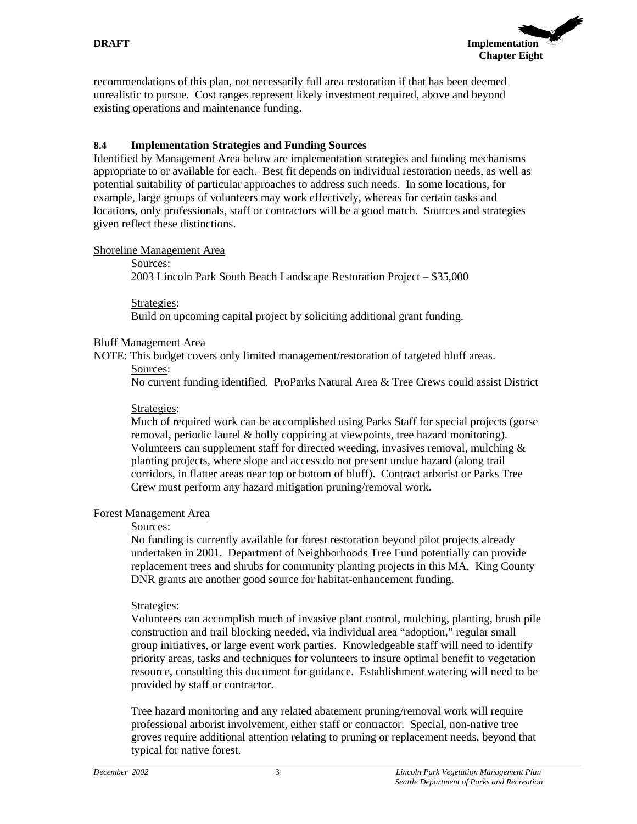

recommendations of this plan, not necessarily full area restoration if that has been deemed unrealistic to pursue. Cost ranges represent likely investment required, above and beyond existing operations and maintenance funding.

### **8.4 Implementation Strategies and Funding Sources**

Identified by Management Area below are implementation strategies and funding mechanisms appropriate to or available for each. Best fit depends on individual restoration needs, as well as potential suitability of particular approaches to address such needs. In some locations, for example, large groups of volunteers may work effectively, whereas for certain tasks and locations, only professionals, staff or contractors will be a good match. Sources and strategies given reflect these distinctions.

Shoreline Management Area

Sources:

2003 Lincoln Park South Beach Landscape Restoration Project – \$35,000

Strategies:

Build on upcoming capital project by soliciting additional grant funding.

#### Bluff Management Area

NOTE: This budget covers only limited management/restoration of targeted bluff areas.

Sources:

No current funding identified. ProParks Natural Area & Tree Crews could assist District

#### Strategies:

Much of required work can be accomplished using Parks Staff for special projects (gorse removal, periodic laurel & holly coppicing at viewpoints, tree hazard monitoring). Volunteers can supplement staff for directed weeding, invasives removal, mulching  $\&$ planting projects, where slope and access do not present undue hazard (along trail corridors, in flatter areas near top or bottom of bluff). Contract arborist or Parks Tree Crew must perform any hazard mitigation pruning/removal work.

#### Forest Management Area

Sources:

No funding is currently available for forest restoration beyond pilot projects already undertaken in 2001. Department of Neighborhoods Tree Fund potentially can provide replacement trees and shrubs for community planting projects in this MA. King County DNR grants are another good source for habitat-enhancement funding.

#### Strategies:

Volunteers can accomplish much of invasive plant control, mulching, planting, brush pile construction and trail blocking needed, via individual area "adoption," regular small group initiatives, or large event work parties. Knowledgeable staff will need to identify priority areas, tasks and techniques for volunteers to insure optimal benefit to vegetation resource, consulting this document for guidance. Establishment watering will need to be provided by staff or contractor.

Tree hazard monitoring and any related abatement pruning/removal work will require professional arborist involvement, either staff or contractor. Special, non-native tree groves require additional attention relating to pruning or replacement needs, beyond that typical for native forest.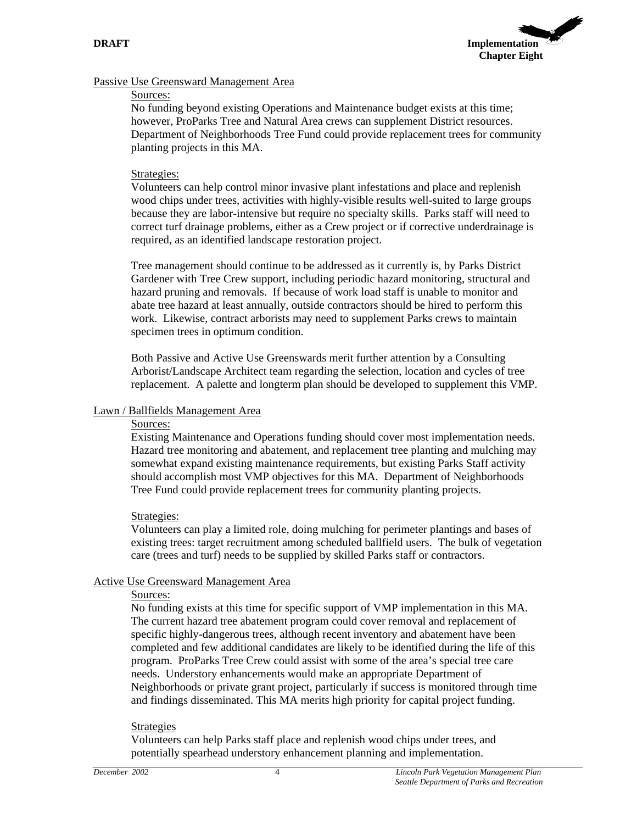

### Passive Use Greensward Management Area

### Sources:

No funding beyond existing Operations and Maintenance budget exists at this time; however, ProParks Tree and Natural Area crews can supplement District resources. Department of Neighborhoods Tree Fund could provide replacement trees for community planting projects in this MA.

### Strategies:

Volunteers can help control minor invasive plant infestations and place and replenish wood chips under trees, activities with highly-visible results well-suited to large groups because they are labor-intensive but require no specialty skills. Parks staff will need to correct turf drainage problems, either as a Crew project or if corrective underdrainage is required, as an identified landscape restoration project.

Tree management should continue to be addressed as it currently is, by Parks District Gardener with Tree Crew support, including periodic hazard monitoring, structural and hazard pruning and removals. If because of work load staff is unable to monitor and abate tree hazard at least annually, outside contractors should be hired to perform this work. Likewise, contract arborists may need to supplement Parks crews to maintain specimen trees in optimum condition.

Both Passive and Active Use Greenswards merit further attention by a Consulting Arborist/Landscape Architect team regarding the selection, location and cycles of tree replacement. A palette and longterm plan should be developed to supplement this VMP.

### Lawn / Ballfields Management Area

#### Sources:

Existing Maintenance and Operations funding should cover most implementation needs. Hazard tree monitoring and abatement, and replacement tree planting and mulching may somewhat expand existing maintenance requirements, but existing Parks Staff activity should accomplish most VMP objectives for this MA. Department of Neighborhoods Tree Fund could provide replacement trees for community planting projects.

#### Strategies:

Volunteers can play a limited role, doing mulching for perimeter plantings and bases of existing trees: target recruitment among scheduled ballfield users. The bulk of vegetation care (trees and turf) needs to be supplied by skilled Parks staff or contractors.

# Active Use Greensward Management Area

### Sources:

No funding exists at this time for specific support of VMP implementation in this MA. The current hazard tree abatement program could cover removal and replacement of specific highly-dangerous trees, although recent inventory and abatement have been completed and few additional candidates are likely to be identified during the life of this program. ProParks Tree Crew could assist with some of the area's special tree care needs. Understory enhancements would make an appropriate Department of Neighborhoods or private grant project, particularly if success is monitored through time and findings disseminated. This MA merits high priority for capital project funding.

# Strategies

Volunteers can help Parks staff place and replenish wood chips under trees, and potentially spearhead understory enhancement planning and implementation.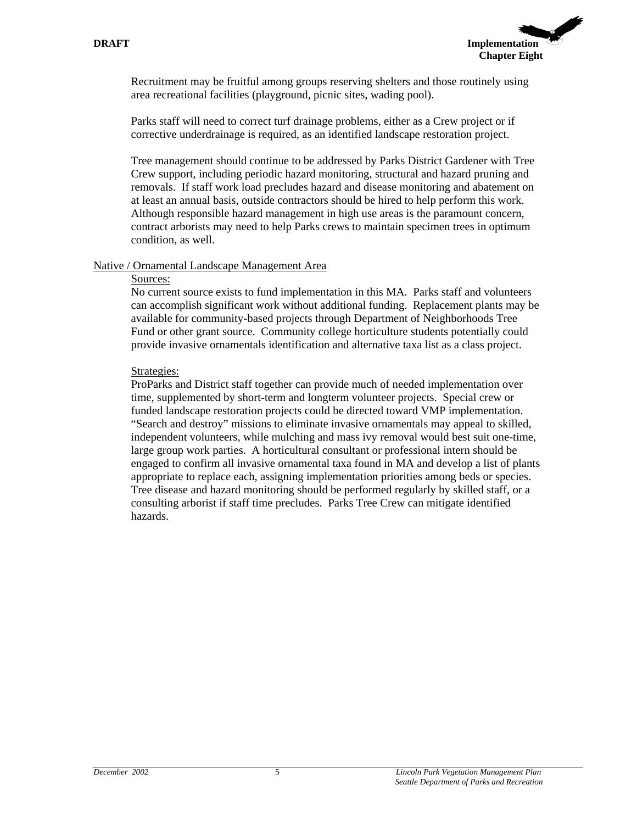

Recruitment may be fruitful among groups reserving shelters and those routinely using area recreational facilities (playground, picnic sites, wading pool).

Parks staff will need to correct turf drainage problems, either as a Crew project or if corrective underdrainage is required, as an identified landscape restoration project.

Tree management should continue to be addressed by Parks District Gardener with Tree Crew support, including periodic hazard monitoring, structural and hazard pruning and removals. If staff work load precludes hazard and disease monitoring and abatement on at least an annual basis, outside contractors should be hired to help perform this work. Although responsible hazard management in high use areas is the paramount concern, contract arborists may need to help Parks crews to maintain specimen trees in optimum condition, as well.

#### Native / Ornamental Landscape Management Area

#### Sources:

No current source exists to fund implementation in this MA. Parks staff and volunteers can accomplish significant work without additional funding. Replacement plants may be available for community-based projects through Department of Neighborhoods Tree Fund or other grant source. Community college horticulture students potentially could provide invasive ornamentals identification and alternative taxa list as a class project.

#### Strategies:

ProParks and District staff together can provide much of needed implementation over time, supplemented by short-term and longterm volunteer projects. Special crew or funded landscape restoration projects could be directed toward VMP implementation. "Search and destroy" missions to eliminate invasive ornamentals may appeal to skilled, independent volunteers, while mulching and mass ivy removal would best suit one-time, large group work parties. A horticultural consultant or professional intern should be engaged to confirm all invasive ornamental taxa found in MA and develop a list of plants appropriate to replace each, assigning implementation priorities among beds or species. Tree disease and hazard monitoring should be performed regularly by skilled staff, or a consulting arborist if staff time precludes. Parks Tree Crew can mitigate identified hazards.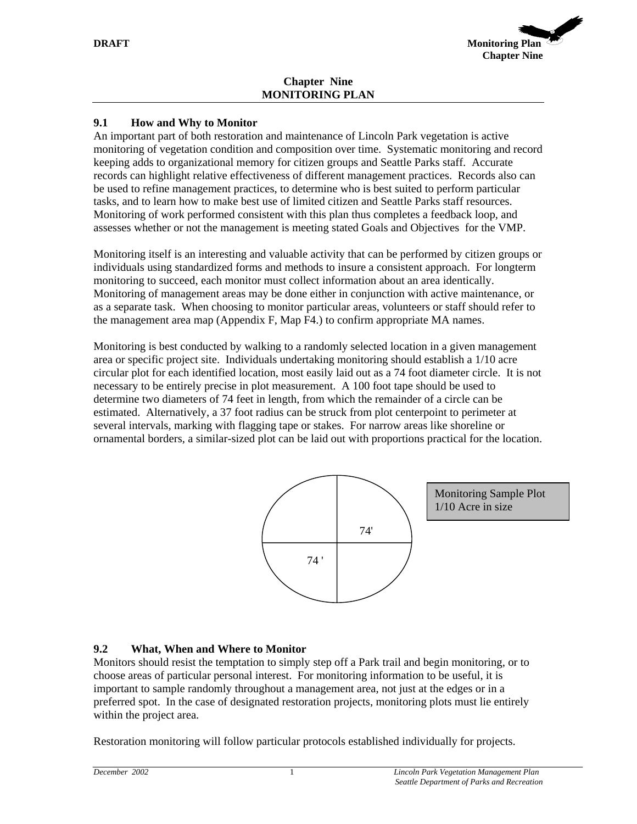

#### **Chapter Nine MONITORING PLAN**

# **9.1 How and Why to Monitor**

An important part of both restoration and maintenance of Lincoln Park vegetation is active monitoring of vegetation condition and composition over time. Systematic monitoring and record keeping adds to organizational memory for citizen groups and Seattle Parks staff. Accurate records can highlight relative effectiveness of different management practices. Records also can be used to refine management practices, to determine who is best suited to perform particular tasks, and to learn how to make best use of limited citizen and Seattle Parks staff resources. Monitoring of work performed consistent with this plan thus completes a feedback loop, and assesses whether or not the management is meeting stated Goals and Objectives for the VMP.

Monitoring itself is an interesting and valuable activity that can be performed by citizen groups or individuals using standardized forms and methods to insure a consistent approach. For longterm monitoring to succeed, each monitor must collect information about an area identically. Monitoring of management areas may be done either in conjunction with active maintenance, or as a separate task. When choosing to monitor particular areas, volunteers or staff should refer to the management area map (Appendix F, Map F4.) to confirm appropriate MA names.

Monitoring is best conducted by walking to a randomly selected location in a given management area or specific project site. Individuals undertaking monitoring should establish a 1/10 acre circular plot for each identified location, most easily laid out as a 74 foot diameter circle. It is not necessary to be entirely precise in plot measurement. A 100 foot tape should be used to determine two diameters of 74 feet in length, from which the remainder of a circle can be estimated. Alternatively, a 37 foot radius can be struck from plot centerpoint to perimeter at several intervals, marking with flagging tape or stakes. For narrow areas like shoreline or ornamental borders, a similar-sized plot can be laid out with proportions practical for the location.



# **9.2 What, When and Where to Monitor**

Monitors should resist the temptation to simply step off a Park trail and begin monitoring, or to choose areas of particular personal interest. For monitoring information to be useful, it is important to sample randomly throughout a management area, not just at the edges or in a preferred spot. In the case of designated restoration projects, monitoring plots must lie entirely within the project area.

Restoration monitoring will follow particular protocols established individually for projects.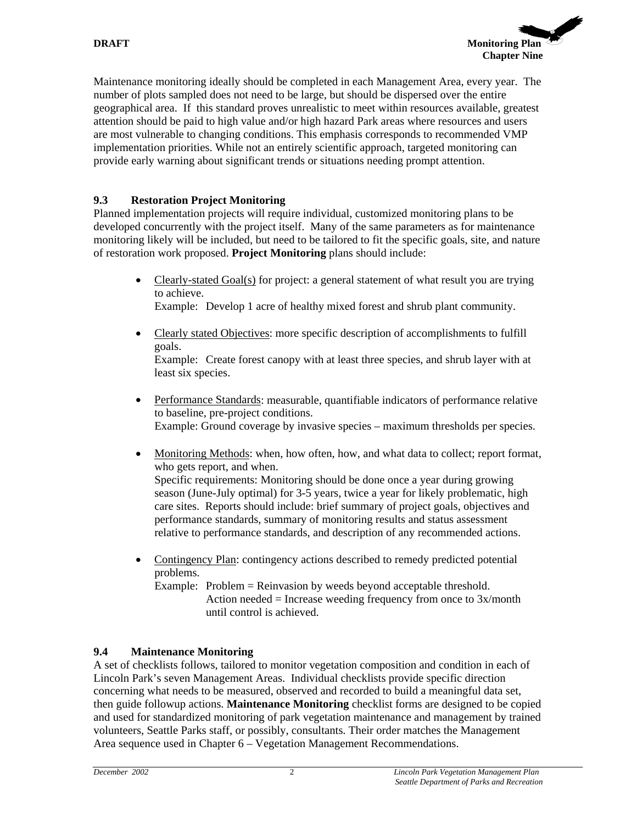

Maintenance monitoring ideally should be completed in each Management Area, every year. The number of plots sampled does not need to be large, but should be dispersed over the entire geographical area. If this standard proves unrealistic to meet within resources available, greatest attention should be paid to high value and/or high hazard Park areas where resources and users are most vulnerable to changing conditions. This emphasis corresponds to recommended VMP implementation priorities. While not an entirely scientific approach, targeted monitoring can provide early warning about significant trends or situations needing prompt attention.

# **9.3 Restoration Project Monitoring**

Planned implementation projects will require individual, customized monitoring plans to be developed concurrently with the project itself. Many of the same parameters as for maintenance monitoring likely will be included, but need to be tailored to fit the specific goals, site, and nature of restoration work proposed. **Project Monitoring** plans should include:

• Clearly-stated Goal(s) for project: a general statement of what result you are trying to achieve.

Example: Develop 1 acre of healthy mixed forest and shrub plant community.

• Clearly stated Objectives: more specific description of accomplishments to fulfill goals. Example: Create forest canopy with at least three species, and shrub layer with at

least six species.

- Performance Standards: measurable, quantifiable indicators of performance relative to baseline, pre-project conditions. Example: Ground coverage by invasive species – maximum thresholds per species.
- Monitoring Methods: when, how often, how, and what data to collect; report format, who gets report, and when. Specific requirements: Monitoring should be done once a year during growing

season (June-July optimal) for 3-5 years, twice a year for likely problematic, high care sites. Reports should include: brief summary of project goals, objectives and performance standards, summary of monitoring results and status assessment relative to performance standards, and description of any recommended actions.

• Contingency Plan: contingency actions described to remedy predicted potential problems.

Example: Problem = Reinvasion by weeds beyond acceptable threshold. Action needed  $=$  Increase weeding frequency from once to  $3x/m$ onth until control is achieved.

#### **9.4 Maintenance Monitoring**

A set of checklists follows, tailored to monitor vegetation composition and condition in each of Lincoln Park's seven Management Areas. Individual checklists provide specific direction concerning what needs to be measured, observed and recorded to build a meaningful data set, then guide followup actions. **Maintenance Monitoring** checklist forms are designed to be copied and used for standardized monitoring of park vegetation maintenance and management by trained volunteers, Seattle Parks staff, or possibly, consultants. Their order matches the Management Area sequence used in Chapter 6 – Vegetation Management Recommendations.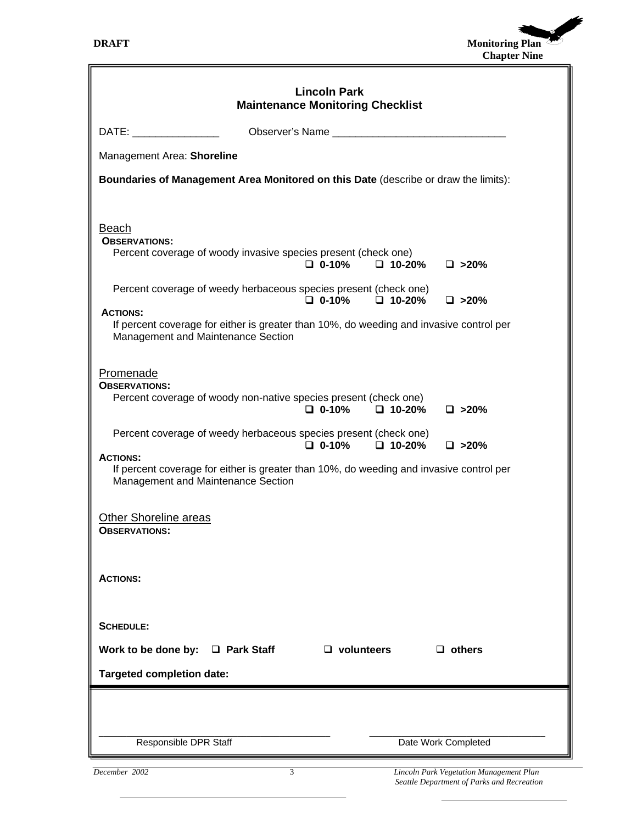

| <b>Lincoln Park</b><br><b>Maintenance Monitoring Checklist</b>                                                                                                                                      |                                                                    |
|-----------------------------------------------------------------------------------------------------------------------------------------------------------------------------------------------------|--------------------------------------------------------------------|
| DATE:                                                                                                                                                                                               |                                                                    |
| Management Area: Shoreline                                                                                                                                                                          |                                                                    |
| Boundaries of Management Area Monitored on this Date (describe or draw the limits):                                                                                                                 |                                                                    |
| Beach<br><b>OBSERVATIONS:</b><br>Percent coverage of woody invasive species present (check one)<br>$\Box$ 0-10%<br>Percent coverage of weedy herbaceous species present (check one)<br>$\Box$ 0-10% | $\square$ >20%<br>$\Box$ 10-20%<br>$\square$ >20%<br>$\Box$ 10-20% |
| <b>ACTIONS:</b><br>If percent coverage for either is greater than 10%, do weeding and invasive control per<br>Management and Maintenance Section                                                    |                                                                    |
| Promenade<br><b>OBSERVATIONS:</b><br>Percent coverage of woody non-native species present (check one)<br>$\Box$ 0-10%                                                                               | $\square > 20\%$<br>$\Box$ 10-20%                                  |
| Percent coverage of weedy herbaceous species present (check one)<br>$\Box$ 0-10%                                                                                                                    | $\Box$ 10-20%<br>$\square > 20\%$                                  |
| <b>ACTIONS:</b><br>If percent coverage for either is greater than 10%, do weeding and invasive control per<br>Management and Maintenance Section                                                    |                                                                    |
| <b>Other Shoreline areas</b><br><b>OBSERVATIONS:</b>                                                                                                                                                |                                                                    |
| <b>ACTIONS:</b>                                                                                                                                                                                     |                                                                    |
| <b>SCHEDULE:</b>                                                                                                                                                                                    |                                                                    |
| Work to be done by:<br>□ Park Staff                                                                                                                                                                 | $\Box$ volunteers<br>$\Box$ others                                 |
| <b>Targeted completion date:</b>                                                                                                                                                                    |                                                                    |
|                                                                                                                                                                                                     |                                                                    |
| Responsible DPR Staff                                                                                                                                                                               | Date Work Completed                                                |
| December 2002<br>3                                                                                                                                                                                  | Lincoln Park Vegetation Management Plan                            |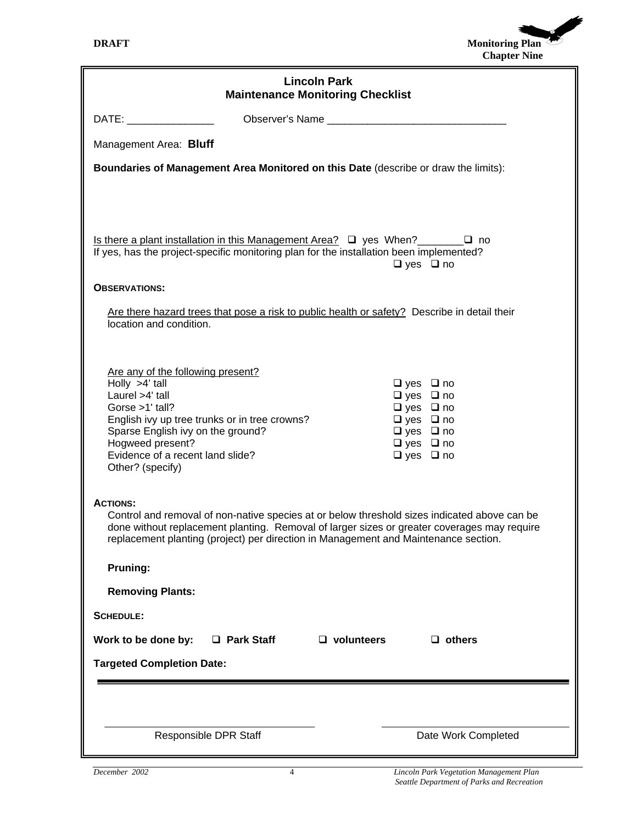

|                                                                                                                                                                                                                                                               | <b>Lincoln Park</b><br><b>Maintenance Monitoring Checklist</b>                                                                                                                                                                                                                     |
|---------------------------------------------------------------------------------------------------------------------------------------------------------------------------------------------------------------------------------------------------------------|------------------------------------------------------------------------------------------------------------------------------------------------------------------------------------------------------------------------------------------------------------------------------------|
| DATE: _________________                                                                                                                                                                                                                                       |                                                                                                                                                                                                                                                                                    |
| Management Area: Bluff                                                                                                                                                                                                                                        |                                                                                                                                                                                                                                                                                    |
|                                                                                                                                                                                                                                                               | Boundaries of Management Area Monitored on this Date (describe or draw the limits):                                                                                                                                                                                                |
| Is there a plant installation in this Management Area? $\Box$ yes When?                                                                                                                                                                                       | $\Box$ no                                                                                                                                                                                                                                                                          |
|                                                                                                                                                                                                                                                               | If yes, has the project-specific monitoring plan for the installation been implemented?<br>$\Box$ yes $\Box$ no                                                                                                                                                                    |
| <b>OBSERVATIONS:</b>                                                                                                                                                                                                                                          |                                                                                                                                                                                                                                                                                    |
| location and condition.                                                                                                                                                                                                                                       | Are there hazard trees that pose a risk to public health or safety? Describe in detail their                                                                                                                                                                                       |
| Are any of the following present?<br>Holly >4' tall<br>Laurel >4' tall<br>Gorse $>1'$ tall?<br>English ivy up tree trunks or in tree crowns?<br>Sparse English ivy on the ground?<br>Hogweed present?<br>Evidence of a recent land slide?<br>Other? (specify) | $\Box$ yes $\Box$ no<br>$\Box$ yes $\Box$ no<br>$\Box$ yes $\Box$ no<br>$\Box$ yes $\Box$ no<br>$\Box$ yes $\Box$ no<br>$\Box$ yes $\Box$ no<br>$\Box$ yes $\Box$ no                                                                                                               |
| <b>ACTIONS:</b>                                                                                                                                                                                                                                               | Control and removal of non-native species at or below threshold sizes indicated above can be<br>done without replacement planting. Removal of larger sizes or greater coverages may require<br>replacement planting (project) per direction in Management and Maintenance section. |
| Pruning:                                                                                                                                                                                                                                                      |                                                                                                                                                                                                                                                                                    |
| <b>Removing Plants:</b>                                                                                                                                                                                                                                       |                                                                                                                                                                                                                                                                                    |
| <b>SCHEDULE:</b>                                                                                                                                                                                                                                              |                                                                                                                                                                                                                                                                                    |
| Work to be done by:<br>□ Park Staff                                                                                                                                                                                                                           | $\Box$ others<br>$\Box$ volunteers                                                                                                                                                                                                                                                 |
| <b>Targeted Completion Date:</b>                                                                                                                                                                                                                              |                                                                                                                                                                                                                                                                                    |
|                                                                                                                                                                                                                                                               |                                                                                                                                                                                                                                                                                    |
| Responsible DPR Staff                                                                                                                                                                                                                                         | Date Work Completed                                                                                                                                                                                                                                                                |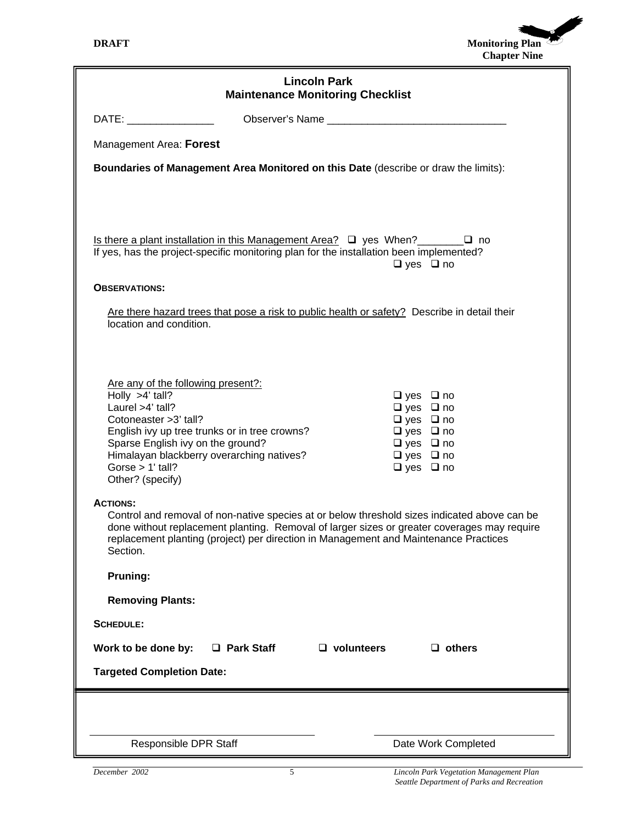

|                                                                                                                                                                                                                                |                                                                                                                                                                                                                                                                                     | <b>Lincoln Park</b><br><b>Maintenance Monitoring Checklist</b> |                                                                                                                                                                      |
|--------------------------------------------------------------------------------------------------------------------------------------------------------------------------------------------------------------------------------|-------------------------------------------------------------------------------------------------------------------------------------------------------------------------------------------------------------------------------------------------------------------------------------|----------------------------------------------------------------|----------------------------------------------------------------------------------------------------------------------------------------------------------------------|
| DATE: the contract of the contract of the contract of the contract of the contract of the contract of the contract of the contract of the contract of the contract of the contract of the contract of the contract of the cont |                                                                                                                                                                                                                                                                                     |                                                                |                                                                                                                                                                      |
| Management Area: Forest                                                                                                                                                                                                        |                                                                                                                                                                                                                                                                                     |                                                                |                                                                                                                                                                      |
|                                                                                                                                                                                                                                | Boundaries of Management Area Monitored on this Date (describe or draw the limits):                                                                                                                                                                                                 |                                                                |                                                                                                                                                                      |
|                                                                                                                                                                                                                                | Is there a plant installation in this Management Area? $\Box$ yes When?<br>If yes, has the project-specific monitoring plan for the installation been implemented?                                                                                                                  |                                                                | $\Box$ no                                                                                                                                                            |
|                                                                                                                                                                                                                                |                                                                                                                                                                                                                                                                                     |                                                                | $\Box$ yes $\Box$ no                                                                                                                                                 |
| <b>OBSERVATIONS:</b>                                                                                                                                                                                                           |                                                                                                                                                                                                                                                                                     |                                                                |                                                                                                                                                                      |
| location and condition.                                                                                                                                                                                                        | Are there hazard trees that pose a risk to public health or safety? Describe in detail their                                                                                                                                                                                        |                                                                |                                                                                                                                                                      |
| Holly >4' tall?<br>Laurel >4' tall?<br>Cotoneaster > 3' tall?<br>Gorse $> 1'$ tall?<br>Other? (specify)                                                                                                                        | Are any of the following present?:<br>English ivy up tree trunks or in tree crowns?<br>Sparse English ivy on the ground?<br>Himalayan blackberry overarching natives?                                                                                                               |                                                                | $\Box$ yes $\Box$ no<br>$\Box$ yes $\Box$ no<br>$\Box$ yes $\Box$ no<br>$\Box$ yes $\Box$ no<br>$\Box$ yes $\Box$ no<br>$\Box$ yes $\Box$ no<br>$\Box$ yes $\Box$ no |
| <b>ACTIONS:</b><br>Section.                                                                                                                                                                                                    | Control and removal of non-native species at or below threshold sizes indicated above can be<br>done without replacement planting. Removal of larger sizes or greater coverages may require<br>replacement planting (project) per direction in Management and Maintenance Practices |                                                                |                                                                                                                                                                      |
| Pruning:                                                                                                                                                                                                                       |                                                                                                                                                                                                                                                                                     |                                                                |                                                                                                                                                                      |
| <b>Removing Plants:</b>                                                                                                                                                                                                        |                                                                                                                                                                                                                                                                                     |                                                                |                                                                                                                                                                      |
| <b>SCHEDULE:</b>                                                                                                                                                                                                               |                                                                                                                                                                                                                                                                                     |                                                                |                                                                                                                                                                      |
| Work to be done by:                                                                                                                                                                                                            | $\Box$ Park Staff                                                                                                                                                                                                                                                                   | $\Box$ volunteers                                              | $\Box$ others                                                                                                                                                        |
| <b>Targeted Completion Date:</b>                                                                                                                                                                                               |                                                                                                                                                                                                                                                                                     |                                                                |                                                                                                                                                                      |
|                                                                                                                                                                                                                                |                                                                                                                                                                                                                                                                                     |                                                                |                                                                                                                                                                      |
|                                                                                                                                                                                                                                | Responsible DPR Staff                                                                                                                                                                                                                                                               |                                                                | Date Work Completed                                                                                                                                                  |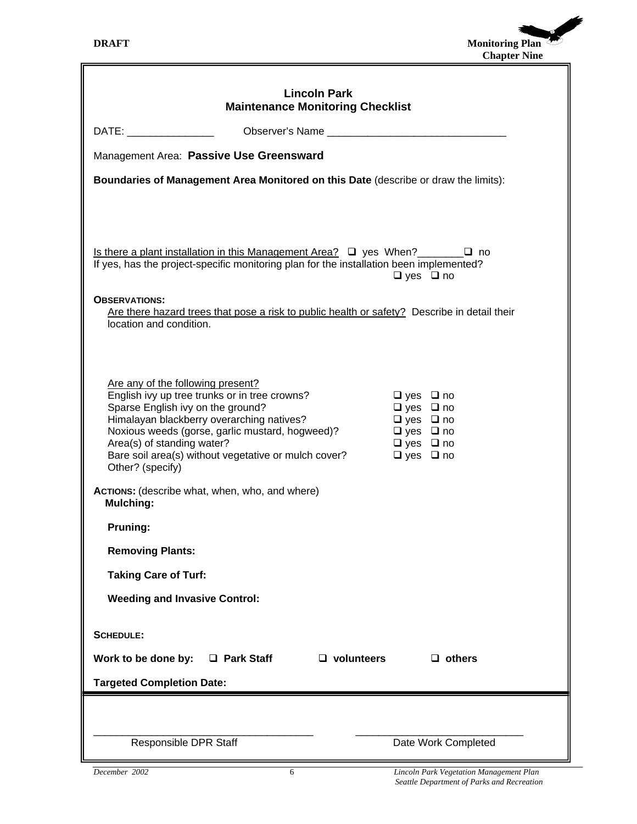

|                                                                                                                                                                              |                                                                                                                                                                                                       | <b>Lincoln Park</b><br><b>Maintenance Monitoring Checklist</b> |                                                                                                                                    |                                         |
|------------------------------------------------------------------------------------------------------------------------------------------------------------------------------|-------------------------------------------------------------------------------------------------------------------------------------------------------------------------------------------------------|----------------------------------------------------------------|------------------------------------------------------------------------------------------------------------------------------------|-----------------------------------------|
|                                                                                                                                                                              |                                                                                                                                                                                                       |                                                                |                                                                                                                                    |                                         |
| Management Area: Passive Use Greensward                                                                                                                                      |                                                                                                                                                                                                       |                                                                |                                                                                                                                    |                                         |
| Boundaries of Management Area Monitored on this Date (describe or draw the limits):                                                                                          |                                                                                                                                                                                                       |                                                                |                                                                                                                                    |                                         |
|                                                                                                                                                                              |                                                                                                                                                                                                       |                                                                |                                                                                                                                    |                                         |
| Is there a plant installation in this Management Area? $\Box$ yes When? $\Box$ no<br>If yes, has the project-specific monitoring plan for the installation been implemented? |                                                                                                                                                                                                       |                                                                | $\Box$ yes $\Box$ no                                                                                                               |                                         |
| <b>OBSERVATIONS:</b><br>Are there hazard trees that pose a risk to public health or safety? Describe in detail their<br>location and condition.                              |                                                                                                                                                                                                       |                                                                |                                                                                                                                    |                                         |
| Are any of the following present?<br>Sparse English ivy on the ground?<br>Area(s) of standing water?<br>Other? (specify)                                                     | English ivy up tree trunks or in tree crowns?<br>Himalayan blackberry overarching natives?<br>Noxious weeds (gorse, garlic mustard, hogweed)?<br>Bare soil area(s) without vegetative or mulch cover? |                                                                | □ yes □ no<br>$\Box$ yes $\Box$ no<br>$\Box$ yes $\Box$ no<br>$\Box$ yes $\Box$ no<br>$\Box$ yes $\Box$ no<br>$\Box$ yes $\Box$ no |                                         |
| ACTIONS: (describe what, when, who, and where)<br>Mulching:                                                                                                                  |                                                                                                                                                                                                       |                                                                |                                                                                                                                    |                                         |
| Pruning:                                                                                                                                                                     |                                                                                                                                                                                                       |                                                                |                                                                                                                                    |                                         |
| <b>Removing Plants:</b>                                                                                                                                                      |                                                                                                                                                                                                       |                                                                |                                                                                                                                    |                                         |
| <b>Taking Care of Turf:</b>                                                                                                                                                  |                                                                                                                                                                                                       |                                                                |                                                                                                                                    |                                         |
| <b>Weeding and Invasive Control:</b>                                                                                                                                         |                                                                                                                                                                                                       |                                                                |                                                                                                                                    |                                         |
| <b>SCHEDULE:</b>                                                                                                                                                             |                                                                                                                                                                                                       |                                                                |                                                                                                                                    |                                         |
| Work to be done by:                                                                                                                                                          | $\Box$ Park Staff                                                                                                                                                                                     | $\Box$ volunteers                                              |                                                                                                                                    | $\Box$ others                           |
| <b>Targeted Completion Date:</b>                                                                                                                                             |                                                                                                                                                                                                       |                                                                |                                                                                                                                    |                                         |
|                                                                                                                                                                              |                                                                                                                                                                                                       |                                                                |                                                                                                                                    |                                         |
| Responsible DPR Staff                                                                                                                                                        |                                                                                                                                                                                                       |                                                                |                                                                                                                                    | Date Work Completed                     |
| December 2002                                                                                                                                                                | 6                                                                                                                                                                                                     |                                                                |                                                                                                                                    | Lincoln Park Vegetation Management Plan |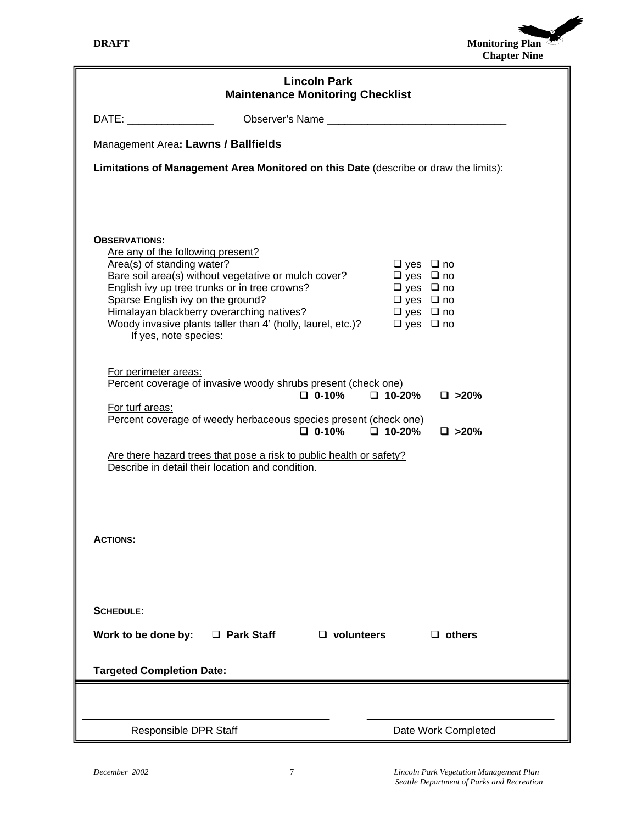

| <b>Lincoln Park</b><br><b>Maintenance Monitoring Checklist</b>                                                                                                                                                                 |                                                                                                                         |                      |                                              |  |  |  |
|--------------------------------------------------------------------------------------------------------------------------------------------------------------------------------------------------------------------------------|-------------------------------------------------------------------------------------------------------------------------|----------------------|----------------------------------------------|--|--|--|
| DATE: the contract of the contract of the contract of the contract of the contract of the contract of the contract of the contract of the contract of the contract of the contract of the contract of the contract of the cont |                                                                                                                         |                      |                                              |  |  |  |
| Management Area: Lawns / Ballfields                                                                                                                                                                                            |                                                                                                                         |                      |                                              |  |  |  |
| Limitations of Management Area Monitored on this Date (describe or draw the limits):                                                                                                                                           |                                                                                                                         |                      |                                              |  |  |  |
| <b>OBSERVATIONS:</b>                                                                                                                                                                                                           |                                                                                                                         |                      |                                              |  |  |  |
| Are any of the following present?<br>Area(s) of standing water?                                                                                                                                                                |                                                                                                                         |                      | $\Box$ yes $\Box$ no                         |  |  |  |
|                                                                                                                                                                                                                                | Bare soil area(s) without vegetative or mulch cover?                                                                    |                      | $\Box$ yes $\Box$ no                         |  |  |  |
|                                                                                                                                                                                                                                | English ivy up tree trunks or in tree crowns?                                                                           |                      | $\Box$ yes $\Box$ no                         |  |  |  |
| Sparse English ivy on the ground?<br>Himalayan blackberry overarching natives?                                                                                                                                                 |                                                                                                                         |                      | $\Box$ yes $\Box$ no<br>$\Box$ yes $\Box$ no |  |  |  |
|                                                                                                                                                                                                                                | Woody invasive plants taller than 4' (holly, laurel, etc.)?                                                             | $\Box$ yes $\Box$ no |                                              |  |  |  |
| If yes, note species:                                                                                                                                                                                                          |                                                                                                                         |                      |                                              |  |  |  |
| For perimeter areas:                                                                                                                                                                                                           | Percent coverage of invasive woody shrubs present (check one)                                                           |                      |                                              |  |  |  |
| For turf areas:                                                                                                                                                                                                                | $\Box$ 0-10%                                                                                                            | $\Box$ 10-20%        | $\square > 20\%$                             |  |  |  |
|                                                                                                                                                                                                                                | Percent coverage of weedy herbaceous species present (check one)<br>$\Box$ 0-10%                                        | $\Box$ 10-20%        | $\square > 20\%$                             |  |  |  |
|                                                                                                                                                                                                                                | Are there hazard trees that pose a risk to public health or safety?<br>Describe in detail their location and condition. |                      |                                              |  |  |  |
| <b>ACTIONS:</b>                                                                                                                                                                                                                |                                                                                                                         |                      |                                              |  |  |  |
|                                                                                                                                                                                                                                |                                                                                                                         |                      |                                              |  |  |  |
| <b>SCHEDULE:</b>                                                                                                                                                                                                               |                                                                                                                         |                      |                                              |  |  |  |
| Work to be done by:                                                                                                                                                                                                            | $\Box$ Park Staff                                                                                                       | $\Box$ volunteers    | $\Box$ others                                |  |  |  |
| <b>Targeted Completion Date:</b>                                                                                                                                                                                               |                                                                                                                         |                      |                                              |  |  |  |
|                                                                                                                                                                                                                                |                                                                                                                         |                      |                                              |  |  |  |
| Responsible DPR Staff<br>Date Work Completed                                                                                                                                                                                   |                                                                                                                         |                      |                                              |  |  |  |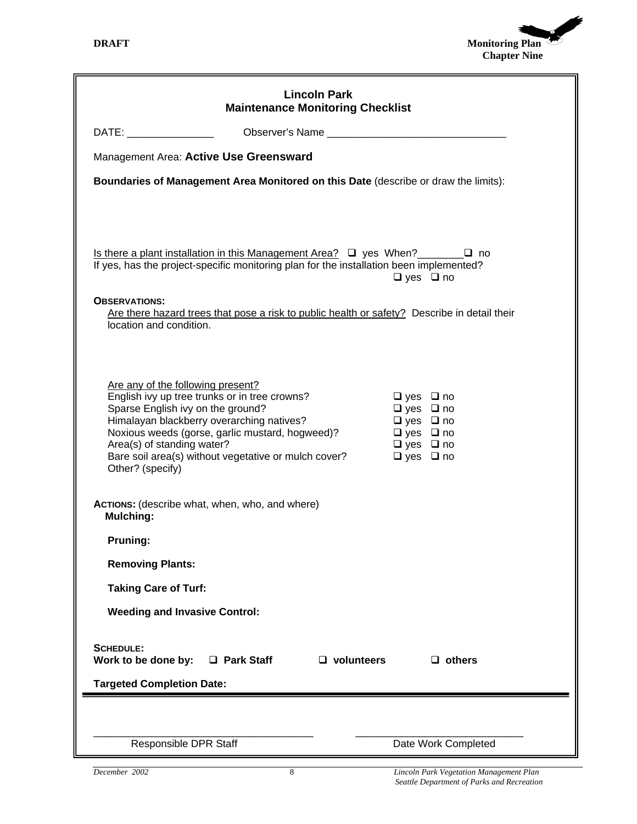

|                                                                                                                                                                                                                                                                                                                                   |              | <b>Lincoln Park</b><br><b>Maintenance Monitoring Checklist</b>                                                                               |                      |                     |  |  |
|-----------------------------------------------------------------------------------------------------------------------------------------------------------------------------------------------------------------------------------------------------------------------------------------------------------------------------------|--------------|----------------------------------------------------------------------------------------------------------------------------------------------|----------------------|---------------------|--|--|
|                                                                                                                                                                                                                                                                                                                                   |              |                                                                                                                                              |                      |                     |  |  |
| Management Area: Active Use Greensward                                                                                                                                                                                                                                                                                            |              |                                                                                                                                              |                      |                     |  |  |
| Boundaries of Management Area Monitored on this Date (describe or draw the limits):                                                                                                                                                                                                                                               |              |                                                                                                                                              |                      |                     |  |  |
| Is there a plant installation in this Management Area? $\Box$ yes When? $\Box$ no<br>If yes, has the project-specific monitoring plan for the installation been implemented?                                                                                                                                                      |              |                                                                                                                                              |                      |                     |  |  |
| <b>OBSERVATIONS:</b><br>Are there hazard trees that pose a risk to public health or safety? Describe in detail their<br>location and condition.                                                                                                                                                                                   |              |                                                                                                                                              | $\Box$ yes $\Box$ no |                     |  |  |
| Are any of the following present?<br>English ivy up tree trunks or in tree crowns?<br>Sparse English ivy on the ground?<br>Himalayan blackberry overarching natives?<br>Noxious weeds (gorse, garlic mustard, hogweed)?<br>Area(s) of standing water?<br>Bare soil area(s) without vegetative or mulch cover?<br>Other? (specify) |              | $\Box$ yes $\Box$ no<br>$\Box$ yes $\Box$ no<br>$\Box$ yes $\Box$ no<br>$\Box$ yes $\Box$ no<br>$\Box$ yes $\Box$ no<br>$\Box$ yes $\Box$ no |                      |                     |  |  |
| ACTIONS: (describe what, when, who, and where)<br>Mulching:                                                                                                                                                                                                                                                                       |              |                                                                                                                                              |                      |                     |  |  |
| <b>Pruning:</b>                                                                                                                                                                                                                                                                                                                   |              |                                                                                                                                              |                      |                     |  |  |
| <b>Removing Plants:</b>                                                                                                                                                                                                                                                                                                           |              |                                                                                                                                              |                      |                     |  |  |
| <b>Taking Care of Turf:</b>                                                                                                                                                                                                                                                                                                       |              |                                                                                                                                              |                      |                     |  |  |
| <b>Weeding and Invasive Control:</b>                                                                                                                                                                                                                                                                                              |              |                                                                                                                                              |                      |                     |  |  |
| <b>SCHEDULE:</b><br>Work to be done by:                                                                                                                                                                                                                                                                                           | □ Park Staff | $\Box$ volunteers                                                                                                                            |                      | $\Box$ others       |  |  |
| <b>Targeted Completion Date:</b>                                                                                                                                                                                                                                                                                                  |              |                                                                                                                                              |                      |                     |  |  |
|                                                                                                                                                                                                                                                                                                                                   |              |                                                                                                                                              |                      |                     |  |  |
| Responsible DPR Staff                                                                                                                                                                                                                                                                                                             |              |                                                                                                                                              |                      | Date Work Completed |  |  |
|                                                                                                                                                                                                                                                                                                                                   |              |                                                                                                                                              |                      |                     |  |  |